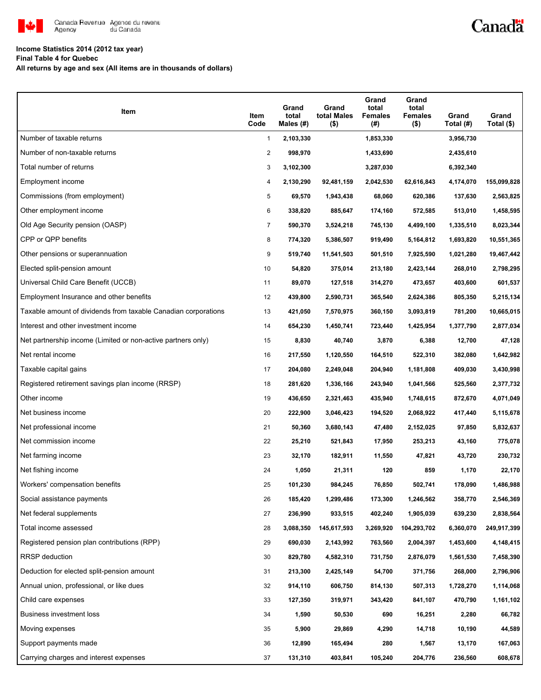

## Canadä

### **Income Statistics 2014 (2012 tax year)**

**Final Table 4 for Quebec**

**All returns by age and sex (All items are in thousands of dollars)**

| Item                                                           | Item<br>Code   | Grand<br>total<br>Males $(H)$ | Grand<br>total Males<br>$($ \$) | Grand<br>total<br><b>Females</b><br>(#) | Grand<br>total<br><b>Females</b><br>$($ \$) | Grand<br>Total (#) | Grand<br>Total (\$) |
|----------------------------------------------------------------|----------------|-------------------------------|---------------------------------|-----------------------------------------|---------------------------------------------|--------------------|---------------------|
| Number of taxable returns                                      | $\mathbf{1}$   | 2,103,330                     |                                 | 1,853,330                               |                                             | 3,956,730          |                     |
| Number of non-taxable returns                                  | $\overline{2}$ | 998,970                       |                                 | 1,433,690                               |                                             | 2,435,610          |                     |
| Total number of returns                                        | 3              | 3,102,300                     |                                 | 3,287,030                               |                                             | 6,392,340          |                     |
| Employment income                                              | 4              | 2,130,290                     | 92,481,159                      | 2,042,530                               | 62,616,843                                  | 4,174,070          | 155,099,828         |
| Commissions (from employment)                                  | 5              | 69,570                        | 1,943,438                       | 68,060                                  | 620,386                                     | 137,630            | 2,563,825           |
| Other employment income                                        | 6              | 338,820                       | 885,647                         | 174,160                                 | 572,585                                     | 513,010            | 1,458,595           |
| Old Age Security pension (OASP)                                | $\overline{7}$ | 590,370                       | 3,524,218                       | 745,130                                 | 4,499,100                                   | 1,335,510          | 8,023,344           |
| CPP or QPP benefits                                            | 8              | 774,320                       | 5,386,507                       | 919,490                                 | 5,164,812                                   | 1,693,820          | 10,551,365          |
| Other pensions or superannuation                               | 9              | 519,740                       | 11,541,503                      | 501,510                                 | 7,925,590                                   | 1,021,280          | 19,467,442          |
| Elected split-pension amount                                   | 10             | 54,820                        | 375,014                         | 213,180                                 | 2,423,144                                   | 268,010            | 2,798,295           |
| Universal Child Care Benefit (UCCB)                            | 11             | 89,070                        | 127,518                         | 314,270                                 | 473,657                                     | 403,600            | 601,537             |
| Employment Insurance and other benefits                        | 12             | 439,800                       | 2,590,731                       | 365,540                                 | 2,624,386                                   | 805,350            | 5,215,134           |
| Taxable amount of dividends from taxable Canadian corporations | 13             | 421,050                       | 7,570,975                       | 360,150                                 | 3,093,819                                   | 781,200            | 10,665,015          |
| Interest and other investment income                           | 14             | 654,230                       | 1,450,741                       | 723,440                                 | 1,425,954                                   | 1,377,790          | 2,877,034           |
| Net partnership income (Limited or non-active partners only)   | 15             | 8,830                         | 40,740                          | 3,870                                   | 6,388                                       | 12,700             | 47,128              |
| Net rental income                                              | 16             | 217,550                       | 1,120,550                       | 164,510                                 | 522,310                                     | 382,080            | 1,642,982           |
| Taxable capital gains                                          | 17             | 204,080                       | 2,249,048                       | 204,940                                 | 1,181,808                                   | 409,030            | 3,430,998           |
| Registered retirement savings plan income (RRSP)               | 18             | 281,620                       | 1,336,166                       | 243,940                                 | 1,041,566                                   | 525,560            | 2,377,732           |
| Other income                                                   | 19             | 436,650                       | 2,321,463                       | 435,940                                 | 1,748,615                                   | 872,670            | 4,071,049           |
| Net business income                                            | 20             | 222,900                       | 3,046,423                       | 194,520                                 | 2,068,922                                   | 417,440            | 5,115,678           |
| Net professional income                                        | 21             | 50,360                        | 3,680,143                       | 47,480                                  | 2,152,025                                   | 97,850             | 5,832,637           |
| Net commission income                                          | 22             | 25,210                        | 521,843                         | 17,950                                  | 253,213                                     | 43,160             | 775,078             |
| Net farming income                                             | 23             | 32,170                        | 182,911                         | 11,550                                  | 47,821                                      | 43,720             | 230,732             |
| Net fishing income                                             | 24             | 1,050                         | 21,311                          | 120                                     | 859                                         | 1,170              | 22,170              |
| Workers' compensation benefits                                 | 25             | 101,230                       | 984,245                         | 76,850                                  | 502,741                                     | 178,090            | 1,486,988           |
| Social assistance payments                                     | 26             | 185,420                       | 1,299,486                       | 173,300                                 | 1,246,562                                   | 358,770            | 2,546,369           |
| Net federal supplements                                        | 27             | 236,990                       | 933,515                         | 402,240                                 | 1,905,039                                   | 639,230            | 2,838,564           |
| Total income assessed                                          | 28             | 3,088,350                     | 145,617,593                     | 3,269,920                               | 104,293,702                                 | 6,360,070          | 249,917,399         |
| Registered pension plan contributions (RPP)                    | 29             | 690,030                       | 2,143,992                       | 763,560                                 | 2,004,397                                   | 1,453,600          | 4,148,415           |
| RRSP deduction                                                 | 30             | 829,780                       | 4,582,310                       | 731,750                                 | 2,876,079                                   | 1,561,530          | 7,458,390           |
| Deduction for elected split-pension amount                     | 31             | 213,300                       | 2,425,149                       | 54,700                                  | 371,756                                     | 268,000            | 2,796,906           |
| Annual union, professional, or like dues                       | 32             | 914,110                       | 606,750                         | 814,130                                 | 507,313                                     | 1,728,270          | 1,114,068           |
| Child care expenses                                            | 33             | 127,350                       | 319,971                         | 343,420                                 | 841,107                                     | 470,790            | 1,161,102           |
| Business investment loss                                       | 34             | 1,590                         | 50,530                          | 690                                     | 16,251                                      | 2,280              | 66,782              |
| Moving expenses                                                | 35             | 5,900                         | 29,869                          | 4,290                                   | 14,718                                      | 10,190             | 44,589              |
| Support payments made                                          | 36             | 12,890                        | 165,494                         | 280                                     | 1,567                                       | 13,170             | 167,063             |
| Carrying charges and interest expenses                         | 37             | 131,310                       | 403,841                         | 105,240                                 | 204,776                                     | 236,560            | 608,678             |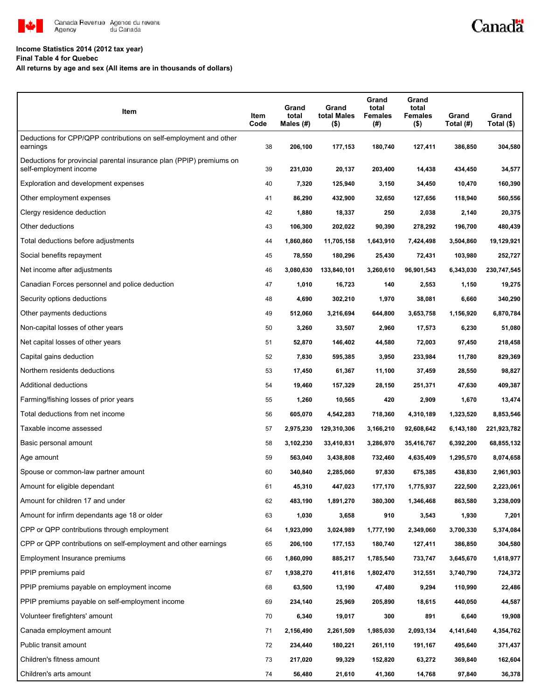

#### **Income Statistics 2014 (2012 tax year)**

**Final Table 4 for Quebec**

**All returns by age and sex (All items are in thousands of dollars)**

| Item                                                                                           | Item<br>Code | Grand<br>total<br>Males (#) | Grand<br>total Males<br>$($ \$) | Grand<br>total<br><b>Females</b><br>(#) | Grand<br>total<br><b>Females</b><br>$($ \$) | Grand<br>Total (#) | Grand<br>Total (\$) |
|------------------------------------------------------------------------------------------------|--------------|-----------------------------|---------------------------------|-----------------------------------------|---------------------------------------------|--------------------|---------------------|
| Deductions for CPP/QPP contributions on self-employment and other<br>earnings                  | 38           | 206,100                     | 177,153                         | 180,740                                 | 127,411                                     | 386,850            | 304,580             |
| Deductions for provincial parental insurance plan (PPIP) premiums on<br>self-employment income | 39           | 231,030                     | 20,137                          | 203,400                                 | 14,438                                      | 434,450            | 34,577              |
| Exploration and development expenses                                                           | 40           | 7,320                       | 125,940                         | 3,150                                   | 34,450                                      | 10,470             | 160,390             |
| Other employment expenses                                                                      | 41           | 86,290                      | 432,900                         | 32,650                                  | 127,656                                     | 118,940            | 560,556             |
| Clergy residence deduction                                                                     | 42           | 1,880                       | 18,337                          | 250                                     | 2,038                                       | 2,140              | 20,375              |
| Other deductions                                                                               | 43           | 106,300                     | 202,022                         | 90,390                                  | 278,292                                     | 196,700            | 480,439             |
| Total deductions before adjustments                                                            | 44           | 1,860,860                   | 11,705,158                      | 1,643,910                               | 7,424,498                                   | 3,504,860          | 19,129,921          |
| Social benefits repayment                                                                      | 45           | 78,550                      | 180,296                         | 25,430                                  | 72,431                                      | 103,980            | 252,727             |
| Net income after adjustments                                                                   | 46           | 3,080,630                   | 133,840,101                     | 3,260,610                               | 96,901,543                                  | 6,343,030          | 230,747,545         |
| Canadian Forces personnel and police deduction                                                 | 47           | 1,010                       | 16,723                          | 140                                     | 2,553                                       | 1,150              | 19,275              |
| Security options deductions                                                                    | 48           | 4,690                       | 302,210                         | 1,970                                   | 38,081                                      | 6,660              | 340,290             |
| Other payments deductions                                                                      | 49           | 512,060                     | 3,216,694                       | 644,800                                 | 3,653,758                                   | 1,156,920          | 6,870,784           |
| Non-capital losses of other years                                                              | 50           | 3,260                       | 33,507                          | 2,960                                   | 17,573                                      | 6,230              | 51,080              |
| Net capital losses of other years                                                              | 51           | 52,870                      | 146,402                         | 44,580                                  | 72,003                                      | 97,450             | 218,458             |
| Capital gains deduction                                                                        | 52           | 7,830                       | 595,385                         | 3,950                                   | 233,984                                     | 11,780             | 829,369             |
| Northern residents deductions                                                                  | 53           | 17,450                      | 61,367                          | 11,100                                  | 37,459                                      | 28,550             | 98,827              |
| Additional deductions                                                                          | 54           | 19,460                      | 157,329                         | 28,150                                  | 251,371                                     | 47,630             | 409,387             |
| Farming/fishing losses of prior years                                                          | 55           | 1,260                       | 10,565                          | 420                                     | 2,909                                       | 1,670              | 13,474              |
| Total deductions from net income                                                               | 56           | 605,070                     | 4,542,283                       | 718,360                                 | 4,310,189                                   | 1,323,520          | 8,853,546           |
| Taxable income assessed                                                                        | 57           | 2,975,230                   | 129,310,306                     | 3,166,210                               | 92,608,642                                  | 6,143,180          | 221,923,782         |
| Basic personal amount                                                                          | 58           | 3,102,230                   | 33,410,831                      | 3,286,970                               | 35,416,767                                  | 6,392,200          | 68,855,132          |
| Age amount                                                                                     | 59           | 563,040                     | 3,438,808                       | 732,460                                 | 4,635,409                                   | 1,295,570          | 8,074,658           |
| Spouse or common-law partner amount                                                            | 60           | 340,840                     | 2,285,060                       | 97,830                                  | 675,385                                     | 438,830            | 2,961,903           |
| Amount for eligible dependant                                                                  | 61           | 45,310                      | 447,023                         | 177,170                                 | 1,775,937                                   | 222,500            | 2,223,061           |
| Amount for children 17 and under                                                               | 62           | 483,190                     | 1,891,270                       | 380,300                                 | 1,346,468                                   | 863,580            | 3,238,009           |
| Amount for infirm dependants age 18 or older                                                   | 63           | 1,030                       | 3,658                           | 910                                     | 3,543                                       | 1,930              | 7,201               |
| CPP or QPP contributions through employment                                                    | 64           | 1,923,090                   | 3,024,989                       | 1,777,190                               | 2,349,060                                   | 3,700,330          | 5,374,084           |
| CPP or QPP contributions on self-employment and other earnings                                 | 65           | 206,100                     | 177,153                         | 180,740                                 | 127,411                                     | 386,850            | 304,580             |
| Employment Insurance premiums                                                                  | 66           | 1,860,090                   | 885,217                         | 1,785,540                               | 733,747                                     | 3,645,670          | 1,618,977           |
| PPIP premiums paid                                                                             | 67           | 1,938,270                   | 411,816                         | 1,802,470                               | 312,551                                     | 3,740,790          | 724,372             |
| PPIP premiums payable on employment income                                                     | 68           | 63,500                      | 13,190                          | 47,480                                  | 9,294                                       | 110,990            | 22,486              |
| PPIP premiums payable on self-employment income                                                | 69           | 234,140                     | 25,969                          | 205,890                                 | 18,615                                      | 440,050            | 44,587              |
| Volunteer firefighters' amount                                                                 | 70           | 6,340                       | 19,017                          | 300                                     | 891                                         | 6,640              | 19,908              |
| Canada employment amount                                                                       | 71           | 2,156,490                   | 2,261,509                       | 1,985,030                               | 2,093,134                                   | 4,141,640          | 4,354,762           |
| Public transit amount                                                                          | 72           | 234,440                     | 180,221                         | 261,110                                 | 191,167                                     | 495,640            | 371,437             |
| Children's fitness amount                                                                      | 73           | 217,020                     | 99,329                          | 152,820                                 | 63,272                                      | 369,840            | 162,604             |
| Children's arts amount                                                                         | 74           | 56,480                      | 21,610                          | 41,360                                  | 14,768                                      | 97,840             | 36,378              |

Canadä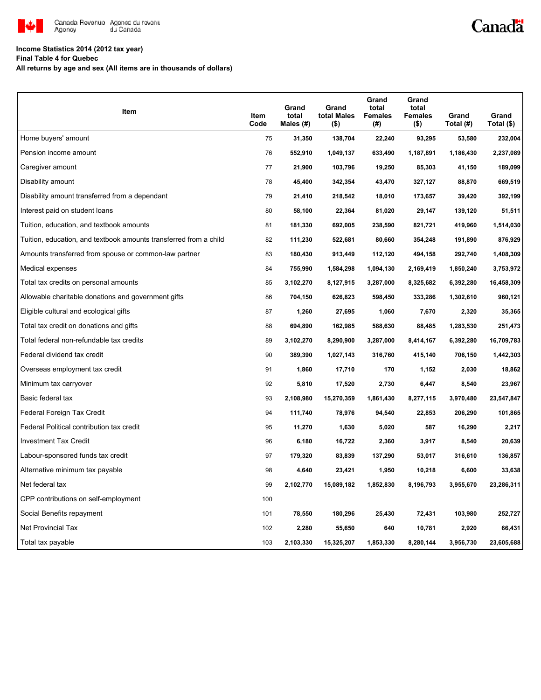

# Canadä

#### **Income Statistics 2014 (2012 tax year)**

**Final Table 4 for Quebec**

**All returns by age and sex (All items are in thousands of dollars)**

| <b>Item</b>                                                       | Item<br>Code | Grand<br>total<br>Males (#) | Grand<br>total Males<br>$($ \$) | Grand<br>total<br><b>Females</b><br>(#) | Grand<br>total<br><b>Females</b><br>$($ \$) | Grand<br>Total (#) | Grand<br>Total (\$) |
|-------------------------------------------------------------------|--------------|-----------------------------|---------------------------------|-----------------------------------------|---------------------------------------------|--------------------|---------------------|
| Home buyers' amount                                               | 75           | 31,350                      | 138,704                         | 22,240                                  | 93,295                                      | 53,580             | 232,004             |
| Pension income amount                                             | 76           | 552,910                     | 1,049,137                       | 633,490                                 | 1,187,891                                   | 1,186,430          | 2,237,089           |
| Caregiver amount                                                  | 77           | 21,900                      | 103,796                         | 19,250                                  | 85,303                                      | 41,150             | 189,099             |
| Disability amount                                                 | 78           | 45,400                      | 342,354                         | 43,470                                  | 327,127                                     | 88,870             | 669,519             |
| Disability amount transferred from a dependant                    | 79           | 21,410                      | 218,542                         | 18,010                                  | 173,657                                     | 39,420             | 392,199             |
| Interest paid on student loans                                    | 80           | 58,100                      | 22,364                          | 81,020                                  | 29,147                                      | 139,120            | 51,511              |
| Tuition, education, and textbook amounts                          | 81           | 181,330                     | 692,005                         | 238,590                                 | 821,721                                     | 419,960            | 1,514,030           |
| Tuition, education, and textbook amounts transferred from a child | 82           | 111,230                     | 522,681                         | 80,660                                  | 354,248                                     | 191,890            | 876,929             |
| Amounts transferred from spouse or common-law partner             | 83           | 180,430                     | 913,449                         | 112,120                                 | 494,158                                     | 292,740            | 1,408,309           |
| Medical expenses                                                  | 84           | 755,990                     | 1,584,298                       | 1,094,130                               | 2,169,419                                   | 1,850,240          | 3,753,972           |
| Total tax credits on personal amounts                             | 85           | 3,102,270                   | 8,127,915                       | 3,287,000                               | 8,325,682                                   | 6,392,280          | 16,458,309          |
| Allowable charitable donations and government gifts               | 86           | 704,150                     | 626,823                         | 598,450                                 | 333,286                                     | 1,302,610          | 960,121             |
| Eligible cultural and ecological gifts                            | 87           | 1,260                       | 27,695                          | 1,060                                   | 7,670                                       | 2,320              | 35,365              |
| Total tax credit on donations and gifts                           | 88           | 694,890                     | 162,985                         | 588,630                                 | 88,485                                      | 1,283,530          | 251,473             |
| Total federal non-refundable tax credits                          | 89           | 3,102,270                   | 8,290,900                       | 3,287,000                               | 8,414,167                                   | 6,392,280          | 16,709,783          |
| Federal dividend tax credit                                       | 90           | 389,390                     | 1,027,143                       | 316,760                                 | 415,140                                     | 706,150            | 1,442,303           |
| Overseas employment tax credit                                    | 91           | 1,860                       | 17,710                          | 170                                     | 1,152                                       | 2,030              | 18,862              |
| Minimum tax carryover                                             | 92           | 5,810                       | 17,520                          | 2,730                                   | 6,447                                       | 8,540              | 23,967              |
| Basic federal tax                                                 | 93           | 2,108,980                   | 15,270,359                      | 1,861,430                               | 8,277,115                                   | 3,970,480          | 23,547,847          |
| Federal Foreign Tax Credit                                        | 94           | 111,740                     | 78,976                          | 94,540                                  | 22,853                                      | 206,290            | 101,865             |
| Federal Political contribution tax credit                         | 95           | 11,270                      | 1,630                           | 5,020                                   | 587                                         | 16,290             | 2,217               |
| <b>Investment Tax Credit</b>                                      | 96           | 6,180                       | 16,722                          | 2,360                                   | 3,917                                       | 8,540              | 20,639              |
| Labour-sponsored funds tax credit                                 | 97           | 179,320                     | 83,839                          | 137,290                                 | 53,017                                      | 316,610            | 136,857             |
| Alternative minimum tax payable                                   | 98           | 4,640                       | 23,421                          | 1,950                                   | 10,218                                      | 6,600              | 33,638              |
| Net federal tax                                                   | 99           | 2,102,770                   | 15,089,182                      | 1,852,830                               | 8,196,793                                   | 3,955,670          | 23,286,311          |
| CPP contributions on self-employment                              | 100          |                             |                                 |                                         |                                             |                    |                     |
| Social Benefits repayment                                         | 101          | 78,550                      | 180,296                         | 25,430                                  | 72,431                                      | 103,980            | 252,727             |
| Net Provincial Tax                                                | 102          | 2,280                       | 55,650                          | 640                                     | 10,781                                      | 2,920              | 66,431              |
| Total tax payable                                                 | 103          | 2,103,330                   | 15,325,207                      | 1,853,330                               | 8,280,144                                   | 3,956,730          | 23,605,688          |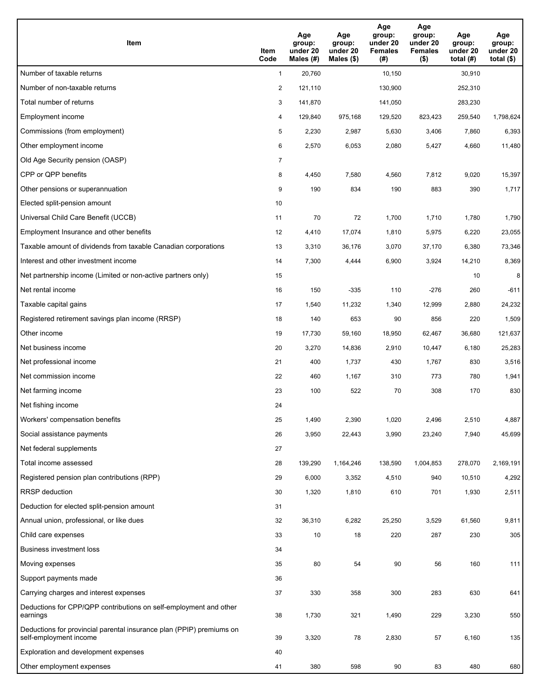| Item                                                                                           | Item<br>Code   | Age<br>group:<br>under 20<br>Males (#) | Age<br>group:<br>under 20<br>Males $(\$)$ | Age<br>group:<br>under 20<br><b>Females</b><br>(#) | Age<br>group:<br>under 20<br><b>Females</b><br>$($ \$) | Age<br>group:<br>under 20<br>total (#) | Age<br>group:<br>under 20<br>total $($ |
|------------------------------------------------------------------------------------------------|----------------|----------------------------------------|-------------------------------------------|----------------------------------------------------|--------------------------------------------------------|----------------------------------------|----------------------------------------|
| Number of taxable returns                                                                      | $\mathbf{1}$   | 20,760                                 |                                           | 10,150                                             |                                                        | 30,910                                 |                                        |
| Number of non-taxable returns                                                                  | $\overline{a}$ | 121,110                                |                                           | 130,900                                            |                                                        | 252,310                                |                                        |
| Total number of returns                                                                        | 3              | 141,870                                |                                           | 141,050                                            |                                                        | 283,230                                |                                        |
| Employment income                                                                              | 4              | 129,840                                | 975,168                                   | 129,520                                            | 823,423                                                | 259,540                                | 1,798,624                              |
| Commissions (from employment)                                                                  | 5              | 2,230                                  | 2,987                                     | 5,630                                              | 3,406                                                  | 7,860                                  | 6,393                                  |
| Other employment income                                                                        | 6              | 2,570                                  | 6,053                                     | 2,080                                              | 5,427                                                  | 4,660                                  | 11,480                                 |
| Old Age Security pension (OASP)                                                                | 7              |                                        |                                           |                                                    |                                                        |                                        |                                        |
| CPP or QPP benefits                                                                            | 8              | 4,450                                  | 7,580                                     | 4,560                                              | 7,812                                                  | 9,020                                  | 15,397                                 |
| Other pensions or superannuation                                                               | 9              | 190                                    | 834                                       | 190                                                | 883                                                    | 390                                    | 1,717                                  |
| Elected split-pension amount                                                                   | 10             |                                        |                                           |                                                    |                                                        |                                        |                                        |
| Universal Child Care Benefit (UCCB)                                                            | 11             | 70                                     | 72                                        | 1,700                                              | 1,710                                                  | 1,780                                  | 1,790                                  |
| Employment Insurance and other benefits                                                        | 12             | 4,410                                  | 17,074                                    | 1,810                                              | 5,975                                                  | 6,220                                  | 23,055                                 |
| Taxable amount of dividends from taxable Canadian corporations                                 | 13             | 3,310                                  | 36,176                                    | 3,070                                              | 37,170                                                 | 6,380                                  | 73,346                                 |
| Interest and other investment income                                                           | 14             | 7,300                                  | 4,444                                     | 6,900                                              | 3,924                                                  | 14,210                                 | 8,369                                  |
| Net partnership income (Limited or non-active partners only)                                   | 15             |                                        |                                           |                                                    |                                                        | 10                                     | 8                                      |
| Net rental income                                                                              | 16             | 150                                    | -335                                      | 110                                                | $-276$                                                 | 260                                    | $-611$                                 |
| Taxable capital gains                                                                          | 17             | 1,540                                  | 11,232                                    | 1,340                                              | 12,999                                                 | 2,880                                  | 24,232                                 |
| Registered retirement savings plan income (RRSP)                                               | 18             | 140                                    | 653                                       | 90                                                 | 856                                                    | 220                                    | 1,509                                  |
| Other income                                                                                   | 19             | 17,730                                 | 59,160                                    | 18,950                                             | 62,467                                                 | 36,680                                 | 121,637                                |
| Net business income                                                                            | 20             | 3,270                                  | 14,836                                    | 2,910                                              | 10,447                                                 | 6,180                                  | 25,283                                 |
| Net professional income                                                                        | 21             | 400                                    | 1,737                                     | 430                                                | 1,767                                                  | 830                                    | 3,516                                  |
| Net commission income                                                                          | 22             | 460                                    | 1,167                                     | 310                                                | 773                                                    | 780                                    | 1,941                                  |
| Net farming income                                                                             | 23             | 100                                    | 522                                       | 70                                                 | 308                                                    | 170                                    | 830                                    |
| Net fishing income                                                                             | 24             |                                        |                                           |                                                    |                                                        |                                        |                                        |
| Workers' compensation benefits                                                                 | 25             | 1,490                                  | 2,390                                     | 1,020                                              | 2,496                                                  | 2,510                                  | 4,887                                  |
| Social assistance payments                                                                     | 26             | 3,950                                  | 22,443                                    | 3,990                                              | 23,240                                                 | 7,940                                  | 45,699                                 |
| Net federal supplements                                                                        | 27             |                                        |                                           |                                                    |                                                        |                                        |                                        |
| Total income assessed                                                                          | 28             | 139,290                                | 1,164,246                                 | 138,590                                            | 1,004,853                                              | 278,070                                | 2,169,191                              |
| Registered pension plan contributions (RPP)                                                    | 29             | 6,000                                  | 3,352                                     | 4,510                                              | 940                                                    | 10,510                                 | 4,292                                  |
| RRSP deduction                                                                                 | 30             | 1,320                                  | 1,810                                     | 610                                                | 701                                                    | 1,930                                  | 2,511                                  |
| Deduction for elected split-pension amount                                                     | 31             |                                        |                                           |                                                    |                                                        |                                        |                                        |
| Annual union, professional, or like dues                                                       | 32             | 36,310                                 | 6,282                                     | 25,250                                             | 3,529                                                  | 61,560                                 | 9,811                                  |
| Child care expenses                                                                            | 33             | 10                                     | 18                                        | 220                                                | 287                                                    | 230                                    | 305                                    |
| <b>Business investment loss</b>                                                                | 34             |                                        |                                           |                                                    |                                                        |                                        |                                        |
| Moving expenses                                                                                | 35             | 80                                     | 54                                        | 90                                                 | 56                                                     | 160                                    | 111                                    |
| Support payments made                                                                          | 36             |                                        |                                           |                                                    |                                                        |                                        |                                        |
| Carrying charges and interest expenses                                                         | 37             | 330                                    | 358                                       | 300                                                | 283                                                    | 630                                    | 641                                    |
| Deductions for CPP/QPP contributions on self-employment and other<br>earnings                  | 38             | 1,730                                  | 321                                       | 1,490                                              | 229                                                    | 3,230                                  | 550                                    |
| Deductions for provincial parental insurance plan (PPIP) premiums on<br>self-employment income | 39             | 3,320                                  | 78                                        | 2,830                                              | 57                                                     | 6,160                                  | 135                                    |
| Exploration and development expenses                                                           | 40             |                                        |                                           |                                                    |                                                        |                                        |                                        |
| Other employment expenses                                                                      | 41             | 380                                    | 598                                       | 90                                                 | 83                                                     | 480                                    | 680                                    |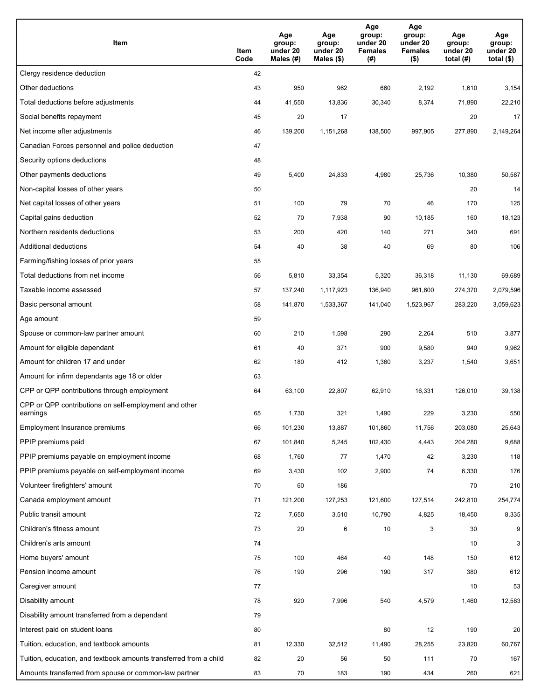| Item                                                              | Item<br>Code | Age<br>group:<br>under 20<br>Males (#) | Age<br>group:<br>under 20<br>Males (\$) | Age<br>group:<br>under 20<br><b>Females</b><br>(#) | Age<br>group:<br>under 20<br><b>Females</b><br>$($ \$) | Age<br>group:<br>under 20<br>total $(H)$ | Age<br>group:<br>under 20<br>total $($)$ |
|-------------------------------------------------------------------|--------------|----------------------------------------|-----------------------------------------|----------------------------------------------------|--------------------------------------------------------|------------------------------------------|------------------------------------------|
| Clergy residence deduction                                        | 42           |                                        |                                         |                                                    |                                                        |                                          |                                          |
| Other deductions                                                  | 43           | 950                                    | 962                                     | 660                                                | 2,192                                                  | 1,610                                    | 3,154                                    |
| Total deductions before adjustments                               | 44           | 41,550                                 | 13,836                                  | 30,340                                             | 8,374                                                  | 71,890                                   | 22,210                                   |
| Social benefits repayment                                         | 45           | 20                                     | 17                                      |                                                    |                                                        | 20                                       | 17                                       |
| Net income after adjustments                                      | 46           | 139,200                                | 1,151,268                               | 138,500                                            | 997,905                                                | 277,890                                  | 2,149,264                                |
| Canadian Forces personnel and police deduction                    | 47           |                                        |                                         |                                                    |                                                        |                                          |                                          |
| Security options deductions                                       | 48           |                                        |                                         |                                                    |                                                        |                                          |                                          |
| Other payments deductions                                         | 49           | 5,400                                  | 24,833                                  | 4,980                                              | 25,736                                                 | 10,380                                   | 50,587                                   |
| Non-capital losses of other years                                 | 50           |                                        |                                         |                                                    |                                                        | 20                                       | 14                                       |
| Net capital losses of other years                                 | 51           | 100                                    | 79                                      | 70                                                 | 46                                                     | 170                                      | 125                                      |
| Capital gains deduction                                           | 52           | 70                                     | 7,938                                   | 90                                                 | 10,185                                                 | 160                                      | 18,123                                   |
| Northern residents deductions                                     | 53           | 200                                    | 420                                     | 140                                                | 271                                                    | 340                                      | 691                                      |
| Additional deductions                                             | 54           | 40                                     | 38                                      | 40                                                 | 69                                                     | 80                                       | 106                                      |
| Farming/fishing losses of prior years                             | 55           |                                        |                                         |                                                    |                                                        |                                          |                                          |
| Total deductions from net income                                  | 56           | 5,810                                  | 33,354                                  | 5,320                                              | 36,318                                                 | 11,130                                   | 69,689                                   |
| Taxable income assessed                                           | 57           | 137,240                                | 1,117,923                               | 136,940                                            | 961,600                                                | 274,370                                  | 2,079,596                                |
| Basic personal amount                                             | 58           | 141,870                                | 1,533,367                               | 141,040                                            | 1,523,967                                              | 283,220                                  | 3,059,623                                |
| Age amount                                                        | 59           |                                        |                                         |                                                    |                                                        |                                          |                                          |
| Spouse or common-law partner amount                               | 60           | 210                                    | 1,598                                   | 290                                                | 2,264                                                  | 510                                      | 3,877                                    |
| Amount for eligible dependant                                     | 61           | 40                                     | 371                                     | 900                                                | 9,580                                                  | 940                                      | 9,962                                    |
| Amount for children 17 and under                                  | 62           | 180                                    | 412                                     | 1,360                                              | 3,237                                                  | 1,540                                    | 3,651                                    |
| Amount for infirm dependants age 18 or older                      | 63           |                                        |                                         |                                                    |                                                        |                                          |                                          |
| CPP or QPP contributions through employment                       | 64           | 63,100                                 | 22,807                                  | 62,910                                             | 16,331                                                 | 126,010                                  | 39,138                                   |
| CPP or QPP contributions on self-employment and other<br>earnings | 65           | 1,730                                  | 321                                     | 1,490                                              | 229                                                    | 3,230                                    | 550                                      |
| Employment Insurance premiums                                     | 66           | 101,230                                | 13,887                                  | 101,860                                            | 11,756                                                 | 203,080                                  | 25,643                                   |
| PPIP premiums paid                                                | 67           | 101,840                                | 5,245                                   | 102,430                                            | 4,443                                                  | 204,280                                  | 9,688                                    |
| PPIP premiums payable on employment income                        | 68           | 1,760                                  | 77                                      | 1,470                                              | 42                                                     | 3,230                                    | 118                                      |
| PPIP premiums payable on self-employment income                   | 69           | 3,430                                  | 102                                     | 2,900                                              | 74                                                     | 6,330                                    | 176                                      |
| Volunteer firefighters' amount                                    | 70           | 60                                     | 186                                     |                                                    |                                                        | 70                                       | 210                                      |
| Canada employment amount                                          | 71           | 121,200                                | 127,253                                 | 121,600                                            | 127,514                                                | 242,810                                  | 254,774                                  |
| Public transit amount                                             | 72           | 7,650                                  | 3,510                                   | 10,790                                             | 4,825                                                  | 18,450                                   | 8,335                                    |
| Children's fitness amount                                         | 73           | 20                                     | 6                                       | 10                                                 | 3                                                      | 30                                       | 9                                        |
| Children's arts amount                                            | 74           |                                        |                                         |                                                    |                                                        | 10                                       | $\mathbf{3}$                             |
| Home buyers' amount                                               | 75           | 100                                    | 464                                     | 40                                                 | 148                                                    | 150                                      | 612                                      |
| Pension income amount                                             | 76           | 190                                    | 296                                     | 190                                                | 317                                                    | 380                                      | 612                                      |
| Caregiver amount                                                  | 77           |                                        |                                         |                                                    |                                                        | 10                                       | 53                                       |
| Disability amount                                                 | 78           | 920                                    | 7,996                                   | 540                                                | 4,579                                                  | 1,460                                    | 12,583                                   |
| Disability amount transferred from a dependant                    | 79           |                                        |                                         |                                                    |                                                        |                                          |                                          |
| Interest paid on student loans                                    | 80           |                                        |                                         | 80                                                 | 12                                                     | 190                                      | 20                                       |
| Tuition, education, and textbook amounts                          | 81           | 12,330                                 | 32,512                                  | 11,490                                             | 28,255                                                 | 23,820                                   | 60,767                                   |
| Tuition, education, and textbook amounts transferred from a child | 82           | 20                                     | 56                                      | 50                                                 | 111                                                    | 70                                       | 167                                      |
| Amounts transferred from spouse or common-law partner             | 83           | 70                                     | 183                                     | 190                                                | 434                                                    | 260                                      | 621                                      |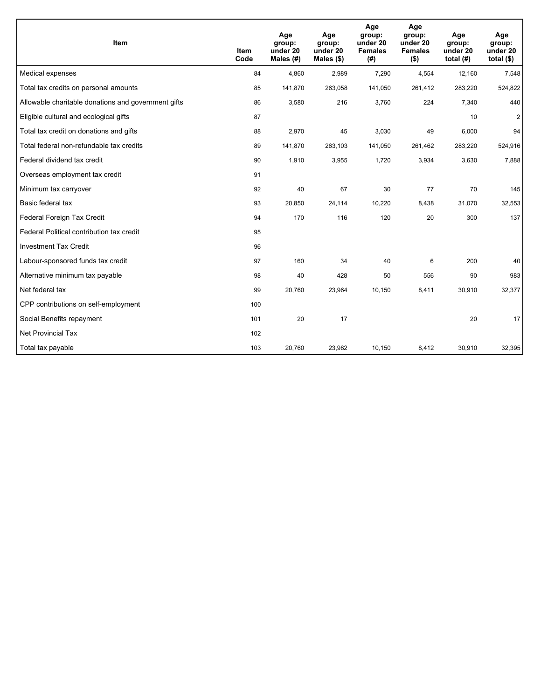| Item                                                | Item<br>Code | Age<br>group:<br>under 20<br>Males (#) | Age<br>group:<br>under 20<br>Males $(\$)$ | Age<br>group:<br>under 20<br><b>Females</b><br>(# ) | Age<br>group:<br>under 20<br><b>Females</b><br>$($ \$) | Age<br>group:<br>under 20<br>total $(H)$ | Age<br>group:<br>under 20<br>total $($)$ |
|-----------------------------------------------------|--------------|----------------------------------------|-------------------------------------------|-----------------------------------------------------|--------------------------------------------------------|------------------------------------------|------------------------------------------|
| Medical expenses                                    | 84           | 4,860                                  | 2,989                                     | 7,290                                               | 4,554                                                  | 12,160                                   | 7,548                                    |
| Total tax credits on personal amounts               | 85           | 141,870                                | 263,058                                   | 141,050                                             | 261,412                                                | 283,220                                  | 524,822                                  |
| Allowable charitable donations and government gifts | 86           | 3,580                                  | 216                                       | 3,760                                               | 224                                                    | 7,340                                    | 440                                      |
| Eligible cultural and ecological gifts              | 87           |                                        |                                           |                                                     |                                                        | 10                                       | $\overline{2}$                           |
| Total tax credit on donations and gifts             | 88           | 2,970                                  | 45                                        | 3,030                                               | 49                                                     | 6,000                                    | 94                                       |
| Total federal non-refundable tax credits            | 89           | 141,870                                | 263,103                                   | 141,050                                             | 261,462                                                | 283,220                                  | 524,916                                  |
| Federal dividend tax credit                         | 90           | 1,910                                  | 3,955                                     | 1,720                                               | 3,934                                                  | 3,630                                    | 7,888                                    |
| Overseas employment tax credit                      | 91           |                                        |                                           |                                                     |                                                        |                                          |                                          |
| Minimum tax carryover                               | 92           | 40                                     | 67                                        | 30                                                  | 77                                                     | 70                                       | 145                                      |
| Basic federal tax                                   | 93           | 20,850                                 | 24,114                                    | 10.220                                              | 8,438                                                  | 31,070                                   | 32,553                                   |
| Federal Foreign Tax Credit                          | 94           | 170                                    | 116                                       | 120                                                 | 20                                                     | 300                                      | 137                                      |
| Federal Political contribution tax credit           | 95           |                                        |                                           |                                                     |                                                        |                                          |                                          |
| <b>Investment Tax Credit</b>                        | 96           |                                        |                                           |                                                     |                                                        |                                          |                                          |
| Labour-sponsored funds tax credit                   | 97           | 160                                    | 34                                        | 40                                                  | 6                                                      | 200                                      | 40                                       |
| Alternative minimum tax payable                     | 98           | 40                                     | 428                                       | 50                                                  | 556                                                    | 90                                       | 983                                      |
| Net federal tax                                     | 99           | 20,760                                 | 23,964                                    | 10,150                                              | 8,411                                                  | 30,910                                   | 32,377                                   |
| CPP contributions on self-employment                | 100          |                                        |                                           |                                                     |                                                        |                                          |                                          |
| Social Benefits repayment                           | 101          | 20                                     | 17                                        |                                                     |                                                        | 20                                       | 17                                       |
| Net Provincial Tax                                  | 102          |                                        |                                           |                                                     |                                                        |                                          |                                          |
| Total tax payable                                   | 103          | 20,760                                 | 23,982                                    | 10,150                                              | 8,412                                                  | 30,910                                   | 32,395                                   |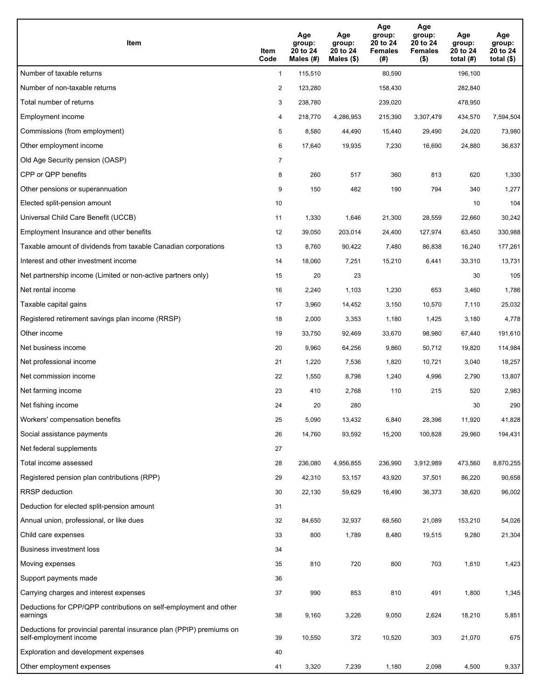| Item                                                                                           | Item<br>Code   | Age<br>group:<br>20 to 24<br>Males (#) | Age<br>group:<br>20 to 24<br>Males $(\$)$ | Age<br>group:<br>20 to 24<br><b>Females</b><br>(#) | Age<br>group:<br>20 to 24<br><b>Females</b><br>$($ \$) | Age<br>group:<br>20 to 24<br>total $(H)$ | Age<br>group:<br>20 to 24<br>total $($ |
|------------------------------------------------------------------------------------------------|----------------|----------------------------------------|-------------------------------------------|----------------------------------------------------|--------------------------------------------------------|------------------------------------------|----------------------------------------|
| Number of taxable returns                                                                      | $\mathbf{1}$   | 115,510                                |                                           | 80,590                                             |                                                        | 196,100                                  |                                        |
| Number of non-taxable returns                                                                  | $\overline{2}$ | 123,280                                |                                           | 158,430                                            |                                                        | 282,840                                  |                                        |
| Total number of returns                                                                        | 3              | 238,780                                |                                           | 239,020                                            |                                                        | 478,950                                  |                                        |
| Employment income                                                                              | 4              | 218,770                                | 4,286,953                                 | 215,390                                            | 3,307,479                                              | 434,570                                  | 7,594,504                              |
| Commissions (from employment)                                                                  | 5              | 8,580                                  | 44,490                                    | 15,440                                             | 29,490                                                 | 24,020                                   | 73,980                                 |
| Other employment income                                                                        | 6              | 17,640                                 | 19,935                                    | 7,230                                              | 16,690                                                 | 24,880                                   | 36,637                                 |
| Old Age Security pension (OASP)                                                                | 7              |                                        |                                           |                                                    |                                                        |                                          |                                        |
| CPP or QPP benefits                                                                            | 8              | 260                                    | 517                                       | 360                                                | 813                                                    | 620                                      | 1,330                                  |
| Other pensions or superannuation                                                               | 9              | 150                                    | 482                                       | 190                                                | 794                                                    | 340                                      | 1,277                                  |
| Elected split-pension amount                                                                   | 10             |                                        |                                           |                                                    |                                                        | 10                                       | 104                                    |
| Universal Child Care Benefit (UCCB)                                                            | 11             | 1,330                                  | 1,646                                     | 21,300                                             | 28,559                                                 | 22,660                                   | 30,242                                 |
| Employment Insurance and other benefits                                                        | 12             | 39,050                                 | 203,014                                   | 24,400                                             | 127,974                                                | 63,450                                   | 330,988                                |
| Taxable amount of dividends from taxable Canadian corporations                                 | 13             | 8,760                                  | 90,422                                    | 7,480                                              | 86,838                                                 | 16,240                                   | 177,261                                |
| Interest and other investment income                                                           | 14             | 18,060                                 | 7,251                                     | 15,210                                             | 6,441                                                  | 33,310                                   | 13,731                                 |
| Net partnership income (Limited or non-active partners only)                                   | 15             | 20                                     | 23                                        |                                                    |                                                        | 30                                       | 105                                    |
| Net rental income                                                                              | 16             | 2,240                                  | 1,103                                     | 1,230                                              | 653                                                    | 3,460                                    | 1,786                                  |
| Taxable capital gains                                                                          | 17             | 3,960                                  | 14,452                                    | 3,150                                              | 10,570                                                 | 7,110                                    | 25,032                                 |
| Registered retirement savings plan income (RRSP)                                               | 18             | 2,000                                  | 3,353                                     | 1,180                                              | 1,425                                                  | 3,180                                    | 4,778                                  |
| Other income                                                                                   | 19             | 33,750                                 | 92,469                                    | 33,670                                             | 98,980                                                 | 67,440                                   | 191,610                                |
| Net business income                                                                            | 20             | 9,960                                  | 64,256                                    | 9,860                                              | 50,712                                                 | 19,820                                   | 114,984                                |
| Net professional income                                                                        | 21             | 1,220                                  | 7,536                                     | 1,820                                              | 10,721                                                 | 3,040                                    | 18,257                                 |
| Net commission income                                                                          | 22             | 1,550                                  | 8,798                                     | 1,240                                              | 4,996                                                  | 2,790                                    | 13,807                                 |
| Net farming income                                                                             | 23             | 410                                    | 2,768                                     | 110                                                | 215                                                    | 520                                      | 2,983                                  |
| Net fishing income                                                                             | 24             | 20                                     | 280                                       |                                                    |                                                        | 30                                       | 290                                    |
| Workers' compensation benefits                                                                 | 25             | 5,090                                  | 13,432                                    | 6,840                                              | 28,396                                                 | 11,920                                   | 41,828                                 |
| Social assistance payments                                                                     | 26             | 14,760                                 | 93,592                                    | 15,200                                             | 100,828                                                | 29,960                                   | 194,431                                |
| Net federal supplements                                                                        | 27             |                                        |                                           |                                                    |                                                        |                                          |                                        |
| Total income assessed                                                                          | 28             | 236,080                                | 4,956,855                                 | 236,990                                            | 3,912,989                                              | 473,560                                  | 8,870,255                              |
| Registered pension plan contributions (RPP)                                                    | 29             | 42,310                                 | 53,157                                    | 43,920                                             | 37,501                                                 | 86,220                                   | 90,658                                 |
| RRSP deduction                                                                                 | 30             | 22,130                                 | 59,629                                    | 16,490                                             | 36,373                                                 | 38,620                                   | 96,002                                 |
| Deduction for elected split-pension amount                                                     | 31             |                                        |                                           |                                                    |                                                        |                                          |                                        |
| Annual union, professional, or like dues                                                       | 32             | 84,650                                 | 32,937                                    | 68,560                                             | 21,089                                                 | 153,210                                  | 54,026                                 |
| Child care expenses                                                                            | 33             | 800                                    | 1,789                                     | 8,480                                              | 19,515                                                 | 9,280                                    | 21,304                                 |
| Business investment loss                                                                       | 34             |                                        |                                           |                                                    |                                                        |                                          |                                        |
| Moving expenses                                                                                | 35             | 810                                    | 720                                       | 800                                                | 703                                                    | 1,610                                    | 1,423                                  |
| Support payments made                                                                          | 36             |                                        |                                           |                                                    |                                                        |                                          |                                        |
| Carrying charges and interest expenses                                                         | 37             | 990                                    | 853                                       | 810                                                | 491                                                    | 1,800                                    | 1,345                                  |
| Deductions for CPP/QPP contributions on self-employment and other<br>earnings                  | 38             | 9,160                                  | 3,226                                     | 9,050                                              | 2,624                                                  | 18,210                                   | 5,851                                  |
| Deductions for provincial parental insurance plan (PPIP) premiums on<br>self-employment income | 39             | 10,550                                 | 372                                       | 10,520                                             | 303                                                    | 21,070                                   | 675                                    |
| Exploration and development expenses                                                           | 40             |                                        |                                           |                                                    |                                                        |                                          |                                        |
| Other employment expenses                                                                      | 41             | 3,320                                  | 7,239                                     | 1,180                                              | 2,098                                                  | 4,500                                    | 9,337                                  |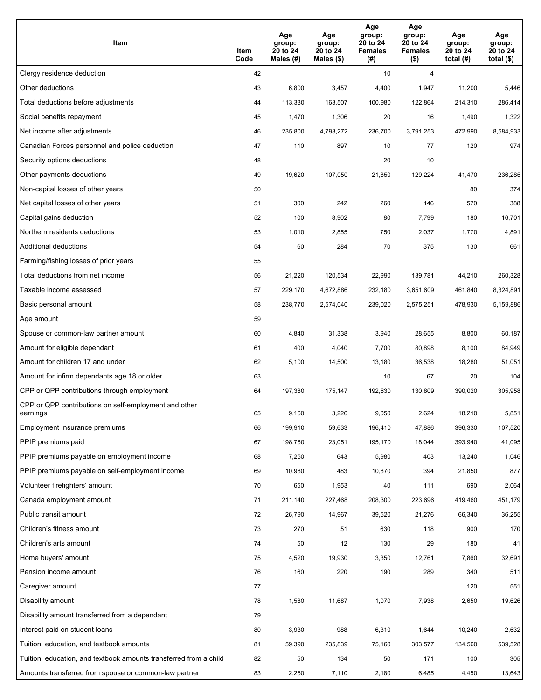| Item                                                              | Item<br>Code | Age<br>group:<br>20 to 24<br>Males (#) | Age<br>group:<br>20 to 24<br>Males (\$) | Age<br>group:<br>20 to 24<br><b>Females</b><br>(#) | Age<br>group:<br>20 to 24<br><b>Females</b><br>$($ \$) | Age<br>group:<br>20 to 24<br>total (#) | Age<br>group:<br>20 to 24<br>total $($)$ |
|-------------------------------------------------------------------|--------------|----------------------------------------|-----------------------------------------|----------------------------------------------------|--------------------------------------------------------|----------------------------------------|------------------------------------------|
| Clergy residence deduction                                        | 42           |                                        |                                         | 10                                                 | 4                                                      |                                        |                                          |
| Other deductions                                                  | 43           | 6,800                                  | 3,457                                   | 4,400                                              | 1,947                                                  | 11,200                                 | 5,446                                    |
| Total deductions before adjustments                               | 44           | 113,330                                | 163,507                                 | 100,980                                            | 122,864                                                | 214,310                                | 286,414                                  |
| Social benefits repayment                                         | 45           | 1,470                                  | 1,306                                   | 20                                                 | 16                                                     | 1,490                                  | 1,322                                    |
| Net income after adjustments                                      | 46           | 235,800                                | 4,793,272                               | 236,700                                            | 3,791,253                                              | 472,990                                | 8,584,933                                |
| Canadian Forces personnel and police deduction                    | 47           | 110                                    | 897                                     | 10                                                 | 77                                                     | 120                                    | 974                                      |
| Security options deductions                                       | 48           |                                        |                                         | 20                                                 | 10                                                     |                                        |                                          |
| Other payments deductions                                         | 49           | 19,620                                 | 107,050                                 | 21,850                                             | 129,224                                                | 41,470                                 | 236,285                                  |
| Non-capital losses of other years                                 | 50           |                                        |                                         |                                                    |                                                        | 80                                     | 374                                      |
| Net capital losses of other years                                 | 51           | 300                                    | 242                                     | 260                                                | 146                                                    | 570                                    | 388                                      |
| Capital gains deduction                                           | 52           | 100                                    | 8,902                                   | 80                                                 | 7,799                                                  | 180                                    | 16,701                                   |
| Northern residents deductions                                     | 53           | 1,010                                  | 2,855                                   | 750                                                | 2,037                                                  | 1,770                                  | 4,891                                    |
| Additional deductions                                             | 54           | 60                                     | 284                                     | 70                                                 | 375                                                    | 130                                    | 661                                      |
| Farming/fishing losses of prior years                             | 55           |                                        |                                         |                                                    |                                                        |                                        |                                          |
| Total deductions from net income                                  | 56           | 21,220                                 | 120,534                                 | 22,990                                             | 139,781                                                | 44,210                                 | 260,328                                  |
| Taxable income assessed                                           | 57           | 229,170                                | 4,672,886                               | 232,180                                            | 3,651,609                                              | 461,840                                | 8,324,891                                |
| Basic personal amount                                             | 58           | 238,770                                | 2,574,040                               | 239,020                                            | 2,575,251                                              | 478,930                                | 5,159,886                                |
| Age amount                                                        | 59           |                                        |                                         |                                                    |                                                        |                                        |                                          |
| Spouse or common-law partner amount                               | 60           | 4,840                                  | 31,338                                  | 3,940                                              | 28,655                                                 | 8,800                                  | 60,187                                   |
| Amount for eligible dependant                                     | 61           | 400                                    | 4,040                                   | 7,700                                              | 80,898                                                 | 8,100                                  | 84,949                                   |
| Amount for children 17 and under                                  | 62           | 5,100                                  | 14,500                                  | 13,180                                             | 36,538                                                 | 18,280                                 | 51,051                                   |
| Amount for infirm dependants age 18 or older                      | 63           |                                        |                                         | 10                                                 | 67                                                     | 20                                     | 104                                      |
| CPP or QPP contributions through employment                       | 64           | 197,380                                | 175,147                                 | 192,630                                            | 130,809                                                | 390,020                                | 305,958                                  |
| CPP or QPP contributions on self-employment and other<br>earnings | 65           | 9,160                                  | 3,226                                   | 9,050                                              | 2,624                                                  | 18,210                                 | 5,851                                    |
| Employment Insurance premiums                                     | 66           | 199,910                                | 59,633                                  | 196,410                                            | 47,886                                                 | 396,330                                | 107,520                                  |
| PPIP premiums paid                                                | 67           | 198,760                                | 23,051                                  | 195,170                                            | 18,044                                                 | 393,940                                | 41,095                                   |
| PPIP premiums payable on employment income                        | 68           | 7,250                                  | 643                                     | 5,980                                              | 403                                                    | 13,240                                 | 1,046                                    |
| PPIP premiums payable on self-employment income                   | 69           | 10,980                                 | 483                                     | 10,870                                             | 394                                                    | 21,850                                 | 877                                      |
| Volunteer firefighters' amount                                    | 70           | 650                                    | 1,953                                   | 40                                                 | 111                                                    | 690                                    | 2,064                                    |
| Canada employment amount                                          | 71           | 211,140                                | 227,468                                 | 208,300                                            | 223,696                                                | 419,460                                | 451,179                                  |
| Public transit amount                                             | 72           | 26,790                                 | 14,967                                  | 39,520                                             | 21,276                                                 | 66,340                                 | 36,255                                   |
| Children's fitness amount                                         | 73           | 270                                    | 51                                      | 630                                                | 118                                                    | 900                                    | 170                                      |
| Children's arts amount                                            | 74           | 50                                     | 12                                      | 130                                                | 29                                                     | 180                                    | 41                                       |
| Home buyers' amount                                               | 75           | 4,520                                  | 19,930                                  | 3,350                                              | 12,761                                                 | 7,860                                  | 32,691                                   |
| Pension income amount                                             | 76           | 160                                    | 220                                     | 190                                                | 289                                                    | 340                                    | 511                                      |
| Caregiver amount                                                  | 77           |                                        |                                         |                                                    |                                                        | 120                                    | 551                                      |
| Disability amount                                                 | 78           | 1,580                                  | 11,687                                  | 1,070                                              | 7,938                                                  | 2,650                                  | 19,626                                   |
| Disability amount transferred from a dependant                    | 79           |                                        |                                         |                                                    |                                                        |                                        |                                          |
| Interest paid on student loans                                    | 80           | 3,930                                  | 988                                     | 6,310                                              | 1,644                                                  | 10,240                                 | 2,632                                    |
| Tuition, education, and textbook amounts                          | 81           | 59,390                                 | 235,839                                 | 75,160                                             | 303,577                                                | 134,560                                | 539,528                                  |
| Tuition, education, and textbook amounts transferred from a child | 82           | 50                                     | 134                                     | 50                                                 | 171                                                    | 100                                    | 305                                      |
| Amounts transferred from spouse or common-law partner             | 83           | 2,250                                  | 7,110                                   | 2,180                                              | 6,485                                                  | 4,450                                  | 13,643                                   |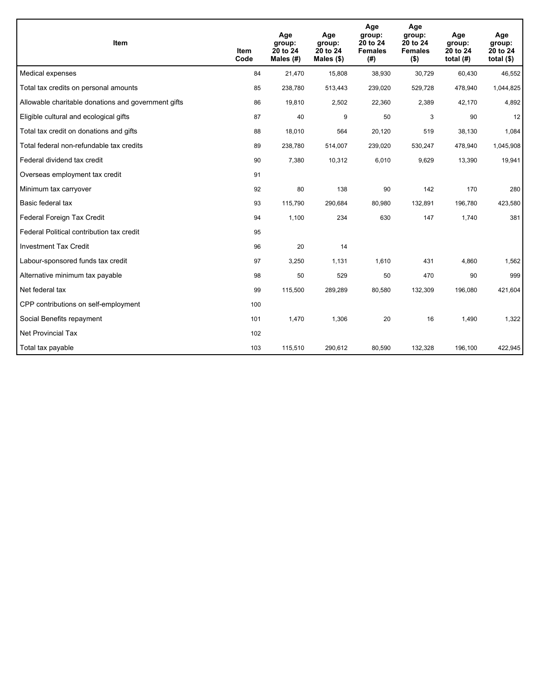| Item                                                | <b>Item</b><br>Code | Age<br>group:<br>20 to 24<br>Males (#) | Age<br>group:<br>20 to 24<br>Males $(\$)$ | Age<br>group:<br>20 to 24<br><b>Females</b><br>(#) | Age<br>group:<br>20 to 24<br><b>Females</b><br>$($ \$) | Age<br>group:<br>20 to 24<br>total $(H)$ | Age<br>group:<br>20 to 24<br>total $($)$ |
|-----------------------------------------------------|---------------------|----------------------------------------|-------------------------------------------|----------------------------------------------------|--------------------------------------------------------|------------------------------------------|------------------------------------------|
| Medical expenses                                    | 84                  | 21,470                                 | 15,808                                    | 38,930                                             | 30,729                                                 | 60,430                                   | 46,552                                   |
| Total tax credits on personal amounts               | 85                  | 238,780                                | 513,443                                   | 239,020                                            | 529,728                                                | 478,940                                  | 1,044,825                                |
| Allowable charitable donations and government gifts | 86                  | 19,810                                 | 2,502                                     | 22,360                                             | 2,389                                                  | 42,170                                   | 4,892                                    |
| Eligible cultural and ecological gifts              | 87                  | 40                                     | 9                                         | 50                                                 | 3                                                      | 90                                       | 12                                       |
| Total tax credit on donations and gifts             | 88                  | 18,010                                 | 564                                       | 20,120                                             | 519                                                    | 38,130                                   | 1,084                                    |
| Total federal non-refundable tax credits            | 89                  | 238,780                                | 514,007                                   | 239,020                                            | 530,247                                                | 478,940                                  | 1,045,908                                |
| Federal dividend tax credit                         | 90                  | 7,380                                  | 10,312                                    | 6,010                                              | 9,629                                                  | 13,390                                   | 19,941                                   |
| Overseas employment tax credit                      | 91                  |                                        |                                           |                                                    |                                                        |                                          |                                          |
| Minimum tax carryover                               | 92                  | 80                                     | 138                                       | 90                                                 | 142                                                    | 170                                      | 280                                      |
| Basic federal tax                                   | 93                  | 115,790                                | 290,684                                   | 80,980                                             | 132,891                                                | 196,780                                  | 423,580                                  |
| Federal Foreign Tax Credit                          | 94                  | 1,100                                  | 234                                       | 630                                                | 147                                                    | 1,740                                    | 381                                      |
| Federal Political contribution tax credit           | 95                  |                                        |                                           |                                                    |                                                        |                                          |                                          |
| <b>Investment Tax Credit</b>                        | 96                  | 20                                     | 14                                        |                                                    |                                                        |                                          |                                          |
| Labour-sponsored funds tax credit                   | 97                  | 3,250                                  | 1,131                                     | 1,610                                              | 431                                                    | 4,860                                    | 1,562                                    |
| Alternative minimum tax payable                     | 98                  | 50                                     | 529                                       | 50                                                 | 470                                                    | 90                                       | 999                                      |
| Net federal tax                                     | 99                  | 115,500                                | 289,289                                   | 80,580                                             | 132,309                                                | 196,080                                  | 421,604                                  |
| CPP contributions on self-employment                | 100                 |                                        |                                           |                                                    |                                                        |                                          |                                          |
| Social Benefits repayment                           | 101                 | 1,470                                  | 1,306                                     | 20                                                 | 16                                                     | 1,490                                    | 1,322                                    |
| <b>Net Provincial Tax</b>                           | 102                 |                                        |                                           |                                                    |                                                        |                                          |                                          |
| Total tax payable                                   | 103                 | 115,510                                | 290,612                                   | 80,590                                             | 132,328                                                | 196,100                                  | 422,945                                  |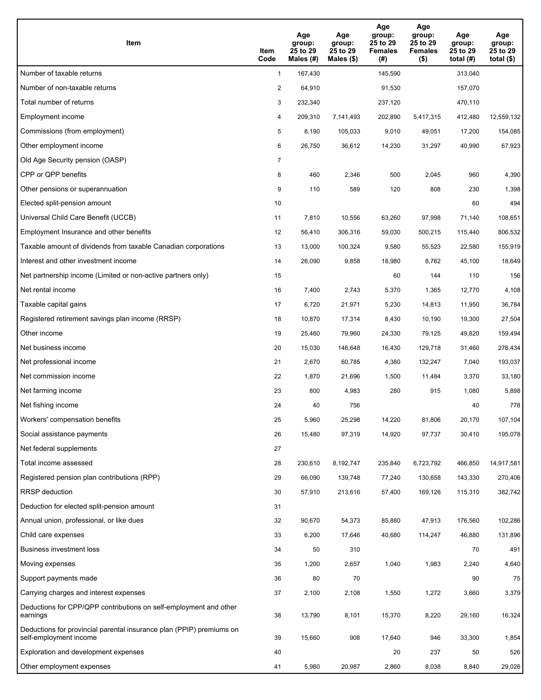| Item                                                                                           | Item<br>Code   | Age<br>group:<br>25 to 29<br>Males $(H)$ | Age<br>group:<br>25 to 29<br>Males (\$) | Age<br>group:<br>25 to 29<br><b>Females</b><br>(#) | Age<br>group:<br>25 to 29<br><b>Females</b><br>$($ \$) | Age<br>group:<br>25 to 29<br>total $(H)$ | Age<br>group:<br>25 to 29<br>total $($)$ |
|------------------------------------------------------------------------------------------------|----------------|------------------------------------------|-----------------------------------------|----------------------------------------------------|--------------------------------------------------------|------------------------------------------|------------------------------------------|
| Number of taxable returns                                                                      | $\mathbf{1}$   | 167,430                                  |                                         | 145,590                                            |                                                        | 313,040                                  |                                          |
| Number of non-taxable returns                                                                  | $\overline{2}$ | 64,910                                   |                                         | 91,530                                             |                                                        | 157,070                                  |                                          |
| Total number of returns                                                                        | 3              | 232,340                                  |                                         | 237,120                                            |                                                        | 470,110                                  |                                          |
| Employment income                                                                              | 4              | 209,310                                  | 7,141,493                               | 202,890                                            | 5,417,315                                              | 412,480                                  | 12,559,132                               |
| Commissions (from employment)                                                                  | 5              | 8,190                                    | 105,033                                 | 9,010                                              | 49,051                                                 | 17,200                                   | 154,085                                  |
| Other employment income                                                                        | 6              | 26,750                                   | 36,612                                  | 14,230                                             | 31,297                                                 | 40,990                                   | 67,923                                   |
| Old Age Security pension (OASP)                                                                | $\overline{7}$ |                                          |                                         |                                                    |                                                        |                                          |                                          |
| CPP or QPP benefits                                                                            | 8              | 460                                      | 2,346                                   | 500                                                | 2,045                                                  | 960                                      | 4,390                                    |
| Other pensions or superannuation                                                               | 9              | 110                                      | 589                                     | 120                                                | 808                                                    | 230                                      | 1,398                                    |
| Elected split-pension amount                                                                   | 10             |                                          |                                         |                                                    |                                                        | 60                                       | 494                                      |
| Universal Child Care Benefit (UCCB)                                                            | 11             | 7,810                                    | 10,556                                  | 63,260                                             | 97,998                                                 | 71,140                                   | 108,651                                  |
| Employment Insurance and other benefits                                                        | 12             | 56,410                                   | 306,316                                 | 59,030                                             | 500,215                                                | 115,440                                  | 806,532                                  |
| Taxable amount of dividends from taxable Canadian corporations                                 | 13             | 13,000                                   | 100,324                                 | 9,580                                              | 55,523                                                 | 22,580                                   | 155,919                                  |
| Interest and other investment income                                                           | 14             | 26,090                                   | 9,858                                   | 18,980                                             | 8,782                                                  | 45,100                                   | 18,649                                   |
| Net partnership income (Limited or non-active partners only)                                   | 15             |                                          |                                         | 60                                                 | 144                                                    | 110                                      | 156                                      |
| Net rental income                                                                              | 16             | 7,400                                    | 2,743                                   | 5,370                                              | 1,365                                                  | 12,770                                   | 4,108                                    |
| Taxable capital gains                                                                          | 17             | 6,720                                    | 21,971                                  | 5,230                                              | 14,813                                                 | 11,950                                   | 36,784                                   |
| Registered retirement savings plan income (RRSP)                                               | 18             | 10,870                                   | 17,314                                  | 8,430                                              | 10,190                                                 | 19,300                                   | 27,504                                   |
| Other income                                                                                   | 19             | 25,460                                   | 79,960                                  | 24,330                                             | 79,125                                                 | 49,820                                   | 159,494                                  |
| Net business income                                                                            | 20             | 15,030                                   | 146,648                                 | 16,430                                             | 129,718                                                | 31,460                                   | 276,434                                  |
| Net professional income                                                                        | 21             | 2,670                                    | 60,785                                  | 4,380                                              | 132,247                                                | 7,040                                    | 193,037                                  |
| Net commission income                                                                          | 22             | 1,870                                    | 21,696                                  | 1,500                                              | 11,484                                                 | 3,370                                    | 33,180                                   |
| Net farming income                                                                             | 23             | 800                                      | 4,983                                   | 280                                                | 915                                                    | 1,080                                    | 5,898                                    |
| Net fishing income                                                                             | 24             | 40                                       | 756                                     |                                                    |                                                        | 40                                       | 778                                      |
| Workers' compensation benefits                                                                 | 25             | 5,960                                    | 25,298                                  | 14,220                                             | 81,806                                                 | 20,170                                   | 107,104                                  |
| Social assistance payments                                                                     | 26             | 15,480                                   | 97,319                                  | 14,920                                             | 97,737                                                 | 30,410                                   | 195,078                                  |
| Net federal supplements                                                                        | 27             |                                          |                                         |                                                    |                                                        |                                          |                                          |
| Total income assessed                                                                          | 28             | 230,610                                  | 8,192,747                               | 235,840                                            | 6,723,792                                              | 466,850                                  | 14,917,581                               |
| Registered pension plan contributions (RPP)                                                    | 29             | 66,090                                   | 139,748                                 | 77,240                                             | 130,658                                                | 143,330                                  | 270,406                                  |
| RRSP deduction                                                                                 | 30             | 57,910                                   | 213,616                                 | 57,400                                             | 169,126                                                | 115,310                                  | 382,742                                  |
| Deduction for elected split-pension amount                                                     | 31             |                                          |                                         |                                                    |                                                        |                                          |                                          |
| Annual union, professional, or like dues                                                       | 32             | 90,670                                   | 54,373                                  | 85,880                                             | 47,913                                                 | 176,560                                  | 102,286                                  |
| Child care expenses                                                                            | 33             | 6,200                                    | 17,646                                  | 40,680                                             | 114,247                                                | 46,880                                   | 131,896                                  |
| Business investment loss                                                                       | 34             | 50                                       | 310                                     |                                                    |                                                        | 70                                       | 491                                      |
| Moving expenses                                                                                | 35             | 1,200                                    | 2,657                                   | 1,040                                              | 1,983                                                  | 2,240                                    | 4,640                                    |
| Support payments made                                                                          | 36             | 80                                       | 70                                      |                                                    |                                                        | 90                                       | 75                                       |
| Carrying charges and interest expenses                                                         | 37             | 2,100                                    | 2,108                                   | 1,550                                              | 1,272                                                  | 3,660                                    | 3,379                                    |
| Deductions for CPP/QPP contributions on self-employment and other<br>earnings                  | 38             | 13,790                                   | 8,101                                   | 15,370                                             | 8,220                                                  | 29,160                                   | 16,324                                   |
| Deductions for provincial parental insurance plan (PPIP) premiums on<br>self-employment income | 39             | 15,660                                   | 908                                     | 17,640                                             | 946                                                    | 33,300                                   | 1,854                                    |
| Exploration and development expenses                                                           | 40             |                                          |                                         | 20                                                 | 237                                                    | 50                                       | 526                                      |
| Other employment expenses                                                                      | 41             | 5,980                                    | 20,987                                  | 2,860                                              | 8,038                                                  | 8,840                                    | 29,026                                   |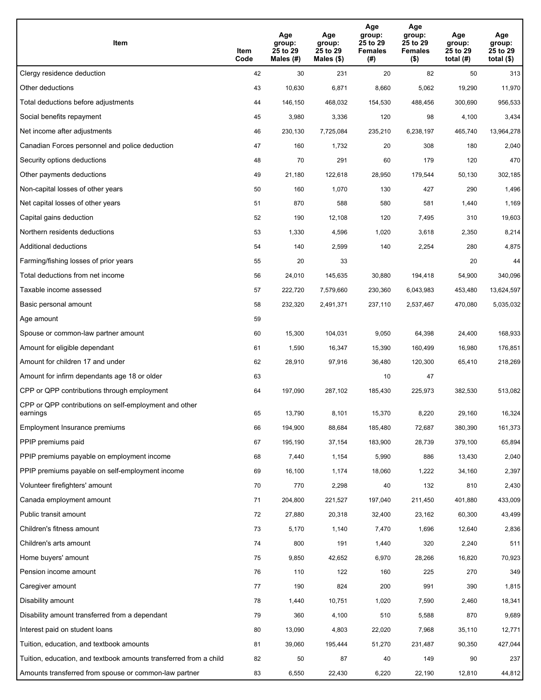| Item                                                              | Item<br>Code | Age<br>group:<br>25 to 29<br>Males (#) | Age<br>group:<br>25 to 29<br>Males (\$) | Age<br>group:<br>25 to 29<br><b>Females</b><br>(#) | Age<br>group:<br>25 to 29<br><b>Females</b><br>$($ \$) | Age<br>group:<br>25 to 29<br>total $(H)$ | Age<br>group:<br>25 to 29<br>total $($)$ |
|-------------------------------------------------------------------|--------------|----------------------------------------|-----------------------------------------|----------------------------------------------------|--------------------------------------------------------|------------------------------------------|------------------------------------------|
| Clergy residence deduction                                        | 42           | 30                                     | 231                                     | 20                                                 | 82                                                     | 50                                       | 313                                      |
| Other deductions                                                  | 43           | 10,630                                 | 6,871                                   | 8,660                                              | 5,062                                                  | 19,290                                   | 11,970                                   |
| Total deductions before adjustments                               | 44           | 146,150                                | 468,032                                 | 154,530                                            | 488,456                                                | 300,690                                  | 956,533                                  |
| Social benefits repayment                                         | 45           | 3,980                                  | 3,336                                   | 120                                                | 98                                                     | 4,100                                    | 3,434                                    |
| Net income after adjustments                                      | 46           | 230,130                                | 7,725,084                               | 235,210                                            | 6,238,197                                              | 465,740                                  | 13,964,278                               |
| Canadian Forces personnel and police deduction                    | 47           | 160                                    | 1,732                                   | 20                                                 | 308                                                    | 180                                      | 2,040                                    |
| Security options deductions                                       | 48           | 70                                     | 291                                     | 60                                                 | 179                                                    | 120                                      | 470                                      |
| Other payments deductions                                         | 49           | 21,180                                 | 122,618                                 | 28,950                                             | 179,544                                                | 50,130                                   | 302,185                                  |
| Non-capital losses of other years                                 | 50           | 160                                    | 1,070                                   | 130                                                | 427                                                    | 290                                      | 1,496                                    |
| Net capital losses of other years                                 | 51           | 870                                    | 588                                     | 580                                                | 581                                                    | 1,440                                    | 1,169                                    |
| Capital gains deduction                                           | 52           | 190                                    | 12,108                                  | 120                                                | 7,495                                                  | 310                                      | 19,603                                   |
| Northern residents deductions                                     | 53           | 1,330                                  | 4,596                                   | 1,020                                              | 3,618                                                  | 2,350                                    | 8,214                                    |
| Additional deductions                                             | 54           | 140                                    | 2,599                                   | 140                                                | 2,254                                                  | 280                                      | 4,875                                    |
| Farming/fishing losses of prior years                             | 55           | 20                                     | 33                                      |                                                    |                                                        | 20                                       | 44                                       |
| Total deductions from net income                                  | 56           | 24,010                                 | 145,635                                 | 30,880                                             | 194,418                                                | 54,900                                   | 340,096                                  |
| Taxable income assessed                                           | 57           | 222,720                                | 7,579,660                               | 230,360                                            | 6,043,983                                              | 453,480                                  | 13,624,597                               |
| Basic personal amount                                             | 58           | 232,320                                | 2,491,371                               | 237,110                                            | 2,537,467                                              | 470,080                                  | 5,035,032                                |
| Age amount                                                        | 59           |                                        |                                         |                                                    |                                                        |                                          |                                          |
| Spouse or common-law partner amount                               | 60           | 15,300                                 | 104,031                                 | 9,050                                              | 64,398                                                 | 24,400                                   | 168,933                                  |
| Amount for eligible dependant                                     | 61           | 1,590                                  | 16,347                                  | 15,390                                             | 160,499                                                | 16,980                                   | 176,851                                  |
| Amount for children 17 and under                                  | 62           | 28,910                                 | 97,916                                  | 36,480                                             | 120,300                                                | 65,410                                   | 218,269                                  |
| Amount for infirm dependants age 18 or older                      | 63           |                                        |                                         | 10                                                 | 47                                                     |                                          |                                          |
| CPP or QPP contributions through employment                       | 64           | 197,090                                | 287,102                                 | 185,430                                            | 225,973                                                | 382,530                                  | 513,082                                  |
| CPP or QPP contributions on self-employment and other<br>earnings | 65           | 13,790                                 | 8,101                                   | 15,370                                             | 8,220                                                  | 29,160                                   | 16,324                                   |
| Employment Insurance premiums                                     | 66           | 194,900                                | 88,684                                  | 185,480                                            | 72,687                                                 | 380,390                                  | 161,373                                  |
| PPIP premiums paid                                                | 67           | 195,190                                | 37,154                                  | 183,900                                            | 28,739                                                 | 379,100                                  | 65,894                                   |
| PPIP premiums payable on employment income                        | 68           | 7,440                                  | 1,154                                   | 5,990                                              | 886                                                    | 13,430                                   | 2,040                                    |
| PPIP premiums payable on self-employment income                   | 69           | 16,100                                 | 1,174                                   | 18,060                                             | 1,222                                                  | 34,160                                   | 2,397                                    |
| Volunteer firefighters' amount                                    | 70           | 770                                    | 2,298                                   | 40                                                 | 132                                                    | 810                                      | 2,430                                    |
| Canada employment amount                                          | 71           | 204,800                                | 221,527                                 | 197,040                                            | 211,450                                                | 401,880                                  | 433,009                                  |
| Public transit amount                                             | 72           | 27,880                                 | 20,318                                  | 32,400                                             | 23,162                                                 | 60,300                                   | 43,499                                   |
| Children's fitness amount                                         | 73           | 5,170                                  | 1,140                                   | 7,470                                              | 1,696                                                  | 12,640                                   | 2,836                                    |
| Children's arts amount                                            | 74           | 800                                    | 191                                     | 1,440                                              | 320                                                    | 2,240                                    | 511                                      |
| Home buyers' amount                                               | 75           | 9,850                                  | 42,652                                  | 6,970                                              | 28,266                                                 | 16,820                                   | 70,923                                   |
| Pension income amount                                             | 76           | 110                                    | 122                                     | 160                                                | 225                                                    | 270                                      | 349                                      |
| Caregiver amount                                                  | 77           | 190                                    | 824                                     | 200                                                | 991                                                    | 390                                      | 1,815                                    |
| Disability amount                                                 | 78           | 1,440                                  | 10,751                                  | 1,020                                              | 7,590                                                  | 2,460                                    | 18,341                                   |
| Disability amount transferred from a dependant                    | 79           | 360                                    | 4,100                                   | 510                                                | 5,588                                                  | 870                                      | 9,689                                    |
| Interest paid on student loans                                    | 80           | 13,090                                 | 4,803                                   | 22,020                                             | 7,968                                                  | 35,110                                   | 12,771                                   |
| Tuition, education, and textbook amounts                          | 81           | 39,060                                 | 195,444                                 | 51,270                                             | 231,487                                                | 90,350                                   | 427,044                                  |
| Tuition, education, and textbook amounts transferred from a child | 82           | 50                                     | 87                                      | 40                                                 | 149                                                    | 90                                       | 237                                      |
| Amounts transferred from spouse or common-law partner             | 83           | 6,550                                  | 22,430                                  | 6,220                                              | 22,190                                                 | 12,810                                   | 44,812                                   |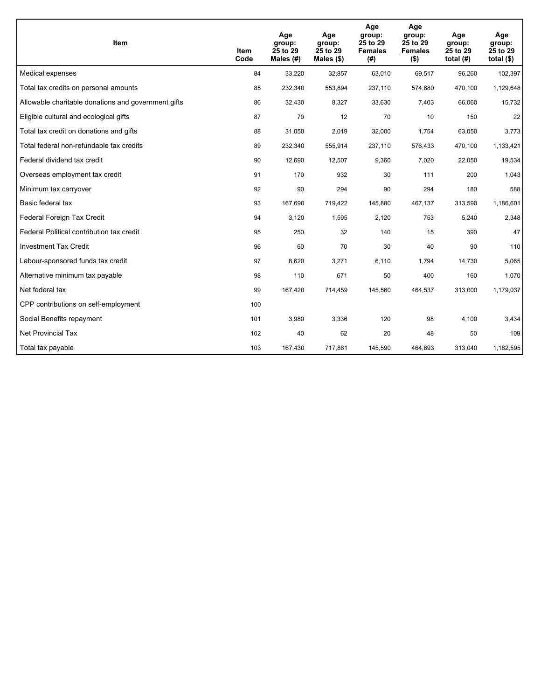| <b>Item</b>                                         | Item<br>Code | Age<br>group:<br>25 to 29<br>Males (#) | Age<br>group:<br>25 to 29<br>Males $(\$)$ | Age<br>group:<br>25 to 29<br><b>Females</b><br>(#) | Age<br>group:<br>25 to 29<br><b>Females</b><br>$($ \$) | Age<br>group:<br>25 to 29<br>total $(H)$ | Age<br>group:<br>25 to 29<br>total $($)$ |
|-----------------------------------------------------|--------------|----------------------------------------|-------------------------------------------|----------------------------------------------------|--------------------------------------------------------|------------------------------------------|------------------------------------------|
| Medical expenses                                    | 84           | 33,220                                 | 32,857                                    | 63,010                                             | 69,517                                                 | 96,260                                   | 102,397                                  |
| Total tax credits on personal amounts               | 85           | 232,340                                | 553,894                                   | 237,110                                            | 574,680                                                | 470,100                                  | 1,129,648                                |
| Allowable charitable donations and government gifts | 86           | 32,430                                 | 8,327                                     | 33,630                                             | 7,403                                                  | 66,060                                   | 15,732                                   |
| Eligible cultural and ecological gifts              | 87           | 70                                     | 12                                        | 70                                                 | 10                                                     | 150                                      | 22                                       |
| Total tax credit on donations and gifts             | 88           | 31,050                                 | 2,019                                     | 32,000                                             | 1,754                                                  | 63,050                                   | 3,773                                    |
| Total federal non-refundable tax credits            | 89           | 232,340                                | 555,914                                   | 237,110                                            | 576,433                                                | 470,100                                  | 1,133,421                                |
| Federal dividend tax credit                         | 90           | 12,690                                 | 12,507                                    | 9,360                                              | 7,020                                                  | 22,050                                   | 19,534                                   |
| Overseas employment tax credit                      | 91           | 170                                    | 932                                       | 30                                                 | 111                                                    | 200                                      | 1,043                                    |
| Minimum tax carryover                               | 92           | 90                                     | 294                                       | 90                                                 | 294                                                    | 180                                      | 588                                      |
| Basic federal tax                                   | 93           | 167,690                                | 719,422                                   | 145,880                                            | 467,137                                                | 313,590                                  | 1,186,601                                |
| Federal Foreign Tax Credit                          | 94           | 3,120                                  | 1,595                                     | 2,120                                              | 753                                                    | 5,240                                    | 2,348                                    |
| Federal Political contribution tax credit           | 95           | 250                                    | 32                                        | 140                                                | 15                                                     | 390                                      | 47                                       |
| <b>Investment Tax Credit</b>                        | 96           | 60                                     | 70                                        | 30                                                 | 40                                                     | 90                                       | 110                                      |
| Labour-sponsored funds tax credit                   | 97           | 8,620                                  | 3,271                                     | 6,110                                              | 1,794                                                  | 14,730                                   | 5,065                                    |
| Alternative minimum tax payable                     | 98           | 110                                    | 671                                       | 50                                                 | 400                                                    | 160                                      | 1,070                                    |
| Net federal tax                                     | 99           | 167,420                                | 714,459                                   | 145,560                                            | 464,537                                                | 313,000                                  | 1,179,037                                |
| CPP contributions on self-employment                | 100          |                                        |                                           |                                                    |                                                        |                                          |                                          |
| Social Benefits repayment                           | 101          | 3,980                                  | 3,336                                     | 120                                                | 98                                                     | 4,100                                    | 3,434                                    |
| <b>Net Provincial Tax</b>                           | 102          | 40                                     | 62                                        | 20                                                 | 48                                                     | 50                                       | 109                                      |
| Total tax payable                                   | 103          | 167,430                                | 717,861                                   | 145,590                                            | 464,693                                                | 313,040                                  | 1,182,595                                |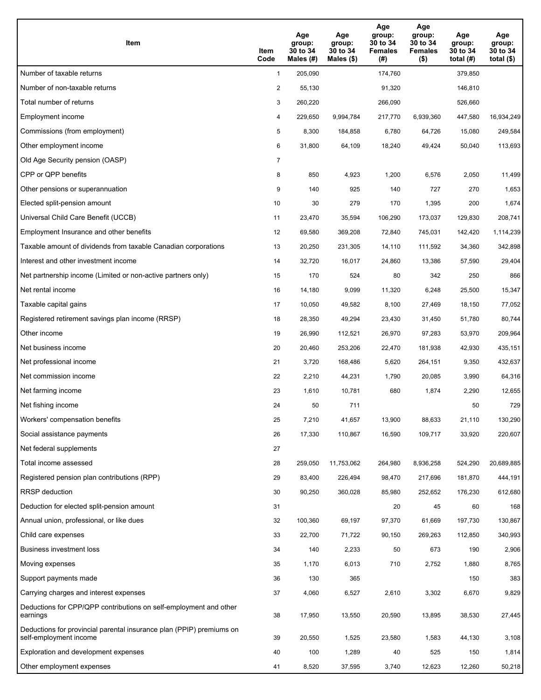| Item                                                                                           | Item<br>Code   | Age<br>group:<br>30 to 34<br>Males $(\#)$ | Age<br>group:<br>30 to 34<br>Males $(\$)$ | Age<br>group:<br>30 to 34<br><b>Females</b><br>(#) | Age<br>group:<br>30 to 34<br><b>Females</b><br>$($ \$) | Age<br>group:<br>30 to 34<br>total $(H)$ | Age<br>group:<br>30 to 34<br>total $(\$)$ |
|------------------------------------------------------------------------------------------------|----------------|-------------------------------------------|-------------------------------------------|----------------------------------------------------|--------------------------------------------------------|------------------------------------------|-------------------------------------------|
| Number of taxable returns                                                                      | $\mathbf{1}$   | 205,090                                   |                                           | 174,760                                            |                                                        | 379,850                                  |                                           |
| Number of non-taxable returns                                                                  | $\overline{2}$ | 55,130                                    |                                           | 91,320                                             |                                                        | 146,810                                  |                                           |
| Total number of returns                                                                        | 3              | 260,220                                   |                                           | 266,090                                            |                                                        | 526,660                                  |                                           |
| Employment income                                                                              | 4              | 229,650                                   | 9,994,784                                 | 217,770                                            | 6,939,360                                              | 447,580                                  | 16,934,249                                |
| Commissions (from employment)                                                                  | 5              | 8,300                                     | 184,858                                   | 6,780                                              | 64,726                                                 | 15,080                                   | 249,584                                   |
| Other employment income                                                                        | 6              | 31,800                                    | 64,109                                    | 18,240                                             | 49,424                                                 | 50,040                                   | 113,693                                   |
| Old Age Security pension (OASP)                                                                | $\overline{7}$ |                                           |                                           |                                                    |                                                        |                                          |                                           |
| CPP or QPP benefits                                                                            | 8              | 850                                       | 4,923                                     | 1,200                                              | 6,576                                                  | 2,050                                    | 11,499                                    |
| Other pensions or superannuation                                                               | 9              | 140                                       | 925                                       | 140                                                | 727                                                    | 270                                      | 1,653                                     |
| Elected split-pension amount                                                                   | 10             | 30                                        | 279                                       | 170                                                | 1,395                                                  | 200                                      | 1,674                                     |
| Universal Child Care Benefit (UCCB)                                                            | 11             | 23,470                                    | 35,594                                    | 106,290                                            | 173,037                                                | 129,830                                  | 208,741                                   |
| Employment Insurance and other benefits                                                        | 12             | 69,580                                    | 369,208                                   | 72,840                                             | 745,031                                                | 142,420                                  | 1,114,239                                 |
| Taxable amount of dividends from taxable Canadian corporations                                 | 13             | 20,250                                    | 231,305                                   | 14,110                                             | 111,592                                                | 34,360                                   | 342,898                                   |
| Interest and other investment income                                                           | 14             | 32,720                                    | 16,017                                    | 24,860                                             | 13,386                                                 | 57,590                                   | 29,404                                    |
| Net partnership income (Limited or non-active partners only)                                   | 15             | 170                                       | 524                                       | 80                                                 | 342                                                    | 250                                      | 866                                       |
| Net rental income                                                                              | 16             | 14,180                                    | 9,099                                     | 11,320                                             | 6,248                                                  | 25,500                                   | 15,347                                    |
| Taxable capital gains                                                                          | 17             | 10,050                                    | 49,582                                    | 8,100                                              | 27,469                                                 | 18,150                                   | 77,052                                    |
| Registered retirement savings plan income (RRSP)                                               | 18             | 28,350                                    | 49,294                                    | 23,430                                             | 31,450                                                 | 51,780                                   | 80,744                                    |
| Other income                                                                                   | 19             | 26,990                                    | 112,521                                   | 26,970                                             | 97,283                                                 | 53,970                                   | 209,964                                   |
| Net business income                                                                            | 20             | 20,460                                    | 253,206                                   | 22,470                                             | 181,938                                                | 42,930                                   | 435,151                                   |
| Net professional income                                                                        | 21             | 3,720                                     | 168,486                                   | 5,620                                              | 264,151                                                | 9,350                                    | 432,637                                   |
| Net commission income                                                                          | 22             | 2,210                                     | 44,231                                    | 1,790                                              | 20,085                                                 | 3,990                                    | 64,316                                    |
| Net farming income                                                                             | 23             | 1,610                                     | 10,781                                    | 680                                                | 1,874                                                  | 2,290                                    | 12,655                                    |
| Net fishing income                                                                             | 24             | 50                                        | 711                                       |                                                    |                                                        | 50                                       | 729                                       |
| Workers' compensation benefits                                                                 | 25             | 7,210                                     | 41,657                                    | 13,900                                             | 88,633                                                 | 21,110                                   | 130,290                                   |
| Social assistance payments                                                                     | 26             | 17,330                                    | 110,867                                   | 16,590                                             | 109,717                                                | 33,920                                   | 220,607                                   |
| Net federal supplements                                                                        | 27             |                                           |                                           |                                                    |                                                        |                                          |                                           |
| Total income assessed                                                                          | 28             | 259,050                                   | 11,753,062                                | 264,980                                            | 8,936,258                                              | 524,290                                  | 20,689,885                                |
| Registered pension plan contributions (RPP)                                                    | 29             | 83,400                                    | 226,494                                   | 98,470                                             | 217,696                                                | 181,870                                  | 444,191                                   |
| RRSP deduction                                                                                 | 30             | 90,250                                    | 360,028                                   | 85,980                                             | 252,652                                                | 176,230                                  | 612,680                                   |
| Deduction for elected split-pension amount                                                     | 31             |                                           |                                           | 20                                                 | 45                                                     | 60                                       | 168                                       |
| Annual union, professional, or like dues                                                       | 32             | 100,360                                   | 69,197                                    | 97,370                                             | 61,669                                                 | 197,730                                  | 130,867                                   |
| Child care expenses                                                                            | 33             | 22,700                                    | 71,722                                    | 90,150                                             | 269,263                                                | 112,850                                  | 340,993                                   |
| Business investment loss                                                                       | 34             | 140                                       | 2,233                                     | 50                                                 | 673                                                    | 190                                      | 2,906                                     |
| Moving expenses                                                                                | 35             | 1,170                                     | 6,013                                     | 710                                                | 2,752                                                  | 1,880                                    | 8,765                                     |
| Support payments made                                                                          | 36             | 130                                       | 365                                       |                                                    |                                                        | 150                                      | 383                                       |
| Carrying charges and interest expenses                                                         | 37             | 4,060                                     | 6,527                                     | 2,610                                              | 3,302                                                  | 6,670                                    | 9,829                                     |
| Deductions for CPP/QPP contributions on self-employment and other<br>earnings                  | 38             | 17,950                                    | 13,550                                    | 20,590                                             | 13,895                                                 | 38,530                                   | 27,445                                    |
| Deductions for provincial parental insurance plan (PPIP) premiums on<br>self-employment income | 39             | 20,550                                    | 1,525                                     | 23,580                                             | 1,583                                                  | 44,130                                   | 3,108                                     |
| Exploration and development expenses                                                           | 40             | 100                                       | 1,289                                     | 40                                                 | 525                                                    | 150                                      | 1,814                                     |
| Other employment expenses                                                                      | 41             | 8,520                                     | 37,595                                    | 3,740                                              | 12,623                                                 | 12,260                                   | 50,218                                    |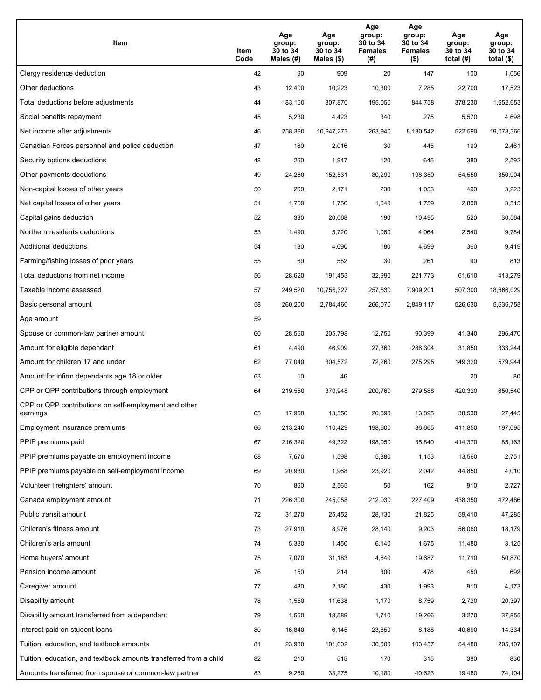| Item                                                              | Item<br>Code | Age<br>group:<br>30 to 34<br>Males (#) | Age<br>group:<br>30 to 34<br>Males (\$) | Age<br>group:<br>30 to 34<br><b>Females</b><br>(# ) | Age<br>group:<br>30 to 34<br><b>Females</b><br>$($ \$) | Age<br>group:<br>30 to 34<br>total $(H)$ | Age<br>group:<br>30 to 34<br>total $($)$ |
|-------------------------------------------------------------------|--------------|----------------------------------------|-----------------------------------------|-----------------------------------------------------|--------------------------------------------------------|------------------------------------------|------------------------------------------|
| Clergy residence deduction                                        | 42           | 90                                     | 909                                     | 20                                                  | 147                                                    | 100                                      | 1,056                                    |
| Other deductions                                                  | 43           | 12,400                                 | 10,223                                  | 10,300                                              | 7,285                                                  | 22,700                                   | 17,523                                   |
| Total deductions before adjustments                               | 44           | 183,160                                | 807,870                                 | 195,050                                             | 844,758                                                | 378,230                                  | 1,652,653                                |
| Social benefits repayment                                         | 45           | 5,230                                  | 4,423                                   | 340                                                 | 275                                                    | 5,570                                    | 4,698                                    |
| Net income after adjustments                                      | 46           | 258,390                                | 10,947,273                              | 263,940                                             | 8,130,542                                              | 522,590                                  | 19,078,366                               |
| Canadian Forces personnel and police deduction                    | 47           | 160                                    | 2,016                                   | 30                                                  | 445                                                    | 190                                      | 2,461                                    |
| Security options deductions                                       | 48           | 260                                    | 1,947                                   | 120                                                 | 645                                                    | 380                                      | 2,592                                    |
| Other payments deductions                                         | 49           | 24,260                                 | 152,531                                 | 30,290                                              | 198,350                                                | 54,550                                   | 350,904                                  |
| Non-capital losses of other years                                 | 50           | 260                                    | 2,171                                   | 230                                                 | 1,053                                                  | 490                                      | 3,223                                    |
| Net capital losses of other years                                 | 51           | 1,760                                  | 1,756                                   | 1,040                                               | 1,759                                                  | 2,800                                    | 3,515                                    |
| Capital gains deduction                                           | 52           | 330                                    | 20,068                                  | 190                                                 | 10,495                                                 | 520                                      | 30,564                                   |
| Northern residents deductions                                     | 53           | 1,490                                  | 5,720                                   | 1,060                                               | 4,064                                                  | 2,540                                    | 9,784                                    |
| Additional deductions                                             | 54           | 180                                    | 4,690                                   | 180                                                 | 4,699                                                  | 360                                      | 9,419                                    |
| Farming/fishing losses of prior years                             | 55           | 60                                     | 552                                     | 30                                                  | 261                                                    | 90                                       | 813                                      |
| Total deductions from net income                                  | 56           | 28,620                                 | 191,453                                 | 32,990                                              | 221,773                                                | 61,610                                   | 413,279                                  |
| Taxable income assessed                                           | 57           | 249,520                                | 10,756,327                              | 257,530                                             | 7,909,201                                              | 507,300                                  | 18,666,029                               |
| Basic personal amount                                             | 58           | 260,200                                | 2,784,460                               | 266,070                                             | 2,849,117                                              | 526,630                                  | 5,636,758                                |
| Age amount                                                        | 59           |                                        |                                         |                                                     |                                                        |                                          |                                          |
| Spouse or common-law partner amount                               | 60           | 28,560                                 | 205,798                                 | 12,750                                              | 90,399                                                 | 41,340                                   | 296,470                                  |
| Amount for eligible dependant                                     | 61           | 4,490                                  | 46,909                                  | 27,360                                              | 286,304                                                | 31,850                                   | 333,244                                  |
| Amount for children 17 and under                                  | 62           | 77,040                                 | 304,572                                 | 72,260                                              | 275,295                                                | 149,320                                  | 579,944                                  |
| Amount for infirm dependants age 18 or older                      | 63           | 10                                     | 46                                      |                                                     |                                                        | 20                                       | 80                                       |
| CPP or QPP contributions through employment                       | 64           | 219,550                                | 370,948                                 | 200,760                                             | 279,588                                                | 420,320                                  | 650,540                                  |
| CPP or QPP contributions on self-employment and other<br>earnings | 65           | 17,950                                 | 13,550                                  | 20,590                                              | 13,895                                                 | 38,530                                   | 27,445                                   |
| Employment Insurance premiums                                     | 66           | 213,240                                | 110,429                                 | 198,600                                             | 86,665                                                 | 411,850                                  | 197,095                                  |
| PPIP premiums paid                                                | 67           | 216,320                                | 49,322                                  | 198,050                                             | 35,840                                                 | 414,370                                  | 85,163                                   |
| PPIP premiums payable on employment income                        | 68           | 7,670                                  | 1,598                                   | 5,880                                               | 1,153                                                  | 13,560                                   | 2,751                                    |
| PPIP premiums payable on self-employment income                   | 69           | 20,930                                 | 1,968                                   | 23,920                                              | 2,042                                                  | 44,850                                   | 4,010                                    |
| Volunteer firefighters' amount                                    | 70           | 860                                    | 2,565                                   | 50                                                  | 162                                                    | 910                                      | 2,727                                    |
| Canada employment amount                                          | 71           | 226,300                                | 245,058                                 | 212,030                                             | 227,409                                                | 438,350                                  | 472,486                                  |
| Public transit amount                                             | 72           | 31,270                                 | 25,452                                  | 28,130                                              | 21,825                                                 | 59,410                                   | 47,285                                   |
| Children's fitness amount                                         | 73           | 27,910                                 | 8,976                                   | 28,140                                              | 9,203                                                  | 56,060                                   | 18,179                                   |
| Children's arts amount                                            | 74           | 5,330                                  | 1,450                                   | 6,140                                               | 1,675                                                  | 11,480                                   | 3,125                                    |
| Home buyers' amount                                               | 75           | 7,070                                  | 31,183                                  | 4,640                                               | 19,687                                                 | 11,710                                   | 50,870                                   |
| Pension income amount                                             | 76           | 150                                    | 214                                     | 300                                                 | 478                                                    | 450                                      | 692                                      |
| Caregiver amount                                                  | 77           | 480                                    | 2,180                                   | 430                                                 | 1,993                                                  | 910                                      | 4,173                                    |
| Disability amount                                                 | 78           | 1,550                                  | 11,638                                  | 1,170                                               | 8,759                                                  | 2,720                                    | 20,397                                   |
| Disability amount transferred from a dependant                    | 79           | 1,560                                  | 18,589                                  | 1,710                                               | 19,266                                                 | 3,270                                    | 37,855                                   |
| Interest paid on student loans                                    | 80           | 16,840                                 | 6,145                                   | 23,850                                              | 8,188                                                  | 40,690                                   | 14,334                                   |
| Tuition, education, and textbook amounts                          | 81           | 23,980                                 | 101,602                                 | 30,500                                              | 103,457                                                | 54,480                                   | 205,107                                  |
| Tuition, education, and textbook amounts transferred from a child | 82           | 210                                    | 515                                     | 170                                                 | 315                                                    | 380                                      | 830                                      |
| Amounts transferred from spouse or common-law partner             | 83           | 9,250                                  | 33,275                                  | 10,180                                              | 40,623                                                 | 19,480                                   | 74,104                                   |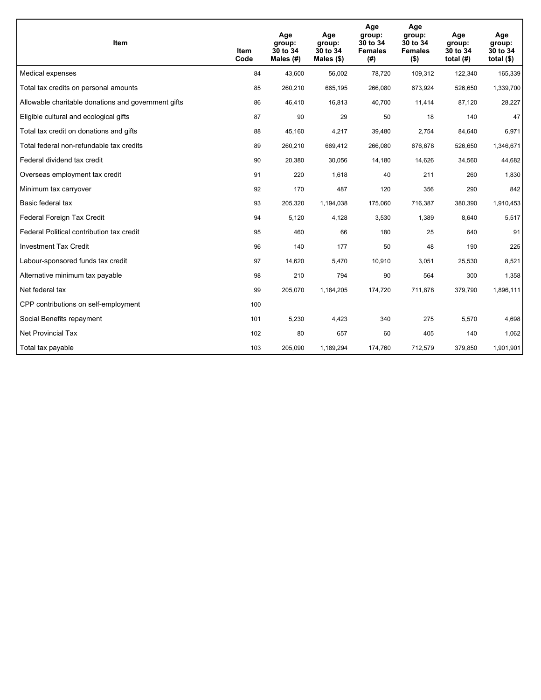| Item                                                | Item<br>Code | Age<br>group:<br>30 to 34<br>Males $(H)$ | Age<br>group:<br>30 to 34<br>Males $(\$)$ | Age<br>group:<br>30 to 34<br><b>Females</b><br>(# ) | Age<br>group:<br>30 to 34<br><b>Females</b><br>$($ \$) | Age<br>group:<br>30 to 34<br>total $(H)$ | Age<br>group:<br>30 to 34<br>total $($)$ |
|-----------------------------------------------------|--------------|------------------------------------------|-------------------------------------------|-----------------------------------------------------|--------------------------------------------------------|------------------------------------------|------------------------------------------|
| Medical expenses                                    | 84           | 43,600                                   | 56,002                                    | 78,720                                              | 109,312                                                | 122,340                                  | 165,339                                  |
| Total tax credits on personal amounts               | 85           | 260,210                                  | 665,195                                   | 266,080                                             | 673,924                                                | 526,650                                  | 1,339,700                                |
| Allowable charitable donations and government gifts | 86           | 46,410                                   | 16,813                                    | 40,700                                              | 11,414                                                 | 87,120                                   | 28,227                                   |
| Eligible cultural and ecological gifts              | 87           | 90                                       | 29                                        | 50                                                  | 18                                                     | 140                                      | 47                                       |
| Total tax credit on donations and gifts             | 88           | 45,160                                   | 4,217                                     | 39,480                                              | 2,754                                                  | 84,640                                   | 6,971                                    |
| Total federal non-refundable tax credits            | 89           | 260,210                                  | 669,412                                   | 266,080                                             | 676,678                                                | 526,650                                  | 1,346,671                                |
| Federal dividend tax credit                         | 90           | 20,380                                   | 30,056                                    | 14,180                                              | 14,626                                                 | 34,560                                   | 44,682                                   |
| Overseas employment tax credit                      | 91           | 220                                      | 1,618                                     | 40                                                  | 211                                                    | 260                                      | 1,830                                    |
| Minimum tax carryover                               | 92           | 170                                      | 487                                       | 120                                                 | 356                                                    | 290                                      | 842                                      |
| Basic federal tax                                   | 93           | 205,320                                  | 1,194,038                                 | 175,060                                             | 716,387                                                | 380,390                                  | 1,910,453                                |
| Federal Foreign Tax Credit                          | 94           | 5,120                                    | 4,128                                     | 3,530                                               | 1,389                                                  | 8,640                                    | 5,517                                    |
| Federal Political contribution tax credit           | 95           | 460                                      | 66                                        | 180                                                 | 25                                                     | 640                                      | 91                                       |
| <b>Investment Tax Credit</b>                        | 96           | 140                                      | 177                                       | 50                                                  | 48                                                     | 190                                      | 225                                      |
| Labour-sponsored funds tax credit                   | 97           | 14,620                                   | 5,470                                     | 10.910                                              | 3.051                                                  | 25,530                                   | 8,521                                    |
| Alternative minimum tax payable                     | 98           | 210                                      | 794                                       | 90                                                  | 564                                                    | 300                                      | 1,358                                    |
| Net federal tax                                     | 99           | 205,070                                  | 1,184,205                                 | 174,720                                             | 711,878                                                | 379,790                                  | 1,896,111                                |
| CPP contributions on self-employment                | 100          |                                          |                                           |                                                     |                                                        |                                          |                                          |
| Social Benefits repayment                           | 101          | 5,230                                    | 4,423                                     | 340                                                 | 275                                                    | 5,570                                    | 4,698                                    |
| Net Provincial Tax                                  | 102          | 80                                       | 657                                       | 60                                                  | 405                                                    | 140                                      | 1,062                                    |
| Total tax payable                                   | 103          | 205,090                                  | 1,189,294                                 | 174,760                                             | 712,579                                                | 379,850                                  | 1,901,901                                |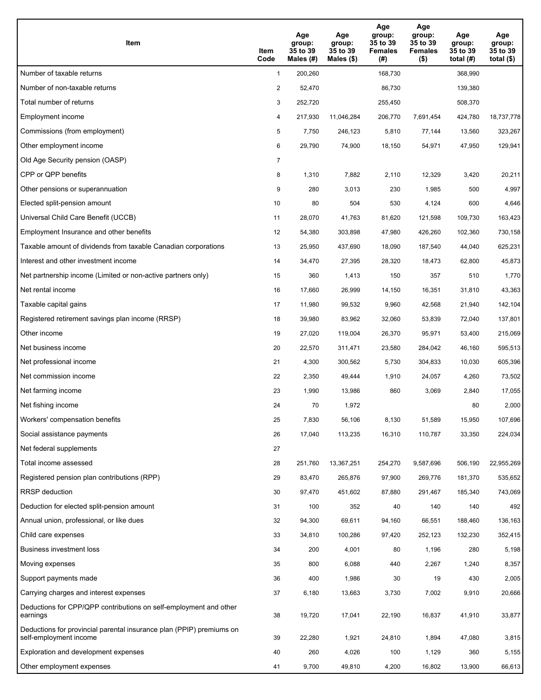| Item                                                                                           | Item<br>Code   | Age<br>group:<br>35 to 39<br>Males $(\#)$ | Age<br>group:<br>35 to 39<br>Males $(\$)$ | Age<br>group:<br>35 to 39<br><b>Females</b><br>(#) | Age<br>group:<br>35 to 39<br><b>Females</b><br>$($ \$) | Age<br>group:<br>35 to 39<br>total $(H)$ | Age<br>group:<br>35 to 39<br>total $(\$)$ |
|------------------------------------------------------------------------------------------------|----------------|-------------------------------------------|-------------------------------------------|----------------------------------------------------|--------------------------------------------------------|------------------------------------------|-------------------------------------------|
| Number of taxable returns                                                                      | $\mathbf{1}$   | 200,260                                   |                                           | 168,730                                            |                                                        | 368,990                                  |                                           |
| Number of non-taxable returns                                                                  | $\overline{2}$ | 52,470                                    |                                           | 86,730                                             |                                                        | 139,380                                  |                                           |
| Total number of returns                                                                        | 3              | 252,720                                   |                                           | 255,450                                            |                                                        | 508,370                                  |                                           |
| Employment income                                                                              | 4              | 217,930                                   | 11,046,284                                | 206,770                                            | 7,691,454                                              | 424,780                                  | 18,737,778                                |
| Commissions (from employment)                                                                  | 5              | 7,750                                     | 246,123                                   | 5,810                                              | 77,144                                                 | 13,560                                   | 323,267                                   |
| Other employment income                                                                        | 6              | 29,790                                    | 74,900                                    | 18,150                                             | 54,971                                                 | 47,950                                   | 129,941                                   |
| Old Age Security pension (OASP)                                                                | $\overline{7}$ |                                           |                                           |                                                    |                                                        |                                          |                                           |
| CPP or QPP benefits                                                                            | 8              | 1,310                                     | 7,882                                     | 2,110                                              | 12,329                                                 | 3,420                                    | 20,211                                    |
| Other pensions or superannuation                                                               | 9              | 280                                       | 3,013                                     | 230                                                | 1,985                                                  | 500                                      | 4,997                                     |
| Elected split-pension amount                                                                   | 10             | 80                                        | 504                                       | 530                                                | 4,124                                                  | 600                                      | 4,646                                     |
| Universal Child Care Benefit (UCCB)                                                            | 11             | 28,070                                    | 41,763                                    | 81,620                                             | 121,598                                                | 109,730                                  | 163,423                                   |
| Employment Insurance and other benefits                                                        | 12             | 54,380                                    | 303,898                                   | 47,980                                             | 426,260                                                | 102,360                                  | 730,158                                   |
| Taxable amount of dividends from taxable Canadian corporations                                 | 13             | 25,950                                    | 437,690                                   | 18,090                                             | 187,540                                                | 44,040                                   | 625,231                                   |
| Interest and other investment income                                                           | 14             | 34,470                                    | 27,395                                    | 28,320                                             | 18,473                                                 | 62,800                                   | 45,873                                    |
| Net partnership income (Limited or non-active partners only)                                   | 15             | 360                                       | 1,413                                     | 150                                                | 357                                                    | 510                                      | 1,770                                     |
| Net rental income                                                                              | 16             | 17,660                                    | 26,999                                    | 14,150                                             | 16,351                                                 | 31,810                                   | 43,363                                    |
| Taxable capital gains                                                                          | 17             | 11,980                                    | 99,532                                    | 9,960                                              | 42,568                                                 | 21,940                                   | 142,104                                   |
| Registered retirement savings plan income (RRSP)                                               | 18             | 39,980                                    | 83,962                                    | 32,060                                             | 53,839                                                 | 72,040                                   | 137,801                                   |
| Other income                                                                                   | 19             | 27,020                                    | 119,004                                   | 26,370                                             | 95,971                                                 | 53,400                                   | 215,069                                   |
| Net business income                                                                            | 20             | 22,570                                    | 311,471                                   | 23,580                                             | 284,042                                                | 46,160                                   | 595,513                                   |
| Net professional income                                                                        | 21             | 4,300                                     | 300,562                                   | 5,730                                              | 304,833                                                | 10,030                                   | 605,396                                   |
| Net commission income                                                                          | 22             | 2,350                                     | 49,444                                    | 1,910                                              | 24,057                                                 | 4,260                                    | 73,502                                    |
| Net farming income                                                                             | 23             | 1,990                                     | 13,986                                    | 860                                                | 3,069                                                  | 2,840                                    | 17,055                                    |
| Net fishing income                                                                             | 24             | 70                                        | 1,972                                     |                                                    |                                                        | 80                                       | 2,000                                     |
| Workers' compensation benefits                                                                 | 25             | 7,830                                     | 56,106                                    | 8,130                                              | 51,589                                                 | 15,950                                   | 107,696                                   |
| Social assistance payments                                                                     | 26             | 17,040                                    | 113,235                                   | 16,310                                             | 110,787                                                | 33,350                                   | 224,034                                   |
| Net federal supplements                                                                        | 27             |                                           |                                           |                                                    |                                                        |                                          |                                           |
| Total income assessed                                                                          | 28             | 251,760                                   | 13,367,251                                | 254,270                                            | 9,587,696                                              | 506,190                                  | 22,955,269                                |
| Registered pension plan contributions (RPP)                                                    | 29             | 83,470                                    | 265,876                                   | 97,900                                             | 269,776                                                | 181,370                                  | 535,652                                   |
| RRSP deduction                                                                                 | 30             | 97,470                                    | 451,602                                   | 87,880                                             | 291,467                                                | 185,340                                  | 743,069                                   |
| Deduction for elected split-pension amount                                                     | 31             | 100                                       | 352                                       | 40                                                 | 140                                                    | 140                                      | 492                                       |
| Annual union, professional, or like dues                                                       | 32             | 94,300                                    | 69,611                                    | 94,160                                             | 66,551                                                 | 188,460                                  | 136,163                                   |
| Child care expenses                                                                            | 33             | 34,810                                    | 100,286                                   | 97,420                                             | 252,123                                                | 132,230                                  | 352,415                                   |
| Business investment loss                                                                       | 34             | 200                                       | 4,001                                     | 80                                                 | 1,196                                                  | 280                                      | 5,198                                     |
| Moving expenses                                                                                | 35             | 800                                       | 6,088                                     | 440                                                | 2,267                                                  | 1,240                                    | 8,357                                     |
| Support payments made                                                                          | 36             | 400                                       | 1,986                                     | 30                                                 | 19                                                     | 430                                      | 2,005                                     |
| Carrying charges and interest expenses                                                         | 37             | 6,180                                     | 13,663                                    | 3,730                                              | 7,002                                                  | 9,910                                    | 20,666                                    |
| Deductions for CPP/QPP contributions on self-employment and other<br>earnings                  | 38             | 19,720                                    | 17,041                                    | 22,190                                             | 16,837                                                 | 41,910                                   | 33,877                                    |
| Deductions for provincial parental insurance plan (PPIP) premiums on<br>self-employment income | 39             | 22,280                                    | 1,921                                     | 24,810                                             | 1,894                                                  | 47,080                                   | 3,815                                     |
| Exploration and development expenses                                                           | 40             | 260                                       | 4,026                                     | 100                                                | 1,129                                                  | 360                                      | 5,155                                     |
| Other employment expenses                                                                      | 41             | 9,700                                     | 49,810                                    | 4,200                                              | 16,802                                                 | 13,900                                   | 66,613                                    |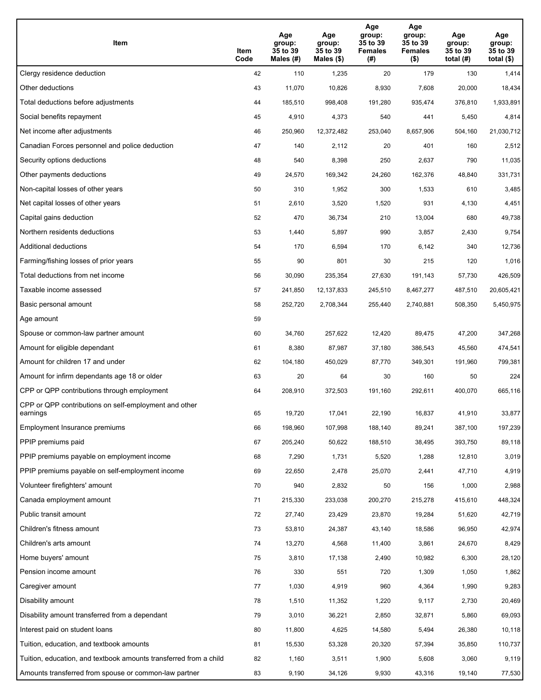| Item                                                              | Item<br>Code | Age<br>group:<br>35 to 39<br>Males (#) | Age<br>group:<br>35 to 39<br>Males (\$) | Age<br>group:<br>35 to 39<br><b>Females</b><br>(# ) | Age<br>group:<br>35 to 39<br><b>Females</b><br>$($ \$) | Age<br>group:<br>35 to 39<br>total $(H)$ | Age<br>group:<br>35 to 39<br>total $($)$ |
|-------------------------------------------------------------------|--------------|----------------------------------------|-----------------------------------------|-----------------------------------------------------|--------------------------------------------------------|------------------------------------------|------------------------------------------|
| Clergy residence deduction                                        | 42           | 110                                    | 1,235                                   | 20                                                  | 179                                                    | 130                                      | 1,414                                    |
| Other deductions                                                  | 43           | 11,070                                 | 10,826                                  | 8,930                                               | 7,608                                                  | 20,000                                   | 18,434                                   |
| Total deductions before adjustments                               | 44           | 185,510                                | 998,408                                 | 191,280                                             | 935,474                                                | 376,810                                  | 1,933,891                                |
| Social benefits repayment                                         | 45           | 4,910                                  | 4,373                                   | 540                                                 | 441                                                    | 5,450                                    | 4,814                                    |
| Net income after adjustments                                      | 46           | 250,960                                | 12,372,482                              | 253,040                                             | 8,657,906                                              | 504,160                                  | 21,030,712                               |
| Canadian Forces personnel and police deduction                    | 47           | 140                                    | 2,112                                   | 20                                                  | 401                                                    | 160                                      | 2,512                                    |
| Security options deductions                                       | 48           | 540                                    | 8,398                                   | 250                                                 | 2,637                                                  | 790                                      | 11,035                                   |
| Other payments deductions                                         | 49           | 24,570                                 | 169,342                                 | 24,260                                              | 162,376                                                | 48,840                                   | 331,731                                  |
| Non-capital losses of other years                                 | 50           | 310                                    | 1,952                                   | 300                                                 | 1,533                                                  | 610                                      | 3,485                                    |
| Net capital losses of other years                                 | 51           | 2,610                                  | 3,520                                   | 1,520                                               | 931                                                    | 4,130                                    | 4,451                                    |
| Capital gains deduction                                           | 52           | 470                                    | 36,734                                  | 210                                                 | 13,004                                                 | 680                                      | 49,738                                   |
| Northern residents deductions                                     | 53           | 1,440                                  | 5,897                                   | 990                                                 | 3,857                                                  | 2,430                                    | 9,754                                    |
| Additional deductions                                             | 54           | 170                                    | 6,594                                   | 170                                                 | 6,142                                                  | 340                                      | 12,736                                   |
| Farming/fishing losses of prior years                             | 55           | 90                                     | 801                                     | 30                                                  | 215                                                    | 120                                      | 1,016                                    |
| Total deductions from net income                                  | 56           | 30,090                                 | 235,354                                 | 27,630                                              | 191,143                                                | 57,730                                   | 426,509                                  |
| Taxable income assessed                                           | 57           | 241,850                                | 12,137,833                              | 245,510                                             | 8,467,277                                              | 487,510                                  | 20,605,421                               |
| Basic personal amount                                             | 58           | 252,720                                | 2,708,344                               | 255,440                                             | 2,740,881                                              | 508,350                                  | 5,450,975                                |
| Age amount                                                        | 59           |                                        |                                         |                                                     |                                                        |                                          |                                          |
| Spouse or common-law partner amount                               | 60           | 34,760                                 | 257,622                                 | 12,420                                              | 89,475                                                 | 47,200                                   | 347,268                                  |
| Amount for eligible dependant                                     | 61           | 8,380                                  | 87,987                                  | 37,180                                              | 386,543                                                | 45,560                                   | 474,541                                  |
| Amount for children 17 and under                                  | 62           | 104,180                                | 450,029                                 | 87,770                                              | 349,301                                                | 191,960                                  | 799,381                                  |
| Amount for infirm dependants age 18 or older                      | 63           | 20                                     | 64                                      | 30                                                  | 160                                                    | 50                                       | 224                                      |
| CPP or QPP contributions through employment                       | 64           | 208,910                                | 372,503                                 | 191,160                                             | 292,611                                                | 400,070                                  | 665,116                                  |
| CPP or QPP contributions on self-employment and other<br>earnings | 65           | 19,720                                 | 17,041                                  | 22,190                                              | 16,837                                                 | 41,910                                   | 33,877                                   |
| Employment Insurance premiums                                     | 66           | 198,960                                | 107,998                                 | 188,140                                             | 89,241                                                 | 387,100                                  | 197,239                                  |
| PPIP premiums paid                                                | 67           | 205,240                                | 50,622                                  | 188,510                                             | 38,495                                                 | 393,750                                  | 89,118                                   |
| PPIP premiums payable on employment income                        | 68           | 7,290                                  | 1,731                                   | 5,520                                               | 1,288                                                  | 12,810                                   | 3,019                                    |
| PPIP premiums payable on self-employment income                   | 69           | 22,650                                 | 2,478                                   | 25,070                                              | 2,441                                                  | 47,710                                   | 4,919                                    |
| Volunteer firefighters' amount                                    | 70           | 940                                    | 2,832                                   | 50                                                  | 156                                                    | 1,000                                    | 2,988                                    |
| Canada employment amount                                          | 71           | 215,330                                | 233,038                                 | 200,270                                             | 215,278                                                | 415,610                                  | 448,324                                  |
| Public transit amount                                             | 72           | 27,740                                 | 23,429                                  | 23,870                                              | 19,284                                                 | 51,620                                   | 42,719                                   |
| Children's fitness amount                                         | 73           | 53,810                                 | 24,387                                  | 43,140                                              | 18,586                                                 | 96,950                                   | 42,974                                   |
| Children's arts amount                                            | 74           | 13,270                                 | 4,568                                   | 11,400                                              | 3,861                                                  | 24,670                                   | 8,429                                    |
| Home buyers' amount                                               | 75           | 3,810                                  | 17,138                                  | 2,490                                               | 10,982                                                 | 6,300                                    | 28,120                                   |
| Pension income amount                                             | 76           | 330                                    | 551                                     | 720                                                 | 1,309                                                  | 1,050                                    | 1,862                                    |
| Caregiver amount                                                  | 77           | 1,030                                  | 4,919                                   | 960                                                 | 4,364                                                  | 1,990                                    | 9,283                                    |
| Disability amount                                                 | 78           | 1,510                                  | 11,352                                  | 1,220                                               | 9,117                                                  | 2,730                                    | 20,469                                   |
| Disability amount transferred from a dependant                    | 79           | 3,010                                  | 36,221                                  | 2,850                                               | 32,871                                                 | 5,860                                    | 69,093                                   |
| Interest paid on student loans                                    | 80           | 11,800                                 | 4,625                                   | 14,580                                              | 5,494                                                  | 26,380                                   | 10,118                                   |
| Tuition, education, and textbook amounts                          | 81           | 15,530                                 | 53,328                                  | 20,320                                              | 57,394                                                 | 35,850                                   | 110,737                                  |
| Tuition, education, and textbook amounts transferred from a child | 82           | 1,160                                  | 3,511                                   | 1,900                                               | 5,608                                                  | 3,060                                    | 9,119                                    |
| Amounts transferred from spouse or common-law partner             | 83           | 9,190                                  | 34,126                                  | 9,930                                               | 43,316                                                 | 19,140                                   | 77,530                                   |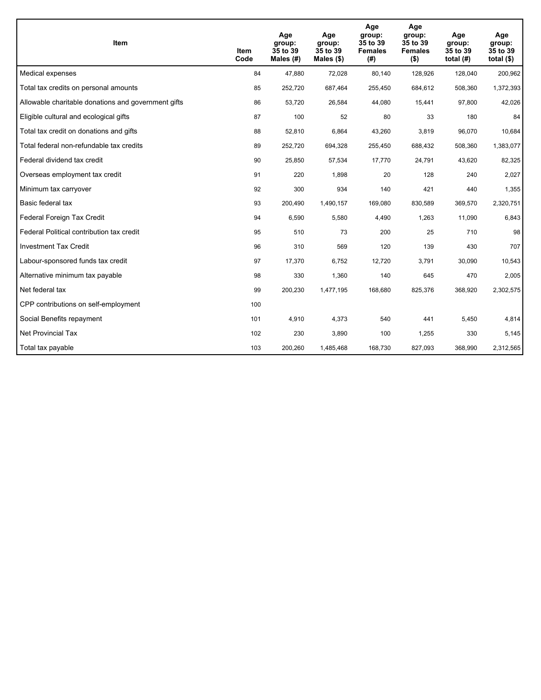| Item                                                | Item<br>Code | Age<br>group:<br>35 to 39<br>Males $(H)$ | Age<br>group:<br>35 to 39<br>Males (\$) | Age<br>group:<br>35 to 39<br><b>Females</b><br>(# ) | Age<br>group:<br>35 to 39<br><b>Females</b><br>$($ \$) | Age<br>group:<br>35 to 39<br>total $(H)$ | Age<br>group:<br>35 to 39<br>total $($)$ |
|-----------------------------------------------------|--------------|------------------------------------------|-----------------------------------------|-----------------------------------------------------|--------------------------------------------------------|------------------------------------------|------------------------------------------|
| Medical expenses                                    | 84           | 47,880                                   | 72,028                                  | 80,140                                              | 128,926                                                | 128,040                                  | 200,962                                  |
| Total tax credits on personal amounts               | 85           | 252,720                                  | 687,464                                 | 255,450                                             | 684,612                                                | 508,360                                  | 1,372,393                                |
| Allowable charitable donations and government gifts | 86           | 53,720                                   | 26,584                                  | 44,080                                              | 15,441                                                 | 97,800                                   | 42,026                                   |
| Eligible cultural and ecological gifts              | 87           | 100                                      | 52                                      | 80                                                  | 33                                                     | 180                                      | 84                                       |
| Total tax credit on donations and gifts             | 88           | 52,810                                   | 6,864                                   | 43,260                                              | 3,819                                                  | 96,070                                   | 10,684                                   |
| Total federal non-refundable tax credits            | 89           | 252,720                                  | 694,328                                 | 255,450                                             | 688,432                                                | 508,360                                  | 1,383,077                                |
| Federal dividend tax credit                         | 90           | 25,850                                   | 57,534                                  | 17,770                                              | 24,791                                                 | 43,620                                   | 82,325                                   |
| Overseas employment tax credit                      | 91           | 220                                      | 1,898                                   | 20                                                  | 128                                                    | 240                                      | 2,027                                    |
| Minimum tax carryover                               | 92           | 300                                      | 934                                     | 140                                                 | 421                                                    | 440                                      | 1,355                                    |
| Basic federal tax                                   | 93           | 200,490                                  | 1,490,157                               | 169,080                                             | 830,589                                                | 369,570                                  | 2,320,751                                |
| Federal Foreign Tax Credit                          | 94           | 6,590                                    | 5,580                                   | 4,490                                               | 1,263                                                  | 11,090                                   | 6,843                                    |
| Federal Political contribution tax credit           | 95           | 510                                      | 73                                      | 200                                                 | 25                                                     | 710                                      | 98                                       |
| <b>Investment Tax Credit</b>                        | 96           | 310                                      | 569                                     | 120                                                 | 139                                                    | 430                                      | 707                                      |
| Labour-sponsored funds tax credit                   | 97           | 17,370                                   | 6,752                                   | 12,720                                              | 3.791                                                  | 30,090                                   | 10,543                                   |
| Alternative minimum tax payable                     | 98           | 330                                      | 1,360                                   | 140                                                 | 645                                                    | 470                                      | 2,005                                    |
| Net federal tax                                     | 99           | 200,230                                  | 1,477,195                               | 168,680                                             | 825,376                                                | 368,920                                  | 2,302,575                                |
| CPP contributions on self-employment                | 100          |                                          |                                         |                                                     |                                                        |                                          |                                          |
| Social Benefits repayment                           | 101          | 4,910                                    | 4,373                                   | 540                                                 | 441                                                    | 5,450                                    | 4,814                                    |
| Net Provincial Tax                                  | 102          | 230                                      | 3,890                                   | 100                                                 | 1,255                                                  | 330                                      | 5,145                                    |
| Total tax payable                                   | 103          | 200,260                                  | 1,485,468                               | 168,730                                             | 827,093                                                | 368,990                                  | 2,312,565                                |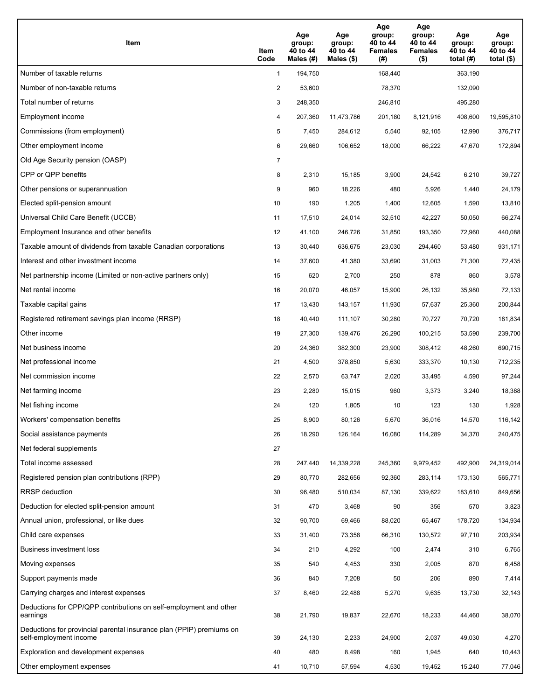| Item                                                                                           | Item<br>Code   | Age<br>group:<br>40 to 44<br>Males $(\#)$ | Age<br>group:<br>40 to 44<br>Males $(\$)$ | Age<br>group:<br>40 to 44<br><b>Females</b><br>(#) | Age<br>group:<br>40 to 44<br><b>Females</b><br>$($ \$) | Age<br>group:<br>40 to 44<br>total $(H)$ | Age<br>group:<br>40 to 44<br>total $($ |
|------------------------------------------------------------------------------------------------|----------------|-------------------------------------------|-------------------------------------------|----------------------------------------------------|--------------------------------------------------------|------------------------------------------|----------------------------------------|
| Number of taxable returns                                                                      | $\mathbf{1}$   | 194,750                                   |                                           | 168,440                                            |                                                        | 363,190                                  |                                        |
| Number of non-taxable returns                                                                  | $\overline{c}$ | 53,600                                    |                                           | 78,370                                             |                                                        | 132,090                                  |                                        |
| Total number of returns                                                                        | 3              | 248,350                                   |                                           | 246,810                                            |                                                        | 495,280                                  |                                        |
| Employment income                                                                              | 4              | 207,360                                   | 11,473,786                                | 201,180                                            | 8,121,916                                              | 408,600                                  | 19,595,810                             |
| Commissions (from employment)                                                                  | 5              | 7,450                                     | 284,612                                   | 5,540                                              | 92,105                                                 | 12,990                                   | 376,717                                |
| Other employment income                                                                        | 6              | 29,660                                    | 106,652                                   | 18,000                                             | 66,222                                                 | 47,670                                   | 172,894                                |
| Old Age Security pension (OASP)                                                                | $\overline{7}$ |                                           |                                           |                                                    |                                                        |                                          |                                        |
| CPP or QPP benefits                                                                            | 8              | 2,310                                     | 15,185                                    | 3,900                                              | 24,542                                                 | 6,210                                    | 39,727                                 |
| Other pensions or superannuation                                                               | 9              | 960                                       | 18,226                                    | 480                                                | 5,926                                                  | 1,440                                    | 24,179                                 |
| Elected split-pension amount                                                                   | 10             | 190                                       | 1,205                                     | 1,400                                              | 12,605                                                 | 1,590                                    | 13,810                                 |
| Universal Child Care Benefit (UCCB)                                                            | 11             | 17,510                                    | 24,014                                    | 32,510                                             | 42,227                                                 | 50,050                                   | 66,274                                 |
| Employment Insurance and other benefits                                                        | 12             | 41,100                                    | 246,726                                   | 31,850                                             | 193,350                                                | 72,960                                   | 440,088                                |
| Taxable amount of dividends from taxable Canadian corporations                                 | 13             | 30,440                                    | 636,675                                   | 23,030                                             | 294,460                                                | 53,480                                   | 931,171                                |
| Interest and other investment income                                                           | 14             | 37,600                                    | 41,380                                    | 33,690                                             | 31,003                                                 | 71,300                                   | 72,435                                 |
| Net partnership income (Limited or non-active partners only)                                   | 15             | 620                                       | 2,700                                     | 250                                                | 878                                                    | 860                                      | 3,578                                  |
| Net rental income                                                                              | 16             | 20,070                                    | 46,057                                    | 15,900                                             | 26,132                                                 | 35,980                                   | 72,133                                 |
| Taxable capital gains                                                                          | 17             | 13,430                                    | 143,157                                   | 11,930                                             | 57,637                                                 | 25,360                                   | 200,844                                |
| Registered retirement savings plan income (RRSP)                                               | 18             | 40,440                                    | 111,107                                   | 30,280                                             | 70,727                                                 | 70,720                                   | 181,834                                |
| Other income                                                                                   | 19             | 27,300                                    | 139,476                                   | 26,290                                             | 100,215                                                | 53,590                                   | 239,700                                |
| Net business income                                                                            | 20             | 24,360                                    | 382,300                                   | 23,900                                             | 308,412                                                | 48,260                                   | 690,715                                |
| Net professional income                                                                        | 21             | 4,500                                     | 378,850                                   | 5,630                                              | 333,370                                                | 10,130                                   | 712,235                                |
| Net commission income                                                                          | 22             | 2,570                                     | 63,747                                    | 2,020                                              | 33,495                                                 | 4,590                                    | 97,244                                 |
| Net farming income                                                                             | 23             | 2,280                                     | 15,015                                    | 960                                                | 3,373                                                  | 3,240                                    | 18,388                                 |
| Net fishing income                                                                             | 24             | 120                                       | 1,805                                     | 10                                                 | 123                                                    | 130                                      | 1,928                                  |
| Workers' compensation benefits                                                                 | 25             | 8,900                                     | 80,126                                    | 5,670                                              | 36,016                                                 | 14,570                                   | 116,142                                |
| Social assistance payments                                                                     | 26             | 18,290                                    | 126,164                                   | 16,080                                             | 114,289                                                | 34,370                                   | 240,475                                |
| Net federal supplements                                                                        | 27             |                                           |                                           |                                                    |                                                        |                                          |                                        |
| Total income assessed                                                                          | 28             | 247,440                                   | 14,339,228                                | 245,360                                            | 9,979,452                                              | 492,900                                  | 24,319,014                             |
| Registered pension plan contributions (RPP)                                                    | 29             | 80,770                                    | 282,656                                   | 92,360                                             | 283,114                                                | 173,130                                  | 565,771                                |
| RRSP deduction                                                                                 | 30             | 96,480                                    | 510,034                                   | 87,130                                             | 339,622                                                | 183,610                                  | 849,656                                |
| Deduction for elected split-pension amount                                                     | 31             | 470                                       | 3,468                                     | 90                                                 | 356                                                    | 570                                      | 3,823                                  |
| Annual union, professional, or like dues                                                       | 32             | 90,700                                    | 69,466                                    | 88,020                                             | 65,467                                                 | 178,720                                  | 134,934                                |
| Child care expenses                                                                            | 33             | 31,400                                    | 73,358                                    | 66,310                                             | 130,572                                                | 97,710                                   | 203,934                                |
| Business investment loss                                                                       | 34             | 210                                       | 4,292                                     | 100                                                | 2,474                                                  | 310                                      | 6,765                                  |
| Moving expenses                                                                                | 35             | 540                                       | 4,453                                     | 330                                                | 2,005                                                  | 870                                      | 6,458                                  |
| Support payments made                                                                          | 36             | 840                                       | 7,208                                     | 50                                                 | 206                                                    | 890                                      | 7,414                                  |
| Carrying charges and interest expenses                                                         | 37             | 8,460                                     | 22,488                                    | 5,270                                              | 9,635                                                  | 13,730                                   | 32,143                                 |
| Deductions for CPP/QPP contributions on self-employment and other<br>earnings                  | 38             | 21,790                                    | 19,837                                    | 22,670                                             | 18,233                                                 | 44,460                                   | 38,070                                 |
| Deductions for provincial parental insurance plan (PPIP) premiums on<br>self-employment income | 39             | 24,130                                    | 2,233                                     | 24,900                                             | 2,037                                                  | 49,030                                   | 4,270                                  |
| Exploration and development expenses                                                           | 40             | 480                                       | 8,498                                     | 160                                                | 1,945                                                  | 640                                      | 10,443                                 |
| Other employment expenses                                                                      | 41             | 10,710                                    | 57,594                                    | 4,530                                              | 19,452                                                 | 15,240                                   | 77,046                                 |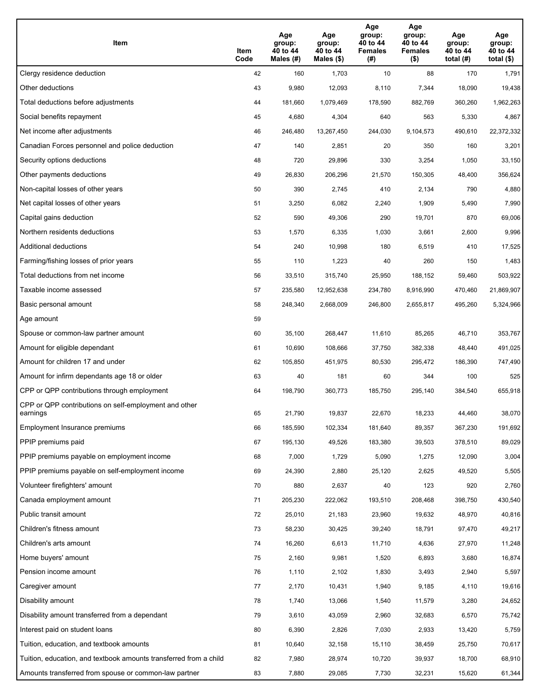| Item                                                              | Item<br>Code | Age<br>group:<br>40 to 44<br>Males (#) | Age<br>group:<br>40 to 44<br>Males (\$) | Age<br>group:<br>40 to 44<br><b>Females</b><br>(# ) | Age<br>group:<br>40 to 44<br><b>Females</b><br>$($ \$) | Age<br>group:<br>40 to 44<br>total $(H)$ | Age<br>group:<br>40 to 44<br>total $($)$ |
|-------------------------------------------------------------------|--------------|----------------------------------------|-----------------------------------------|-----------------------------------------------------|--------------------------------------------------------|------------------------------------------|------------------------------------------|
| Clergy residence deduction                                        | 42           | 160                                    | 1,703                                   | 10                                                  | 88                                                     | 170                                      | 1,791                                    |
| Other deductions                                                  | 43           | 9,980                                  | 12,093                                  | 8,110                                               | 7,344                                                  | 18,090                                   | 19,438                                   |
| Total deductions before adjustments                               | 44           | 181,660                                | 1,079,469                               | 178,590                                             | 882,769                                                | 360,260                                  | 1,962,263                                |
| Social benefits repayment                                         | 45           | 4,680                                  | 4,304                                   | 640                                                 | 563                                                    | 5,330                                    | 4,867                                    |
| Net income after adjustments                                      | 46           | 246,480                                | 13,267,450                              | 244,030                                             | 9,104,573                                              | 490,610                                  | 22,372,332                               |
| Canadian Forces personnel and police deduction                    | 47           | 140                                    | 2,851                                   | 20                                                  | 350                                                    | 160                                      | 3,201                                    |
| Security options deductions                                       | 48           | 720                                    | 29,896                                  | 330                                                 | 3,254                                                  | 1,050                                    | 33,150                                   |
| Other payments deductions                                         | 49           | 26,830                                 | 206,296                                 | 21,570                                              | 150,305                                                | 48,400                                   | 356,624                                  |
| Non-capital losses of other years                                 | 50           | 390                                    | 2,745                                   | 410                                                 | 2,134                                                  | 790                                      | 4,880                                    |
| Net capital losses of other years                                 | 51           | 3,250                                  | 6,082                                   | 2,240                                               | 1,909                                                  | 5,490                                    | 7,990                                    |
| Capital gains deduction                                           | 52           | 590                                    | 49,306                                  | 290                                                 | 19,701                                                 | 870                                      | 69,006                                   |
| Northern residents deductions                                     | 53           | 1,570                                  | 6,335                                   | 1,030                                               | 3,661                                                  | 2,600                                    | 9,996                                    |
| Additional deductions                                             | 54           | 240                                    | 10,998                                  | 180                                                 | 6,519                                                  | 410                                      | 17,525                                   |
| Farming/fishing losses of prior years                             | 55           | 110                                    | 1,223                                   | 40                                                  | 260                                                    | 150                                      | 1,483                                    |
| Total deductions from net income                                  | 56           | 33,510                                 | 315,740                                 | 25,950                                              | 188,152                                                | 59,460                                   | 503,922                                  |
| Taxable income assessed                                           | 57           | 235,580                                | 12,952,638                              | 234,780                                             | 8,916,990                                              | 470,460                                  | 21,869,907                               |
| Basic personal amount                                             | 58           | 248,340                                | 2,668,009                               | 246,800                                             | 2,655,817                                              | 495,260                                  | 5,324,966                                |
| Age amount                                                        | 59           |                                        |                                         |                                                     |                                                        |                                          |                                          |
| Spouse or common-law partner amount                               | 60           | 35,100                                 | 268,447                                 | 11,610                                              | 85,265                                                 | 46,710                                   | 353,767                                  |
| Amount for eligible dependant                                     | 61           | 10,690                                 | 108,666                                 | 37,750                                              | 382,338                                                | 48,440                                   | 491,025                                  |
| Amount for children 17 and under                                  | 62           | 105,850                                | 451,975                                 | 80,530                                              | 295,472                                                | 186,390                                  | 747,490                                  |
| Amount for infirm dependants age 18 or older                      | 63           | 40                                     | 181                                     | 60                                                  | 344                                                    | 100                                      | 525                                      |
| CPP or QPP contributions through employment                       | 64           | 198,790                                | 360,773                                 | 185,750                                             | 295,140                                                | 384,540                                  | 655,918                                  |
| CPP or QPP contributions on self-employment and other<br>earnings | 65           | 21,790                                 | 19,837                                  | 22,670                                              | 18,233                                                 | 44,460                                   | 38,070                                   |
| Employment Insurance premiums                                     | 66           | 185,590                                | 102,334                                 | 181,640                                             | 89,357                                                 | 367,230                                  | 191,692                                  |
| PPIP premiums paid                                                | 67           | 195,130                                | 49,526                                  | 183,380                                             | 39,503                                                 | 378,510                                  | 89,029                                   |
| PPIP premiums payable on employment income                        | 68           | 7,000                                  | 1,729                                   | 5,090                                               | 1,275                                                  | 12,090                                   | 3,004                                    |
| PPIP premiums payable on self-employment income                   | 69           | 24,390                                 | 2,880                                   | 25,120                                              | 2,625                                                  | 49,520                                   | 5,505                                    |
| Volunteer firefighters' amount                                    | 70           | 880                                    | 2,637                                   | 40                                                  | 123                                                    | 920                                      | 2,760                                    |
| Canada employment amount                                          | 71           | 205,230                                | 222,062                                 | 193,510                                             | 208,468                                                | 398,750                                  | 430,540                                  |
| Public transit amount                                             | 72           | 25,010                                 | 21,183                                  | 23,960                                              | 19,632                                                 | 48,970                                   | 40,816                                   |
| Children's fitness amount                                         | 73           | 58,230                                 | 30,425                                  | 39,240                                              | 18,791                                                 | 97,470                                   | 49,217                                   |
| Children's arts amount                                            | 74           | 16,260                                 | 6,613                                   | 11,710                                              | 4,636                                                  | 27,970                                   | 11,248                                   |
| Home buyers' amount                                               | 75           | 2,160                                  | 9,981                                   | 1,520                                               | 6,893                                                  | 3,680                                    | 16,874                                   |
| Pension income amount                                             | 76           | 1,110                                  | 2,102                                   | 1,830                                               | 3,493                                                  | 2,940                                    | 5,597                                    |
| Caregiver amount                                                  | 77           | 2,170                                  | 10,431                                  | 1,940                                               | 9,185                                                  | 4,110                                    | 19,616                                   |
| Disability amount                                                 | 78           | 1,740                                  | 13,066                                  | 1,540                                               | 11,579                                                 | 3,280                                    | 24,652                                   |
| Disability amount transferred from a dependant                    | 79           | 3,610                                  | 43,059                                  | 2,960                                               | 32,683                                                 | 6,570                                    | 75,742                                   |
| Interest paid on student loans                                    | 80           | 6,390                                  | 2,826                                   | 7,030                                               | 2,933                                                  | 13,420                                   | 5,759                                    |
| Tuition, education, and textbook amounts                          | 81           | 10,640                                 | 32,158                                  | 15,110                                              | 38,459                                                 | 25,750                                   | 70,617                                   |
| Tuition, education, and textbook amounts transferred from a child | 82           | 7,980                                  | 28,974                                  | 10,720                                              | 39,937                                                 | 18,700                                   | 68,910                                   |
| Amounts transferred from spouse or common-law partner             | 83           | 7,880                                  | 29,085                                  | 7,730                                               | 32,231                                                 | 15,620                                   | 61,344                                   |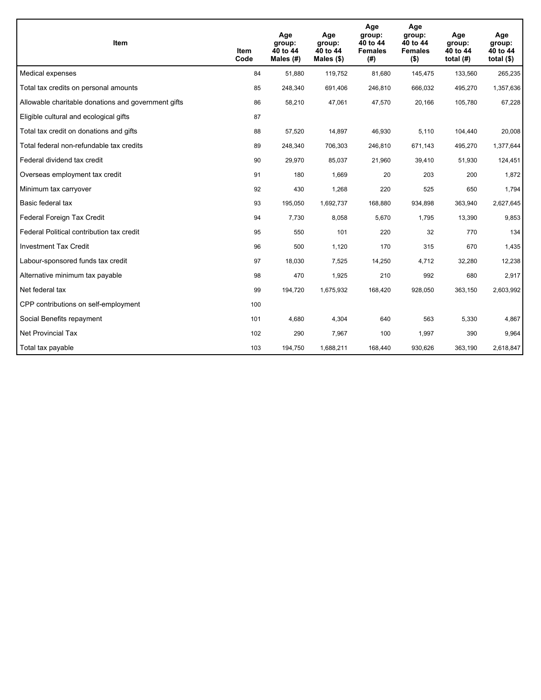| Item                                                | <b>Item</b><br>Code | Age<br>group:<br>40 to 44<br>Males (#) | Age<br>group:<br>40 to 44<br>Males $(\$)$ | Age<br>group:<br>40 to 44<br><b>Females</b><br>(#) | Age<br>group:<br>40 to 44<br><b>Females</b><br>$($ \$) | Age<br>group:<br>40 to 44<br>total $(H)$ | Age<br>group:<br>40 to 44<br>total $($)$ |
|-----------------------------------------------------|---------------------|----------------------------------------|-------------------------------------------|----------------------------------------------------|--------------------------------------------------------|------------------------------------------|------------------------------------------|
| Medical expenses                                    | 84                  | 51,880                                 | 119,752                                   | 81,680                                             | 145,475                                                | 133,560                                  | 265,235                                  |
| Total tax credits on personal amounts               | 85                  | 248,340                                | 691,406                                   | 246,810                                            | 666,032                                                | 495,270                                  | 1,357,636                                |
| Allowable charitable donations and government gifts | 86                  | 58,210                                 | 47,061                                    | 47,570                                             | 20,166                                                 | 105,780                                  | 67,228                                   |
| Eligible cultural and ecological gifts              | 87                  |                                        |                                           |                                                    |                                                        |                                          |                                          |
| Total tax credit on donations and gifts             | 88                  | 57,520                                 | 14,897                                    | 46,930                                             | 5,110                                                  | 104,440                                  | 20,008                                   |
| Total federal non-refundable tax credits            | 89                  | 248,340                                | 706,303                                   | 246,810                                            | 671,143                                                | 495,270                                  | 1,377,644                                |
| Federal dividend tax credit                         | 90                  | 29,970                                 | 85,037                                    | 21,960                                             | 39,410                                                 | 51,930                                   | 124,451                                  |
| Overseas employment tax credit                      | 91                  | 180                                    | 1,669                                     | 20                                                 | 203                                                    | 200                                      | 1,872                                    |
| Minimum tax carryover                               | 92                  | 430                                    | 1,268                                     | 220                                                | 525                                                    | 650                                      | 1,794                                    |
| Basic federal tax                                   | 93                  | 195,050                                | 1,692,737                                 | 168,880                                            | 934,898                                                | 363,940                                  | 2,627,645                                |
| Federal Foreign Tax Credit                          | 94                  | 7,730                                  | 8,058                                     | 5,670                                              | 1,795                                                  | 13,390                                   | 9,853                                    |
| Federal Political contribution tax credit           | 95                  | 550                                    | 101                                       | 220                                                | 32                                                     | 770                                      | 134                                      |
| <b>Investment Tax Credit</b>                        | 96                  | 500                                    | 1,120                                     | 170                                                | 315                                                    | 670                                      | 1,435                                    |
| Labour-sponsored funds tax credit                   | 97                  | 18,030                                 | 7.525                                     | 14,250                                             | 4.712                                                  | 32,280                                   | 12,238                                   |
| Alternative minimum tax payable                     | 98                  | 470                                    | 1,925                                     | 210                                                | 992                                                    | 680                                      | 2,917                                    |
| Net federal tax                                     | 99                  | 194,720                                | 1,675,932                                 | 168,420                                            | 928,050                                                | 363,150                                  | 2,603,992                                |
| CPP contributions on self-employment                | 100                 |                                        |                                           |                                                    |                                                        |                                          |                                          |
| Social Benefits repayment                           | 101                 | 4,680                                  | 4,304                                     | 640                                                | 563                                                    | 5,330                                    | 4,867                                    |
| Net Provincial Tax                                  | 102                 | 290                                    | 7,967                                     | 100                                                | 1,997                                                  | 390                                      | 9,964                                    |
| Total tax payable                                   | 103                 | 194,750                                | 1,688,211                                 | 168,440                                            | 930,626                                                | 363,190                                  | 2,618,847                                |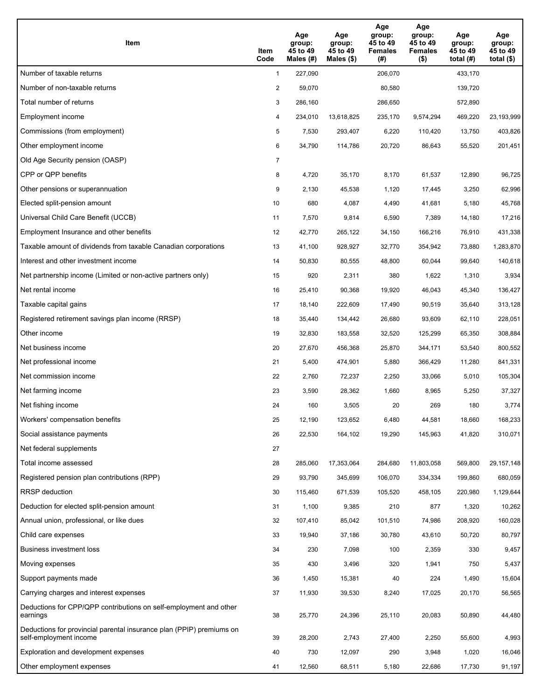| Item                                                                                           | Item<br>Code   | Age<br>group:<br>45 to 49<br>Males $(H)$ | Age<br>group:<br>45 to 49<br>Males $(\$)$ | Age<br>group:<br>45 to 49<br><b>Females</b><br>(#) | Age<br>group:<br>45 to 49<br><b>Females</b><br>$($ \$) | Age<br>group:<br>45 to 49<br>total $(H)$ | Age<br>group:<br>45 to 49<br>total $(\$)$ |
|------------------------------------------------------------------------------------------------|----------------|------------------------------------------|-------------------------------------------|----------------------------------------------------|--------------------------------------------------------|------------------------------------------|-------------------------------------------|
| Number of taxable returns                                                                      | $\mathbf{1}$   | 227,090                                  |                                           | 206,070                                            |                                                        | 433,170                                  |                                           |
| Number of non-taxable returns                                                                  | $\overline{2}$ | 59,070                                   |                                           | 80,580                                             |                                                        | 139,720                                  |                                           |
| Total number of returns                                                                        | 3              | 286,160                                  |                                           | 286,650                                            |                                                        | 572,890                                  |                                           |
| Employment income                                                                              | 4              | 234,010                                  | 13,618,825                                | 235,170                                            | 9,574,294                                              | 469,220                                  | 23,193,999                                |
| Commissions (from employment)                                                                  | 5              | 7,530                                    | 293,407                                   | 6,220                                              | 110,420                                                | 13,750                                   | 403,826                                   |
| Other employment income                                                                        | 6              | 34,790                                   | 114,786                                   | 20,720                                             | 86,643                                                 | 55,520                                   | 201,451                                   |
| Old Age Security pension (OASP)                                                                | $\overline{7}$ |                                          |                                           |                                                    |                                                        |                                          |                                           |
| CPP or QPP benefits                                                                            | 8              | 4,720                                    | 35,170                                    | 8,170                                              | 61,537                                                 | 12,890                                   | 96,725                                    |
| Other pensions or superannuation                                                               | 9              | 2,130                                    | 45,538                                    | 1,120                                              | 17,445                                                 | 3,250                                    | 62,996                                    |
| Elected split-pension amount                                                                   | 10             | 680                                      | 4,087                                     | 4,490                                              | 41,681                                                 | 5,180                                    | 45,768                                    |
| Universal Child Care Benefit (UCCB)                                                            | 11             | 7,570                                    | 9,814                                     | 6,590                                              | 7,389                                                  | 14,180                                   | 17,216                                    |
| Employment Insurance and other benefits                                                        | 12             | 42,770                                   | 265,122                                   | 34,150                                             | 166,216                                                | 76,910                                   | 431,338                                   |
| Taxable amount of dividends from taxable Canadian corporations                                 | 13             | 41,100                                   | 928,927                                   | 32,770                                             | 354,942                                                | 73,880                                   | 1,283,870                                 |
| Interest and other investment income                                                           | 14             | 50,830                                   | 80,555                                    | 48,800                                             | 60,044                                                 | 99,640                                   | 140,618                                   |
| Net partnership income (Limited or non-active partners only)                                   | 15             | 920                                      | 2,311                                     | 380                                                | 1,622                                                  | 1,310                                    | 3,934                                     |
| Net rental income                                                                              | 16             | 25,410                                   | 90,368                                    | 19,920                                             | 46,043                                                 | 45,340                                   | 136,427                                   |
| Taxable capital gains                                                                          | 17             | 18,140                                   | 222,609                                   | 17,490                                             | 90,519                                                 | 35,640                                   | 313,128                                   |
| Registered retirement savings plan income (RRSP)                                               | 18             | 35,440                                   | 134,442                                   | 26,680                                             | 93,609                                                 | 62,110                                   | 228,051                                   |
| Other income                                                                                   | 19             | 32,830                                   | 183,558                                   | 32,520                                             | 125,299                                                | 65,350                                   | 308,884                                   |
| Net business income                                                                            | 20             | 27,670                                   | 456,368                                   | 25,870                                             | 344,171                                                | 53,540                                   | 800,552                                   |
| Net professional income                                                                        | 21             | 5,400                                    | 474,901                                   | 5,880                                              | 366,429                                                | 11,280                                   | 841,331                                   |
| Net commission income                                                                          | 22             | 2,760                                    | 72,237                                    | 2,250                                              | 33,066                                                 | 5,010                                    | 105,304                                   |
| Net farming income                                                                             | 23             | 3,590                                    | 28,362                                    | 1,660                                              | 8,965                                                  | 5,250                                    | 37,327                                    |
| Net fishing income                                                                             | 24             | 160                                      | 3,505                                     | 20                                                 | 269                                                    | 180                                      | 3,774                                     |
| Workers' compensation benefits                                                                 | 25             | 12,190                                   | 123,652                                   | 6,480                                              | 44,581                                                 | 18,660                                   | 168,233                                   |
| Social assistance payments                                                                     | 26             | 22,530                                   | 164,102                                   | 19,290                                             | 145,963                                                | 41,820                                   | 310,071                                   |
| Net federal supplements                                                                        | 27             |                                          |                                           |                                                    |                                                        |                                          |                                           |
| Total income assessed                                                                          | 28             | 285,060                                  | 17,353,064                                | 284,680                                            | 11,803,058                                             | 569,800                                  | 29, 157, 148                              |
| Registered pension plan contributions (RPP)                                                    | 29             | 93,790                                   | 345,699                                   | 106,070                                            | 334,334                                                | 199,860                                  | 680,059                                   |
| <b>RRSP</b> deduction                                                                          | 30             | 115,460                                  | 671,539                                   | 105,520                                            | 458,105                                                | 220,980                                  | 1,129,644                                 |
| Deduction for elected split-pension amount                                                     | 31             | 1,100                                    | 9,385                                     | 210                                                | 877                                                    | 1,320                                    | 10,262                                    |
| Annual union, professional, or like dues                                                       | 32             | 107,410                                  | 85,042                                    | 101,510                                            | 74,986                                                 | 208,920                                  | 160,028                                   |
| Child care expenses                                                                            | 33             | 19,940                                   | 37,186                                    | 30,780                                             | 43,610                                                 | 50,720                                   | 80,797                                    |
| Business investment loss                                                                       | 34             | 230                                      | 7,098                                     | 100                                                | 2,359                                                  | 330                                      | 9,457                                     |
| Moving expenses                                                                                | 35             | 430                                      | 3,496                                     | 320                                                | 1,941                                                  | 750                                      | 5,437                                     |
| Support payments made                                                                          | 36             | 1,450                                    | 15,381                                    | 40                                                 | 224                                                    | 1,490                                    | 15,604                                    |
| Carrying charges and interest expenses                                                         | 37             | 11,930                                   | 39,530                                    | 8,240                                              | 17,025                                                 | 20,170                                   | 56,565                                    |
| Deductions for CPP/QPP contributions on self-employment and other<br>earnings                  | 38             | 25,770                                   | 24,396                                    | 25,110                                             | 20,083                                                 | 50,890                                   | 44,480                                    |
| Deductions for provincial parental insurance plan (PPIP) premiums on<br>self-employment income | 39             | 28,200                                   | 2,743                                     | 27,400                                             | 2,250                                                  | 55,600                                   | 4,993                                     |
| Exploration and development expenses                                                           | 40             | 730                                      | 12,097                                    | 290                                                | 3,948                                                  | 1,020                                    | 16,046                                    |
| Other employment expenses                                                                      | 41             | 12,560                                   | 68,511                                    | 5,180                                              | 22,686                                                 | 17,730                                   | 91,197                                    |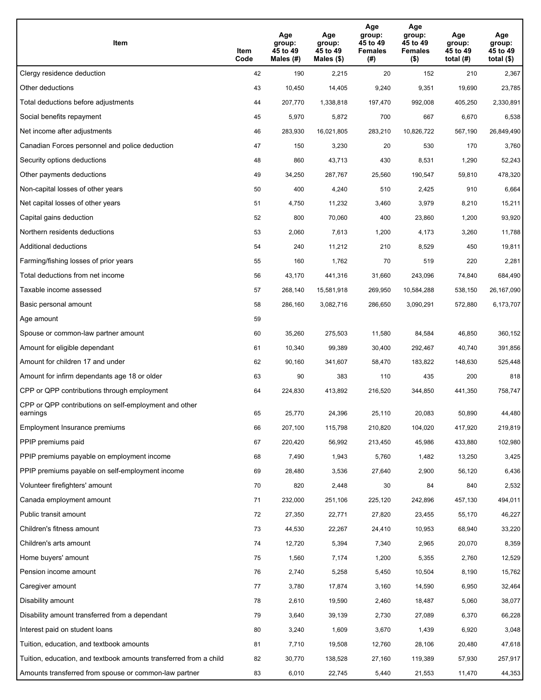| Item                                                              | Item<br>Code | Age<br>group:<br>45 to 49<br>Males (#) | Age<br>group:<br>45 to 49<br>Males (\$) | Age<br>group:<br>45 to 49<br><b>Females</b><br>(# ) | Age<br>group:<br>45 to 49<br><b>Females</b><br>$($ \$) | Age<br>group:<br>45 to 49<br>total $(H)$ | Age<br>group:<br>45 to 49<br>total (\$) |
|-------------------------------------------------------------------|--------------|----------------------------------------|-----------------------------------------|-----------------------------------------------------|--------------------------------------------------------|------------------------------------------|-----------------------------------------|
| Clergy residence deduction                                        | 42           | 190                                    | 2,215                                   | 20                                                  | 152                                                    | 210                                      | 2,367                                   |
| Other deductions                                                  | 43           | 10,450                                 | 14,405                                  | 9,240                                               | 9,351                                                  | 19,690                                   | 23,785                                  |
| Total deductions before adjustments                               | 44           | 207,770                                | 1,338,818                               | 197,470                                             | 992,008                                                | 405,250                                  | 2,330,891                               |
| Social benefits repayment                                         | 45           | 5,970                                  | 5,872                                   | 700                                                 | 667                                                    | 6,670                                    | 6,538                                   |
| Net income after adjustments                                      | 46           | 283,930                                | 16,021,805                              | 283,210                                             | 10,826,722                                             | 567,190                                  | 26,849,490                              |
| Canadian Forces personnel and police deduction                    | 47           | 150                                    | 3,230                                   | 20                                                  | 530                                                    | 170                                      | 3,760                                   |
| Security options deductions                                       | 48           | 860                                    | 43,713                                  | 430                                                 | 8,531                                                  | 1,290                                    | 52,243                                  |
| Other payments deductions                                         | 49           | 34,250                                 | 287,767                                 | 25,560                                              | 190,547                                                | 59,810                                   | 478,320                                 |
| Non-capital losses of other years                                 | 50           | 400                                    | 4,240                                   | 510                                                 | 2,425                                                  | 910                                      | 6,664                                   |
| Net capital losses of other years                                 | 51           | 4,750                                  | 11,232                                  | 3,460                                               | 3,979                                                  | 8,210                                    | 15,211                                  |
| Capital gains deduction                                           | 52           | 800                                    | 70,060                                  | 400                                                 | 23,860                                                 | 1,200                                    | 93,920                                  |
| Northern residents deductions                                     | 53           | 2,060                                  | 7,613                                   | 1,200                                               | 4,173                                                  | 3,260                                    | 11,788                                  |
| Additional deductions                                             | 54           | 240                                    | 11,212                                  | 210                                                 | 8,529                                                  | 450                                      | 19,811                                  |
| Farming/fishing losses of prior years                             | 55           | 160                                    | 1,762                                   | 70                                                  | 519                                                    | 220                                      | 2,281                                   |
| Total deductions from net income                                  | 56           | 43,170                                 | 441,316                                 | 31,660                                              | 243,096                                                | 74,840                                   | 684,490                                 |
| Taxable income assessed                                           | 57           | 268,140                                | 15,581,918                              | 269,950                                             | 10,584,288                                             | 538,150                                  | 26,167,090                              |
| Basic personal amount                                             | 58           | 286,160                                | 3,082,716                               | 286,650                                             | 3,090,291                                              | 572,880                                  | 6,173,707                               |
| Age amount                                                        | 59           |                                        |                                         |                                                     |                                                        |                                          |                                         |
| Spouse or common-law partner amount                               | 60           | 35,260                                 | 275,503                                 | 11,580                                              | 84,584                                                 | 46,850                                   | 360,152                                 |
| Amount for eligible dependant                                     | 61           | 10,340                                 | 99,389                                  | 30,400                                              | 292,467                                                | 40,740                                   | 391,856                                 |
| Amount for children 17 and under                                  | 62           | 90,160                                 | 341,607                                 | 58,470                                              | 183,822                                                | 148,630                                  | 525,448                                 |
| Amount for infirm dependants age 18 or older                      | 63           | 90                                     | 383                                     | 110                                                 | 435                                                    | 200                                      | 818                                     |
| CPP or QPP contributions through employment                       | 64           | 224,830                                | 413,892                                 | 216,520                                             | 344,850                                                | 441,350                                  | 758,747                                 |
| CPP or QPP contributions on self-employment and other<br>earnings | 65           | 25,770                                 | 24,396                                  | 25,110                                              | 20,083                                                 | 50,890                                   | 44,480                                  |
| Employment Insurance premiums                                     | 66           | 207,100                                | 115,798                                 | 210,820                                             | 104,020                                                | 417,920                                  | 219,819                                 |
| PPIP premiums paid                                                | 67           | 220,420                                | 56,992                                  | 213,450                                             | 45,986                                                 | 433,880                                  | 102,980                                 |
| PPIP premiums payable on employment income                        | 68           | 7,490                                  | 1,943                                   | 5,760                                               | 1,482                                                  | 13,250                                   | 3,425                                   |
| PPIP premiums payable on self-employment income                   | 69           | 28,480                                 | 3,536                                   | 27,640                                              | 2,900                                                  | 56,120                                   | 6,436                                   |
| Volunteer firefighters' amount                                    | 70           | 820                                    | 2,448                                   | 30                                                  | 84                                                     | 840                                      | 2,532                                   |
| Canada employment amount                                          | 71           | 232,000                                | 251,106                                 | 225,120                                             | 242,896                                                | 457,130                                  | 494,011                                 |
| Public transit amount                                             | 72           | 27,350                                 | 22,771                                  | 27,820                                              | 23,455                                                 | 55,170                                   | 46,227                                  |
| Children's fitness amount                                         | 73           | 44,530                                 | 22,267                                  | 24,410                                              | 10,953                                                 | 68,940                                   | 33,220                                  |
| Children's arts amount                                            | 74           | 12,720                                 | 5,394                                   | 7,340                                               | 2,965                                                  | 20,070                                   | 8,359                                   |
| Home buyers' amount                                               | 75           | 1,560                                  | 7,174                                   | 1,200                                               | 5,355                                                  | 2,760                                    | 12,529                                  |
| Pension income amount                                             | 76           | 2,740                                  | 5,258                                   | 5,450                                               | 10,504                                                 | 8,190                                    | 15,762                                  |
| Caregiver amount                                                  | 77           | 3,780                                  | 17,874                                  | 3,160                                               | 14,590                                                 | 6,950                                    | 32,464                                  |
| Disability amount                                                 | 78           | 2,610                                  | 19,590                                  | 2,460                                               | 18,487                                                 | 5,060                                    | 38,077                                  |
| Disability amount transferred from a dependant                    | 79           | 3,640                                  | 39,139                                  | 2,730                                               | 27,089                                                 | 6,370                                    | 66,228                                  |
| Interest paid on student loans                                    | 80           | 3,240                                  | 1,609                                   | 3,670                                               | 1,439                                                  | 6,920                                    | 3,048                                   |
| Tuition, education, and textbook amounts                          | 81           | 7,710                                  | 19,508                                  | 12,760                                              | 28,106                                                 | 20,480                                   | 47,618                                  |
| Tuition, education, and textbook amounts transferred from a child | 82           | 30,770                                 | 138,528                                 | 27,160                                              | 119,389                                                | 57,930                                   | 257,917                                 |
| Amounts transferred from spouse or common-law partner             | 83           | 6,010                                  | 22,745                                  | 5,440                                               | 21,553                                                 | 11,470                                   | 44,353                                  |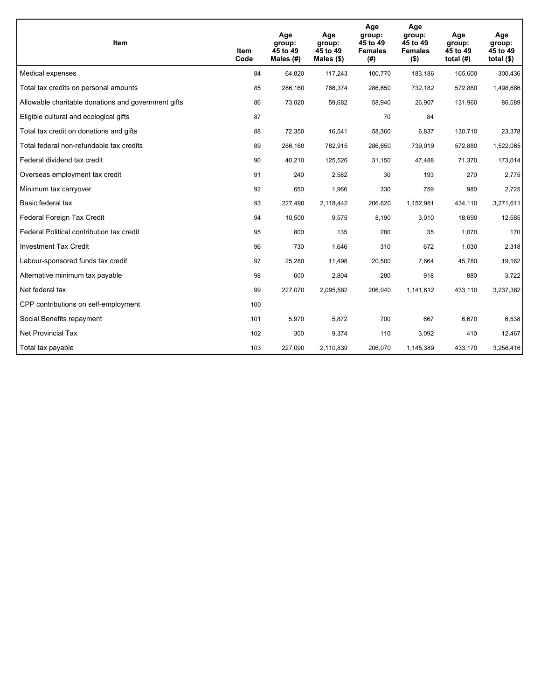| Item                                                | <b>Item</b><br>Code | Age<br>group:<br>45 to 49<br>Males $(H)$ | Age<br>group:<br>45 to 49<br>Males $(\$)$ | Age<br>group:<br>45 to 49<br><b>Females</b><br>(# ) | Age<br>group:<br>45 to 49<br><b>Females</b><br>$($ \$) | Age<br>group:<br>45 to 49<br>total $(H)$ | Age<br>group:<br>45 to 49<br>total $($)$ |
|-----------------------------------------------------|---------------------|------------------------------------------|-------------------------------------------|-----------------------------------------------------|--------------------------------------------------------|------------------------------------------|------------------------------------------|
| Medical expenses                                    | 84                  | 64,820                                   | 117,243                                   | 100,770                                             | 183,186                                                | 165,600                                  | 300,436                                  |
| Total tax credits on personal amounts               | 85                  | 286,160                                  | 766,374                                   | 286,650                                             | 732,182                                                | 572,880                                  | 1,498,686                                |
| Allowable charitable donations and government gifts | 86                  | 73,020                                   | 59,682                                    | 58,940                                              | 26,907                                                 | 131,960                                  | 86,589                                   |
| Eligible cultural and ecological gifts              | 87                  |                                          |                                           | 70                                                  | 84                                                     |                                          |                                          |
| Total tax credit on donations and gifts             | 88                  | 72,350                                   | 16,541                                    | 58,360                                              | 6,837                                                  | 130,710                                  | 23,378                                   |
| Total federal non-refundable tax credits            | 89                  | 286,160                                  | 782,915                                   | 286,650                                             | 739,019                                                | 572,880                                  | 1,522,065                                |
| Federal dividend tax credit                         | 90                  | 40,210                                   | 125,526                                   | 31,150                                              | 47,488                                                 | 71,370                                   | 173,014                                  |
| Overseas employment tax credit                      | 91                  | 240                                      | 2,582                                     | 30                                                  | 193                                                    | 270                                      | 2,775                                    |
| Minimum tax carryover                               | 92                  | 650                                      | 1,966                                     | 330                                                 | 759                                                    | 980                                      | 2,725                                    |
| Basic federal tax                                   | 93                  | 227,490                                  | 2,118,442                                 | 206,620                                             | 1,152,981                                              | 434,110                                  | 3,271,611                                |
| Federal Foreign Tax Credit                          | 94                  | 10,500                                   | 9,575                                     | 8,190                                               | 3,010                                                  | 18,690                                   | 12,585                                   |
| Federal Political contribution tax credit           | 95                  | 800                                      | 135                                       | 280                                                 | 35                                                     | 1,070                                    | 170                                      |
| <b>Investment Tax Credit</b>                        | 96                  | 730                                      | 1,646                                     | 310                                                 | 672                                                    | 1,030                                    | 2,318                                    |
| Labour-sponsored funds tax credit                   | 97                  | 25,280                                   | 11,498                                    | 20,500                                              | 7,664                                                  | 45,780                                   | 19,162                                   |
| Alternative minimum tax payable                     | 98                  | 600                                      | 2,804                                     | 280                                                 | 918                                                    | 880                                      | 3,722                                    |
| Net federal tax                                     | 99                  | 227,070                                  | 2,095,582                                 | 206,040                                             | 1,141,612                                              | 433,110                                  | 3,237,382                                |
| CPP contributions on self-employment                | 100                 |                                          |                                           |                                                     |                                                        |                                          |                                          |
| Social Benefits repayment                           | 101                 | 5,970                                    | 5,872                                     | 700                                                 | 667                                                    | 6.670                                    | 6,538                                    |
| <b>Net Provincial Tax</b>                           | 102                 | 300                                      | 9,374                                     | 110                                                 | 3,092                                                  | 410                                      | 12,467                                   |
| Total tax payable                                   | 103                 | 227,090                                  | 2,110,839                                 | 206,070                                             | 1,145,389                                              | 433,170                                  | 3,256,416                                |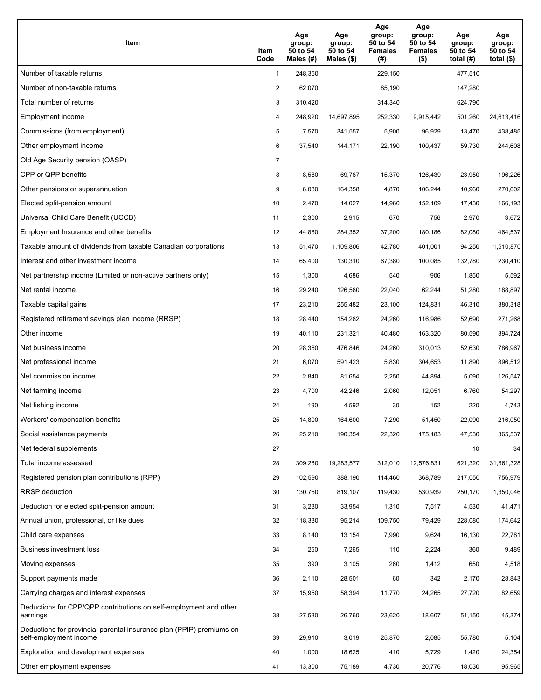| Item                                                                                           | Item<br>Code   | Age<br>group:<br>50 to 54<br>Males (#) | Age<br>group:<br>50 to 54<br>Males $(\$)$ | Age<br>group:<br>50 to 54<br><b>Females</b><br>(#) | Age<br>group:<br>50 to 54<br><b>Females</b><br>$($ \$) | Age<br>group:<br>50 to 54<br>total $(H)$ | Age<br>group:<br>50 to 54<br>total $(\$)$ |
|------------------------------------------------------------------------------------------------|----------------|----------------------------------------|-------------------------------------------|----------------------------------------------------|--------------------------------------------------------|------------------------------------------|-------------------------------------------|
| Number of taxable returns                                                                      | $\mathbf{1}$   | 248,350                                |                                           | 229,150                                            |                                                        | 477,510                                  |                                           |
| Number of non-taxable returns                                                                  | $\overline{2}$ | 62,070                                 |                                           | 85,190                                             |                                                        | 147,280                                  |                                           |
| Total number of returns                                                                        | 3              | 310,420                                |                                           | 314,340                                            |                                                        | 624,790                                  |                                           |
| Employment income                                                                              | 4              | 248,920                                | 14,697,895                                | 252,330                                            | 9,915,442                                              | 501,260                                  | 24,613,416                                |
| Commissions (from employment)                                                                  | 5              | 7,570                                  | 341,557                                   | 5,900                                              | 96,929                                                 | 13,470                                   | 438,485                                   |
| Other employment income                                                                        | 6              | 37,540                                 | 144,171                                   | 22,190                                             | 100,437                                                | 59,730                                   | 244,608                                   |
| Old Age Security pension (OASP)                                                                | $\overline{7}$ |                                        |                                           |                                                    |                                                        |                                          |                                           |
| CPP or QPP benefits                                                                            | 8              | 8,580                                  | 69,787                                    | 15,370                                             | 126,439                                                | 23,950                                   | 196,226                                   |
| Other pensions or superannuation                                                               | 9              | 6,080                                  | 164,358                                   | 4,870                                              | 106,244                                                | 10,960                                   | 270,602                                   |
| Elected split-pension amount                                                                   | 10             | 2,470                                  | 14,027                                    | 14,960                                             | 152,109                                                | 17,430                                   | 166,193                                   |
| Universal Child Care Benefit (UCCB)                                                            | 11             | 2,300                                  | 2,915                                     | 670                                                | 756                                                    | 2,970                                    | 3,672                                     |
| Employment Insurance and other benefits                                                        | 12             | 44,880                                 | 284,352                                   | 37,200                                             | 180,186                                                | 82,080                                   | 464,537                                   |
| Taxable amount of dividends from taxable Canadian corporations                                 | 13             | 51,470                                 | 1,109,806                                 | 42,780                                             | 401,001                                                | 94,250                                   | 1,510,870                                 |
| Interest and other investment income                                                           | 14             | 65,400                                 | 130,310                                   | 67,380                                             | 100,085                                                | 132,780                                  | 230,410                                   |
| Net partnership income (Limited or non-active partners only)                                   | 15             | 1,300                                  | 4,686                                     | 540                                                | 906                                                    | 1,850                                    | 5,592                                     |
| Net rental income                                                                              | 16             | 29,240                                 | 126,580                                   | 22,040                                             | 62,244                                                 | 51,280                                   | 188,897                                   |
| Taxable capital gains                                                                          | 17             | 23,210                                 | 255,482                                   | 23,100                                             | 124,831                                                | 46,310                                   | 380,318                                   |
| Registered retirement savings plan income (RRSP)                                               | 18             | 28,440                                 | 154,282                                   | 24,260                                             | 116,986                                                | 52,690                                   | 271,268                                   |
| Other income                                                                                   | 19             | 40,110                                 | 231,321                                   | 40,480                                             | 163,320                                                | 80,590                                   | 394,724                                   |
| Net business income                                                                            | 20             | 28,360                                 | 476,846                                   | 24,260                                             | 310,013                                                | 52,630                                   | 786,967                                   |
| Net professional income                                                                        | 21             | 6,070                                  | 591,423                                   | 5,830                                              | 304,653                                                | 11,890                                   | 896,512                                   |
| Net commission income                                                                          | 22             | 2,840                                  | 81,654                                    | 2,250                                              | 44,894                                                 | 5,090                                    | 126,547                                   |
| Net farming income                                                                             | 23             | 4,700                                  | 42,246                                    | 2,060                                              | 12,051                                                 | 6,760                                    | 54,297                                    |
| Net fishing income                                                                             | 24             | 190                                    | 4,592                                     | 30                                                 | 152                                                    | 220                                      | 4,743                                     |
| Workers' compensation benefits                                                                 | 25             | 14,800                                 | 164,600                                   | 7,290                                              | 51,450                                                 | 22,090                                   | 216,050                                   |
| Social assistance payments                                                                     | 26             | 25,210                                 | 190,354                                   | 22,320                                             | 175,183                                                | 47,530                                   | 365,537                                   |
| Net federal supplements                                                                        | 27             |                                        |                                           |                                                    |                                                        | 10                                       | 34                                        |
| Total income assessed                                                                          | 28             | 309,280                                | 19,283,577                                | 312,010                                            | 12,576,831                                             | 621,320                                  | 31,861,328                                |
| Registered pension plan contributions (RPP)                                                    | 29             | 102,590                                | 388,190                                   | 114,460                                            | 368,789                                                | 217,050                                  | 756,979                                   |
| <b>RRSP</b> deduction                                                                          | 30             | 130,750                                | 819,107                                   | 119,430                                            | 530,939                                                | 250,170                                  | 1,350,046                                 |
| Deduction for elected split-pension amount                                                     | 31             | 3,230                                  | 33,954                                    | 1,310                                              | 7,517                                                  | 4,530                                    | 41,471                                    |
| Annual union, professional, or like dues                                                       | 32             | 118,330                                | 95,214                                    | 109,750                                            | 79,429                                                 | 228,080                                  | 174,642                                   |
| Child care expenses                                                                            | 33             | 8,140                                  | 13,154                                    | 7,990                                              | 9,624                                                  | 16,130                                   | 22,781                                    |
| Business investment loss                                                                       | 34             | 250                                    | 7,265                                     | 110                                                | 2,224                                                  | 360                                      | 9,489                                     |
| Moving expenses                                                                                | 35             | 390                                    | 3,105                                     | 260                                                | 1,412                                                  | 650                                      | 4,518                                     |
| Support payments made                                                                          | 36             | 2,110                                  | 28,501                                    | 60                                                 | 342                                                    | 2,170                                    | 28,843                                    |
| Carrying charges and interest expenses                                                         | 37             | 15,950                                 | 58,394                                    | 11,770                                             | 24,265                                                 | 27,720                                   | 82,659                                    |
| Deductions for CPP/QPP contributions on self-employment and other<br>earnings                  | 38             | 27,530                                 | 26,760                                    | 23,620                                             | 18,607                                                 | 51,150                                   | 45,374                                    |
| Deductions for provincial parental insurance plan (PPIP) premiums on<br>self-employment income | 39             | 29,910                                 | 3,019                                     | 25,870                                             | 2,085                                                  | 55,780                                   | 5,104                                     |
| Exploration and development expenses                                                           | 40             | 1,000                                  | 18,625                                    | 410                                                | 5,729                                                  | 1,420                                    | 24,354                                    |
| Other employment expenses                                                                      | 41             | 13,300                                 | 75,189                                    | 4,730                                              | 20,776                                                 | 18,030                                   | 95,965                                    |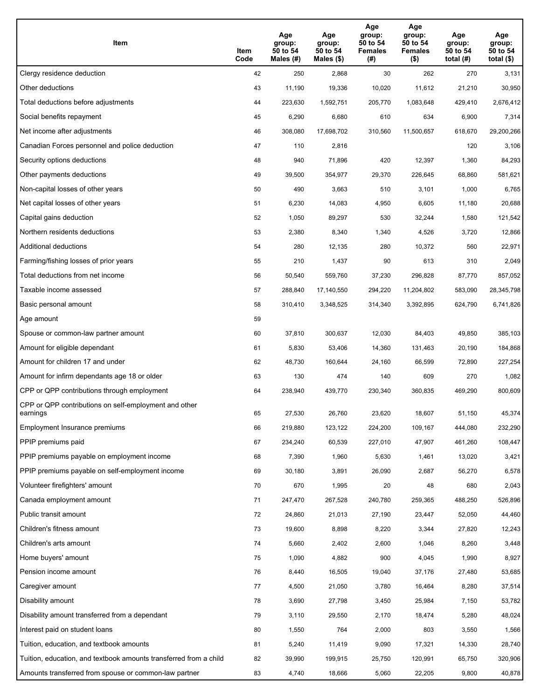| Item                                                              | Item<br>Code | Age<br>group:<br>50 to 54<br>Males (#) | Age<br>group:<br>50 to 54<br>Males (\$) | Age<br>group:<br>50 to 54<br><b>Females</b><br>(# ) | Age<br>group:<br>50 to 54<br><b>Females</b><br>$($ \$) | Age<br>group:<br>50 to 54<br>total $(H)$ | Age<br>group:<br>50 to 54<br>total $($)$ |
|-------------------------------------------------------------------|--------------|----------------------------------------|-----------------------------------------|-----------------------------------------------------|--------------------------------------------------------|------------------------------------------|------------------------------------------|
| Clergy residence deduction                                        | 42           | 250                                    | 2,868                                   | 30                                                  | 262                                                    | 270                                      | 3,131                                    |
| Other deductions                                                  | 43           | 11,190                                 | 19,336                                  | 10,020                                              | 11,612                                                 | 21,210                                   | 30,950                                   |
| Total deductions before adjustments                               | 44           | 223,630                                | 1,592,751                               | 205,770                                             | 1,083,648                                              | 429,410                                  | 2,676,412                                |
| Social benefits repayment                                         | 45           | 6,290                                  | 6,680                                   | 610                                                 | 634                                                    | 6,900                                    | 7,314                                    |
| Net income after adjustments                                      | 46           | 308,080                                | 17,698,702                              | 310,560                                             | 11,500,657                                             | 618,670                                  | 29,200,266                               |
| Canadian Forces personnel and police deduction                    | 47           | 110                                    | 2,816                                   |                                                     |                                                        | 120                                      | 3,106                                    |
| Security options deductions                                       | 48           | 940                                    | 71,896                                  | 420                                                 | 12,397                                                 | 1,360                                    | 84,293                                   |
| Other payments deductions                                         | 49           | 39,500                                 | 354,977                                 | 29,370                                              | 226,645                                                | 68,860                                   | 581,621                                  |
| Non-capital losses of other years                                 | 50           | 490                                    | 3,663                                   | 510                                                 | 3,101                                                  | 1,000                                    | 6,765                                    |
| Net capital losses of other years                                 | 51           | 6,230                                  | 14,083                                  | 4,950                                               | 6,605                                                  | 11,180                                   | 20,688                                   |
| Capital gains deduction                                           | 52           | 1,050                                  | 89,297                                  | 530                                                 | 32,244                                                 | 1,580                                    | 121,542                                  |
| Northern residents deductions                                     | 53           | 2,380                                  | 8,340                                   | 1,340                                               | 4,526                                                  | 3,720                                    | 12,866                                   |
| Additional deductions                                             | 54           | 280                                    | 12,135                                  | 280                                                 | 10,372                                                 | 560                                      | 22,971                                   |
| Farming/fishing losses of prior years                             | 55           | 210                                    | 1,437                                   | 90                                                  | 613                                                    | 310                                      | 2,049                                    |
| Total deductions from net income                                  | 56           | 50,540                                 | 559,760                                 | 37,230                                              | 296,828                                                | 87,770                                   | 857,052                                  |
| Taxable income assessed                                           | 57           | 288,840                                | 17,140,550                              | 294,220                                             | 11,204,802                                             | 583,090                                  | 28,345,798                               |
| Basic personal amount                                             | 58           | 310,410                                | 3,348,525                               | 314,340                                             | 3,392,895                                              | 624,790                                  | 6,741,826                                |
| Age amount                                                        | 59           |                                        |                                         |                                                     |                                                        |                                          |                                          |
| Spouse or common-law partner amount                               | 60           | 37,810                                 | 300,637                                 | 12,030                                              | 84,403                                                 | 49,850                                   | 385,103                                  |
| Amount for eligible dependant                                     | 61           | 5,830                                  | 53,406                                  | 14,360                                              | 131,463                                                | 20,190                                   | 184,868                                  |
| Amount for children 17 and under                                  | 62           | 48,730                                 | 160,644                                 | 24,160                                              | 66,599                                                 | 72,890                                   | 227,254                                  |
| Amount for infirm dependants age 18 or older                      | 63           | 130                                    | 474                                     | 140                                                 | 609                                                    | 270                                      | 1,082                                    |
| CPP or QPP contributions through employment                       | 64           | 238,940                                | 439,770                                 | 230,340                                             | 360,835                                                | 469,290                                  | 800,609                                  |
| CPP or QPP contributions on self-employment and other<br>earnings | 65           | 27,530                                 | 26,760                                  | 23,620                                              | 18,607                                                 | 51,150                                   | 45,374                                   |
| Employment Insurance premiums                                     | 66           | 219,880                                | 123,122                                 | 224,200                                             | 109,167                                                | 444,080                                  | 232,290                                  |
| PPIP premiums paid                                                | 67           | 234,240                                | 60,539                                  | 227,010                                             | 47,907                                                 | 461,260                                  | 108,447                                  |
| PPIP premiums payable on employment income                        | 68           | 7,390                                  | 1,960                                   | 5,630                                               | 1,461                                                  | 13,020                                   | 3,421                                    |
| PPIP premiums payable on self-employment income                   | 69           | 30,180                                 | 3,891                                   | 26,090                                              | 2,687                                                  | 56,270                                   | 6,578                                    |
| Volunteer firefighters' amount                                    | 70           | 670                                    | 1,995                                   | 20                                                  | 48                                                     | 680                                      | 2,043                                    |
| Canada employment amount                                          | 71           | 247,470                                | 267,528                                 | 240,780                                             | 259,365                                                | 488,250                                  | 526,896                                  |
| Public transit amount                                             | 72           | 24,860                                 | 21,013                                  | 27,190                                              | 23,447                                                 | 52,050                                   | 44,460                                   |
| Children's fitness amount                                         | 73           | 19,600                                 | 8,898                                   | 8,220                                               | 3,344                                                  | 27,820                                   | 12,243                                   |
| Children's arts amount                                            | 74           | 5,660                                  | 2,402                                   | 2,600                                               | 1,046                                                  | 8,260                                    | 3,448                                    |
| Home buyers' amount                                               | 75           | 1,090                                  | 4,882                                   | 900                                                 | 4,045                                                  | 1,990                                    | 8,927                                    |
| Pension income amount                                             | 76           | 8,440                                  | 16,505                                  | 19,040                                              | 37,176                                                 | 27,480                                   | 53,685                                   |
| Caregiver amount                                                  | 77           | 4,500                                  | 21,050                                  | 3,780                                               | 16,464                                                 | 8,280                                    | 37,514                                   |
| Disability amount                                                 | 78           | 3,690                                  | 27,798                                  | 3,450                                               | 25,984                                                 | 7,150                                    | 53,782                                   |
| Disability amount transferred from a dependant                    | 79           | 3,110                                  | 29,550                                  | 2,170                                               | 18,474                                                 | 5,280                                    | 48,024                                   |
| Interest paid on student loans                                    | 80           | 1,550                                  | 764                                     | 2,000                                               | 803                                                    | 3,550                                    | 1,566                                    |
| Tuition, education, and textbook amounts                          | 81           | 5,240                                  | 11,419                                  | 9,090                                               | 17,321                                                 | 14,330                                   | 28,740                                   |
| Tuition, education, and textbook amounts transferred from a child | 82           | 39,990                                 | 199,915                                 | 25,750                                              | 120,991                                                | 65,750                                   | 320,906                                  |
| Amounts transferred from spouse or common-law partner             | 83           | 4,740                                  | 18,666                                  | 5,060                                               | 22,205                                                 | 9,800                                    | 40,878                                   |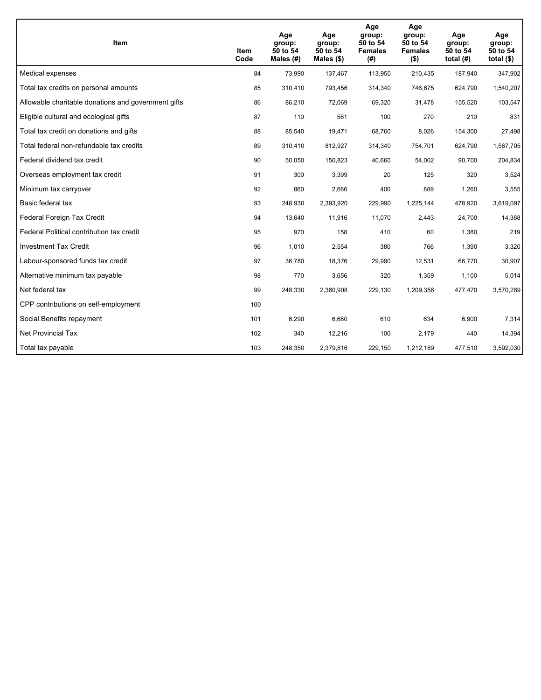| Item                                                | Item<br>Code | Age<br>group:<br>50 to 54<br>Males $(H)$ | Age<br>group:<br>50 to 54<br>Males $(\$)$ | Age<br>group:<br>50 to 54<br><b>Females</b><br>(# ) | Age<br>group:<br>50 to 54<br><b>Females</b><br>$($ \$) | Age<br>group:<br>50 to 54<br>total $(H)$ | Age<br>group:<br>50 to 54<br>total $($)$ |
|-----------------------------------------------------|--------------|------------------------------------------|-------------------------------------------|-----------------------------------------------------|--------------------------------------------------------|------------------------------------------|------------------------------------------|
| Medical expenses                                    | 84           | 73,990                                   | 137,467                                   | 113,950                                             | 210,435                                                | 187,940                                  | 347,902                                  |
| Total tax credits on personal amounts               | 85           | 310,410                                  | 793,456                                   | 314,340                                             | 746,675                                                | 624,790                                  | 1,540,207                                |
| Allowable charitable donations and government gifts | 86           | 86,210                                   | 72,069                                    | 69,320                                              | 31,478                                                 | 155.520                                  | 103,547                                  |
| Eligible cultural and ecological gifts              | 87           | 110                                      | 561                                       | 100                                                 | 270                                                    | 210                                      | 831                                      |
| Total tax credit on donations and gifts             | 88           | 85,540                                   | 19,471                                    | 68,760                                              | 8,026                                                  | 154,300                                  | 27,498                                   |
| Total federal non-refundable tax credits            | 89           | 310,410                                  | 812,927                                   | 314,340                                             | 754,701                                                | 624,790                                  | 1,567,705                                |
| Federal dividend tax credit                         | 90           | 50,050                                   | 150,823                                   | 40,660                                              | 54,002                                                 | 90,700                                   | 204,834                                  |
| Overseas employment tax credit                      | 91           | 300                                      | 3,399                                     | 20                                                  | 125                                                    | 320                                      | 3,524                                    |
| Minimum tax carryover                               | 92           | 860                                      | 2,666                                     | 400                                                 | 889                                                    | 1,260                                    | 3,555                                    |
| Basic federal tax                                   | 93           | 248,930                                  | 2,393,920                                 | 229,990                                             | 1,225,144                                              | 478,920                                  | 3,619,097                                |
| Federal Foreign Tax Credit                          | 94           | 13,640                                   | 11,916                                    | 11,070                                              | 2,443                                                  | 24,700                                   | 14,368                                   |
| Federal Political contribution tax credit           | 95           | 970                                      | 158                                       | 410                                                 | 60                                                     | 1,380                                    | 219                                      |
| <b>Investment Tax Credit</b>                        | 96           | 1,010                                    | 2,554                                     | 380                                                 | 766                                                    | 1,390                                    | 3,320                                    |
| Labour-sponsored funds tax credit                   | 97           | 36,780                                   | 18,376                                    | 29,990                                              | 12,531                                                 | 66,770                                   | 30,907                                   |
| Alternative minimum tax payable                     | 98           | 770                                      | 3,656                                     | 320                                                 | 1,359                                                  | 1,100                                    | 5,014                                    |
| Net federal tax                                     | 99           | 248,330                                  | 2,360,908                                 | 229,130                                             | 1,209,356                                              | 477,470                                  | 3,570,289                                |
| CPP contributions on self-employment                | 100          |                                          |                                           |                                                     |                                                        |                                          |                                          |
| Social Benefits repayment                           | 101          | 6,290                                    | 6.680                                     | 610                                                 | 634                                                    | 6.900                                    | 7,314                                    |
| <b>Net Provincial Tax</b>                           | 102          | 340                                      | 12,216                                    | 100                                                 | 2,179                                                  | 440                                      | 14,394                                   |
| Total tax payable                                   | 103          | 248,350                                  | 2,379,816                                 | 229,150                                             | 1,212,189                                              | 477,510                                  | 3,592,030                                |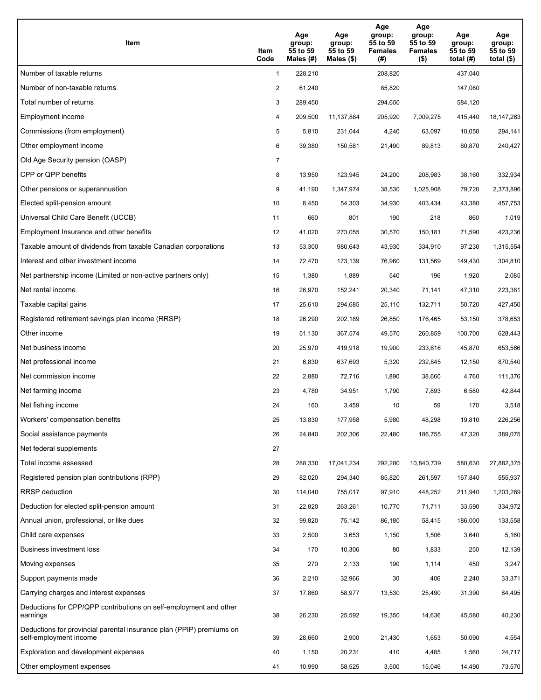| Item                                                                                           | Item<br>Code   | Age<br>group:<br>55 to 59<br>Males (#) | Age<br>group:<br>55 to 59<br>Males $(\$)$ | Age<br>group:<br>55 to 59<br><b>Females</b><br>(#) | Age<br>group:<br>55 to 59<br><b>Females</b><br>$($ \$) | Age<br>group:<br>55 to 59<br>total $(H)$ | Age<br>group:<br>55 to 59<br>total $(\$)$ |
|------------------------------------------------------------------------------------------------|----------------|----------------------------------------|-------------------------------------------|----------------------------------------------------|--------------------------------------------------------|------------------------------------------|-------------------------------------------|
| Number of taxable returns                                                                      | $\mathbf{1}$   | 228,210                                |                                           | 208,820                                            |                                                        | 437,040                                  |                                           |
| Number of non-taxable returns                                                                  | $\overline{2}$ | 61,240                                 |                                           | 85,820                                             |                                                        | 147,080                                  |                                           |
| Total number of returns                                                                        | 3              | 289,450                                |                                           | 294,650                                            |                                                        | 584,120                                  |                                           |
| Employment income                                                                              | 4              | 209,500                                | 11,137,884                                | 205,920                                            | 7,009,275                                              | 415,440                                  | 18, 147, 263                              |
| Commissions (from employment)                                                                  | 5              | 5,810                                  | 231,044                                   | 4,240                                              | 63,097                                                 | 10,050                                   | 294,141                                   |
| Other employment income                                                                        | 6              | 39,380                                 | 150,581                                   | 21,490                                             | 89,813                                                 | 60,870                                   | 240,427                                   |
| Old Age Security pension (OASP)                                                                | $\overline{7}$ |                                        |                                           |                                                    |                                                        |                                          |                                           |
| CPP or QPP benefits                                                                            | 8              | 13,950                                 | 123,945                                   | 24,200                                             | 208,983                                                | 38,160                                   | 332,934                                   |
| Other pensions or superannuation                                                               | 9              | 41,190                                 | 1,347,974                                 | 38,530                                             | 1,025,908                                              | 79,720                                   | 2,373,896                                 |
| Elected split-pension amount                                                                   | 10             | 8,450                                  | 54,303                                    | 34,930                                             | 403,434                                                | 43,380                                   | 457,753                                   |
| Universal Child Care Benefit (UCCB)                                                            | 11             | 660                                    | 801                                       | 190                                                | 218                                                    | 860                                      | 1,019                                     |
| Employment Insurance and other benefits                                                        | 12             | 41,020                                 | 273,055                                   | 30,570                                             | 150,181                                                | 71,590                                   | 423,236                                   |
| Taxable amount of dividends from taxable Canadian corporations                                 | 13             | 53,300                                 | 980,643                                   | 43,930                                             | 334,910                                                | 97,230                                   | 1,315,554                                 |
| Interest and other investment income                                                           | 14             | 72,470                                 | 173,139                                   | 76,960                                             | 131,569                                                | 149,430                                  | 304,810                                   |
| Net partnership income (Limited or non-active partners only)                                   | 15             | 1,380                                  | 1,889                                     | 540                                                | 196                                                    | 1,920                                    | 2,085                                     |
| Net rental income                                                                              | 16             | 26,970                                 | 152,241                                   | 20,340                                             | 71,141                                                 | 47,310                                   | 223,381                                   |
| Taxable capital gains                                                                          | 17             | 25,610                                 | 294,685                                   | 25,110                                             | 132,711                                                | 50,720                                   | 427,450                                   |
| Registered retirement savings plan income (RRSP)                                               | 18             | 26,290                                 | 202,189                                   | 26,850                                             | 176,465                                                | 53,150                                   | 378,653                                   |
| Other income                                                                                   | 19             | 51,130                                 | 367,574                                   | 49,570                                             | 260,859                                                | 100,700                                  | 628,443                                   |
| Net business income                                                                            | 20             | 25,970                                 | 419,918                                   | 19,900                                             | 233,616                                                | 45,870                                   | 653,566                                   |
| Net professional income                                                                        | 21             | 6,830                                  | 637,693                                   | 5,320                                              | 232,845                                                | 12,150                                   | 870,540                                   |
| Net commission income                                                                          | 22             | 2,880                                  | 72,716                                    | 1,890                                              | 38,660                                                 | 4,760                                    | 111,376                                   |
| Net farming income                                                                             | 23             | 4,780                                  | 34,951                                    | 1,790                                              | 7,893                                                  | 6,580                                    | 42,844                                    |
| Net fishing income                                                                             | 24             | 160                                    | 3,459                                     | 10                                                 | 59                                                     | 170                                      | 3,518                                     |
| Workers' compensation benefits                                                                 | 25             | 13,830                                 | 177,958                                   | 5,980                                              | 48,298                                                 | 19,810                                   | 226,256                                   |
| Social assistance payments                                                                     | 26             | 24,840                                 | 202,306                                   | 22,480                                             | 186,755                                                | 47,320                                   | 389,075                                   |
| Net federal supplements                                                                        | 27             |                                        |                                           |                                                    |                                                        |                                          |                                           |
| Total income assessed                                                                          | 28             | 288,330                                | 17,041,234                                | 292,280                                            | 10,840,739                                             | 580,630                                  | 27,882,375                                |
| Registered pension plan contributions (RPP)                                                    | 29             | 82,020                                 | 294,340                                   | 85,820                                             | 261,597                                                | 167,840                                  | 555,937                                   |
| <b>RRSP</b> deduction                                                                          | 30             | 114,040                                | 755,017                                   | 97,910                                             | 448,252                                                | 211,940                                  | 1,203,269                                 |
| Deduction for elected split-pension amount                                                     | 31             | 22,820                                 | 263,261                                   | 10,770                                             | 71,711                                                 | 33,590                                   | 334,972                                   |
| Annual union, professional, or like dues                                                       | 32             | 99,820                                 | 75,142                                    | 86,180                                             | 58,415                                                 | 186,000                                  | 133,558                                   |
| Child care expenses                                                                            | 33             | 2,500                                  | 3,653                                     | 1,150                                              | 1,506                                                  | 3,640                                    | 5,160                                     |
| <b>Business investment loss</b>                                                                | 34             | 170                                    | 10,306                                    | 80                                                 | 1,833                                                  | 250                                      | 12,139                                    |
| Moving expenses                                                                                | 35             | 270                                    | 2,133                                     | 190                                                | 1,114                                                  | 450                                      | 3,247                                     |
| Support payments made                                                                          | 36             | 2,210                                  | 32,966                                    | 30                                                 | 406                                                    | 2,240                                    | 33,371                                    |
| Carrying charges and interest expenses                                                         | 37             | 17,860                                 | 58,977                                    | 13,530                                             | 25,490                                                 | 31,390                                   | 84,495                                    |
| Deductions for CPP/QPP contributions on self-employment and other<br>earnings                  | 38             | 26,230                                 | 25,592                                    | 19,350                                             | 14,636                                                 | 45,580                                   | 40,230                                    |
| Deductions for provincial parental insurance plan (PPIP) premiums on<br>self-employment income | 39             | 28,660                                 | 2,900                                     | 21,430                                             | 1,653                                                  | 50,090                                   | 4,554                                     |
| Exploration and development expenses                                                           | 40             | 1,150                                  | 20,231                                    | 410                                                | 4,485                                                  | 1,560                                    | 24,717                                    |
| Other employment expenses                                                                      | 41             | 10,990                                 | 58,525                                    | 3,500                                              | 15,046                                                 | 14,490                                   | 73,570                                    |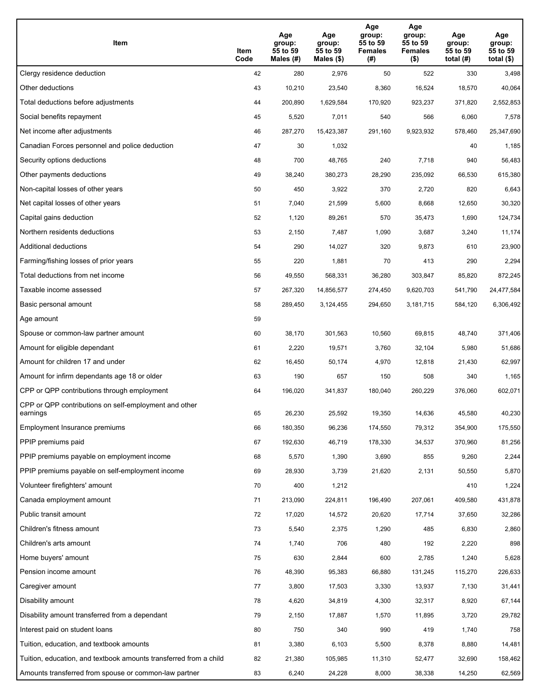| Item                                                              | Item<br>Code | Age<br>group:<br>55 to 59<br>Males (#) | Age<br>group:<br>55 to 59<br>Males (\$) | Age<br>group:<br>55 to 59<br><b>Females</b><br>(# ) | Age<br>group:<br>55 to 59<br>Females<br>$($ \$) | Age<br>group:<br>55 to 59<br>total $(H)$ | Age<br>group:<br>55 to 59<br>total (\$) |
|-------------------------------------------------------------------|--------------|----------------------------------------|-----------------------------------------|-----------------------------------------------------|-------------------------------------------------|------------------------------------------|-----------------------------------------|
| Clergy residence deduction                                        | 42           | 280                                    | 2,976                                   | 50                                                  | 522                                             | 330                                      | 3,498                                   |
| Other deductions                                                  | 43           | 10,210                                 | 23,540                                  | 8,360                                               | 16,524                                          | 18,570                                   | 40,064                                  |
| Total deductions before adjustments                               | 44           | 200,890                                | 1,629,584                               | 170,920                                             | 923,237                                         | 371,820                                  | 2,552,853                               |
| Social benefits repayment                                         | 45           | 5,520                                  | 7,011                                   | 540                                                 | 566                                             | 6,060                                    | 7,578                                   |
| Net income after adjustments                                      | 46           | 287,270                                | 15,423,387                              | 291,160                                             | 9,923,932                                       | 578,460                                  | 25,347,690                              |
| Canadian Forces personnel and police deduction                    | 47           | 30                                     | 1,032                                   |                                                     |                                                 | 40                                       | 1,185                                   |
| Security options deductions                                       | 48           | 700                                    | 48,765                                  | 240                                                 | 7,718                                           | 940                                      | 56,483                                  |
| Other payments deductions                                         | 49           | 38,240                                 | 380,273                                 | 28,290                                              | 235,092                                         | 66,530                                   | 615,380                                 |
| Non-capital losses of other years                                 | 50           | 450                                    | 3,922                                   | 370                                                 | 2,720                                           | 820                                      | 6,643                                   |
| Net capital losses of other years                                 | 51           | 7,040                                  | 21,599                                  | 5,600                                               | 8,668                                           | 12,650                                   | 30,320                                  |
| Capital gains deduction                                           | 52           | 1,120                                  | 89,261                                  | 570                                                 | 35,473                                          | 1,690                                    | 124,734                                 |
| Northern residents deductions                                     | 53           | 2,150                                  | 7,487                                   | 1,090                                               | 3,687                                           | 3,240                                    | 11,174                                  |
| Additional deductions                                             | 54           | 290                                    | 14,027                                  | 320                                                 | 9,873                                           | 610                                      | 23,900                                  |
| Farming/fishing losses of prior years                             | 55           | 220                                    | 1,881                                   | 70                                                  | 413                                             | 290                                      | 2,294                                   |
| Total deductions from net income                                  | 56           | 49,550                                 | 568,331                                 | 36,280                                              | 303,847                                         | 85,820                                   | 872,245                                 |
| Taxable income assessed                                           | 57           | 267,320                                | 14,856,577                              | 274,450                                             | 9,620,703                                       | 541,790                                  | 24,477,584                              |
| Basic personal amount                                             | 58           | 289,450                                | 3,124,455                               | 294,650                                             | 3,181,715                                       | 584,120                                  | 6,306,492                               |
| Age amount                                                        | 59           |                                        |                                         |                                                     |                                                 |                                          |                                         |
| Spouse or common-law partner amount                               | 60           | 38,170                                 | 301,563                                 | 10,560                                              | 69,815                                          | 48,740                                   | 371,406                                 |
| Amount for eligible dependant                                     | 61           | 2,220                                  | 19,571                                  | 3,760                                               | 32,104                                          | 5,980                                    | 51,686                                  |
| Amount for children 17 and under                                  | 62           | 16,450                                 | 50,174                                  | 4,970                                               | 12,818                                          | 21,430                                   | 62,997                                  |
| Amount for infirm dependants age 18 or older                      | 63           | 190                                    | 657                                     | 150                                                 | 508                                             | 340                                      | 1,165                                   |
| CPP or QPP contributions through employment                       | 64           | 196,020                                | 341,837                                 | 180,040                                             | 260,229                                         | 376,060                                  | 602,071                                 |
| CPP or QPP contributions on self-employment and other<br>earnings | 65           | 26,230                                 | 25,592                                  | 19,350                                              | 14,636                                          | 45,580                                   | 40,230                                  |
| Employment Insurance premiums                                     | 66           | 180,350                                | 96,236                                  | 174,550                                             | 79,312                                          | 354,900                                  | 175,550                                 |
| PPIP premiums paid                                                | 67           | 192,630                                | 46,719                                  | 178,330                                             | 34,537                                          | 370,960                                  | 81,256                                  |
| PPIP premiums payable on employment income                        | 68           | 5,570                                  | 1,390                                   | 3,690                                               | 855                                             | 9,260                                    | 2,244                                   |
| PPIP premiums payable on self-employment income                   | 69           | 28,930                                 | 3,739                                   | 21,620                                              | 2,131                                           | 50,550                                   | 5,870                                   |
| Volunteer firefighters' amount                                    | 70           | 400                                    | 1,212                                   |                                                     |                                                 | 410                                      | 1,224                                   |
| Canada employment amount                                          | 71           | 213,090                                | 224,811                                 | 196,490                                             | 207,061                                         | 409,580                                  | 431,878                                 |
| Public transit amount                                             | 72           | 17,020                                 | 14,572                                  | 20,620                                              | 17,714                                          | 37,650                                   | 32,286                                  |
| Children's fitness amount                                         | 73           | 5,540                                  | 2,375                                   | 1,290                                               | 485                                             | 6,830                                    | 2,860                                   |
| Children's arts amount                                            | 74           | 1,740                                  | 706                                     | 480                                                 | 192                                             | 2,220                                    | 898                                     |
| Home buyers' amount                                               | 75           | 630                                    | 2,844                                   | 600                                                 | 2,785                                           | 1,240                                    | 5,628                                   |
| Pension income amount                                             | 76           | 48,390                                 | 95,383                                  | 66,880                                              | 131,245                                         | 115,270                                  | 226,633                                 |
| Caregiver amount                                                  | 77           | 3,800                                  | 17,503                                  | 3,330                                               | 13,937                                          | 7,130                                    | 31,441                                  |
| Disability amount                                                 | 78           | 4,620                                  | 34,819                                  | 4,300                                               | 32,317                                          | 8,920                                    | 67,144                                  |
| Disability amount transferred from a dependant                    | 79           | 2,150                                  | 17,887                                  | 1,570                                               | 11,895                                          | 3,720                                    | 29,782                                  |
| Interest paid on student loans                                    | 80           | 750                                    | 340                                     | 990                                                 | 419                                             | 1,740                                    | 758                                     |
| Tuition, education, and textbook amounts                          | 81           | 3,380                                  | 6,103                                   | 5,500                                               | 8,378                                           | 8,880                                    | 14,481                                  |
| Tuition, education, and textbook amounts transferred from a child | 82           | 21,380                                 | 105,985                                 | 11,310                                              | 52,477                                          | 32,690                                   | 158,462                                 |
| Amounts transferred from spouse or common-law partner             | 83           | 6,240                                  | 24,228                                  | 8,000                                               | 38,338                                          | 14,250                                   | 62,569                                  |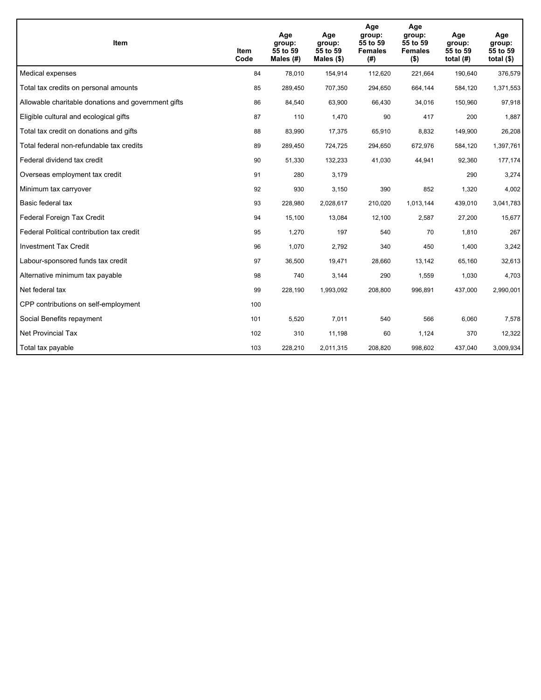| <b>Item</b>                                         | Item<br>Code | Age<br>group:<br>55 to 59<br>Males (#) | Age<br>group:<br>55 to 59<br>Males $(\$)$ | Age<br>group:<br>55 to 59<br><b>Females</b><br>(#) | Age<br>group:<br>55 to 59<br><b>Females</b><br>$($ \$) | Age<br>group:<br>55 to 59<br>total $(H)$ | Age<br>group:<br>55 to 59<br>total $($)$ |
|-----------------------------------------------------|--------------|----------------------------------------|-------------------------------------------|----------------------------------------------------|--------------------------------------------------------|------------------------------------------|------------------------------------------|
| Medical expenses                                    | 84           | 78,010                                 | 154,914                                   | 112,620                                            | 221,664                                                | 190,640                                  | 376,579                                  |
| Total tax credits on personal amounts               | 85           | 289,450                                | 707,350                                   | 294,650                                            | 664,144                                                | 584,120                                  | 1,371,553                                |
| Allowable charitable donations and government gifts | 86           | 84,540                                 | 63,900                                    | 66,430                                             | 34,016                                                 | 150,960                                  | 97,918                                   |
| Eligible cultural and ecological gifts              | 87           | 110                                    | 1,470                                     | 90                                                 | 417                                                    | 200                                      | 1,887                                    |
| Total tax credit on donations and gifts             | 88           | 83,990                                 | 17,375                                    | 65,910                                             | 8,832                                                  | 149,900                                  | 26,208                                   |
| Total federal non-refundable tax credits            | 89           | 289,450                                | 724,725                                   | 294,650                                            | 672,976                                                | 584,120                                  | 1,397,761                                |
| Federal dividend tax credit                         | 90           | 51,330                                 | 132,233                                   | 41,030                                             | 44.941                                                 | 92,360                                   | 177,174                                  |
| Overseas employment tax credit                      | 91           | 280                                    | 3,179                                     |                                                    |                                                        | 290                                      | 3,274                                    |
| Minimum tax carryover                               | 92           | 930                                    | 3,150                                     | 390                                                | 852                                                    | 1,320                                    | 4,002                                    |
| Basic federal tax                                   | 93           | 228,980                                | 2,028,617                                 | 210,020                                            | 1,013,144                                              | 439,010                                  | 3,041,783                                |
| Federal Foreign Tax Credit                          | 94           | 15,100                                 | 13,084                                    | 12,100                                             | 2,587                                                  | 27,200                                   | 15,677                                   |
| Federal Political contribution tax credit           | 95           | 1,270                                  | 197                                       | 540                                                | 70                                                     | 1,810                                    | 267                                      |
| <b>Investment Tax Credit</b>                        | 96           | 1,070                                  | 2,792                                     | 340                                                | 450                                                    | 1,400                                    | 3,242                                    |
| Labour-sponsored funds tax credit                   | 97           | 36,500                                 | 19,471                                    | 28,660                                             | 13,142                                                 | 65,160                                   | 32,613                                   |
| Alternative minimum tax payable                     | 98           | 740                                    | 3,144                                     | 290                                                | 1,559                                                  | 1,030                                    | 4,703                                    |
| Net federal tax                                     | 99           | 228,190                                | 1,993,092                                 | 208,800                                            | 996,891                                                | 437,000                                  | 2,990,001                                |
| CPP contributions on self-employment                | 100          |                                        |                                           |                                                    |                                                        |                                          |                                          |
| Social Benefits repayment                           | 101          | 5,520                                  | 7,011                                     | 540                                                | 566                                                    | 6,060                                    | 7,578                                    |
| Net Provincial Tax                                  | 102          | 310                                    | 11,198                                    | 60                                                 | 1,124                                                  | 370                                      | 12,322                                   |
| Total tax payable                                   | 103          | 228,210                                | 2,011,315                                 | 208,820                                            | 998,602                                                | 437,040                                  | 3,009,934                                |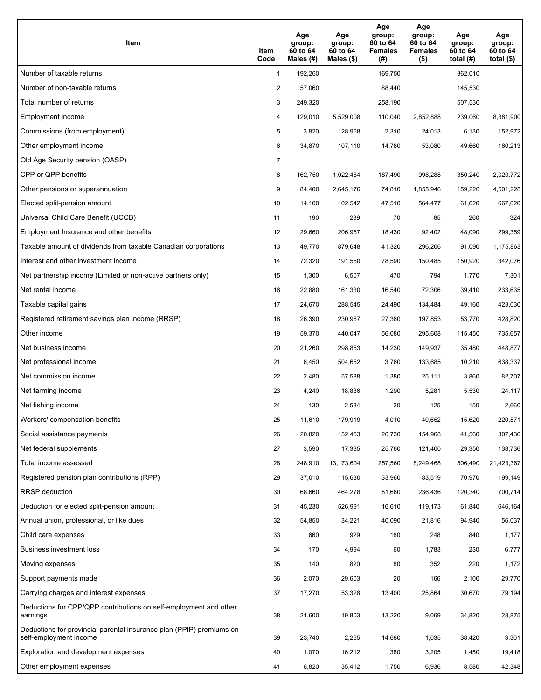| Item                                                                                           | Item<br>Code   | Age<br>group:<br>60 to 64<br>Males $(\#)$ | Age<br>group:<br>60 to 64<br>Males $(\$)$ | Age<br>group:<br>60 to 64<br><b>Females</b><br>(#) | Age<br>group:<br>60 to 64<br><b>Females</b><br>$($ \$) | Age<br>group:<br>60 to 64<br>total $(H)$ | Age<br>group:<br>60 to 64<br>total $(\$)$ |
|------------------------------------------------------------------------------------------------|----------------|-------------------------------------------|-------------------------------------------|----------------------------------------------------|--------------------------------------------------------|------------------------------------------|-------------------------------------------|
| Number of taxable returns                                                                      | $\mathbf{1}$   | 192,260                                   |                                           | 169,750                                            |                                                        | 362,010                                  |                                           |
| Number of non-taxable returns                                                                  | $\overline{c}$ | 57,060                                    |                                           | 88,440                                             |                                                        | 145,530                                  |                                           |
| Total number of returns                                                                        | 3              | 249,320                                   |                                           | 258,190                                            |                                                        | 507,530                                  |                                           |
| Employment income                                                                              | 4              | 129,010                                   | 5,529,008                                 | 110,040                                            | 2,852,888                                              | 239,060                                  | 8,381,900                                 |
| Commissions (from employment)                                                                  | 5              | 3,820                                     | 128,958                                   | 2,310                                              | 24,013                                                 | 6,130                                    | 152,972                                   |
| Other employment income                                                                        | 6              | 34,870                                    | 107,110                                   | 14,780                                             | 53,080                                                 | 49,660                                   | 160,213                                   |
| Old Age Security pension (OASP)                                                                | $\overline{7}$ |                                           |                                           |                                                    |                                                        |                                          |                                           |
| CPP or QPP benefits                                                                            | 8              | 162,750                                   | 1,022,484                                 | 187,490                                            | 998,288                                                | 350,240                                  | 2,020,772                                 |
| Other pensions or superannuation                                                               | 9              | 84,400                                    | 2,645,176                                 | 74,810                                             | 1,855,946                                              | 159,220                                  | 4,501,228                                 |
| Elected split-pension amount                                                                   | 10             | 14,100                                    | 102,542                                   | 47,510                                             | 564,477                                                | 61,620                                   | 667,020                                   |
| Universal Child Care Benefit (UCCB)                                                            | 11             | 190                                       | 239                                       | 70                                                 | 85                                                     | 260                                      | 324                                       |
| Employment Insurance and other benefits                                                        | 12             | 29,660                                    | 206,957                                   | 18,430                                             | 92,402                                                 | 48,090                                   | 299,359                                   |
| Taxable amount of dividends from taxable Canadian corporations                                 | 13             | 49,770                                    | 879,648                                   | 41,320                                             | 296,206                                                | 91,090                                   | 1,175,863                                 |
| Interest and other investment income                                                           | 14             | 72,320                                    | 191,550                                   | 78,590                                             | 150,485                                                | 150,920                                  | 342,076                                   |
| Net partnership income (Limited or non-active partners only)                                   | 15             | 1,300                                     | 6,507                                     | 470                                                | 794                                                    | 1,770                                    | 7,301                                     |
| Net rental income                                                                              | 16             | 22,880                                    | 161,330                                   | 16,540                                             | 72,306                                                 | 39,410                                   | 233,635                                   |
| Taxable capital gains                                                                          | 17             | 24,670                                    | 288,545                                   | 24,490                                             | 134,484                                                | 49,160                                   | 423,030                                   |
| Registered retirement savings plan income (RRSP)                                               | 18             | 26,390                                    | 230,967                                   | 27,380                                             | 197,853                                                | 53,770                                   | 428,820                                   |
| Other income                                                                                   | 19             | 59,370                                    | 440,047                                   | 56,080                                             | 295,608                                                | 115,450                                  | 735,657                                   |
| Net business income                                                                            | 20             | 21,260                                    | 298,853                                   | 14,230                                             | 149,937                                                | 35,480                                   | 448,877                                   |
| Net professional income                                                                        | 21             | 6,450                                     | 504,652                                   | 3,760                                              | 133,685                                                | 10,210                                   | 638,337                                   |
| Net commission income                                                                          | 22             | 2,480                                     | 57,588                                    | 1,380                                              | 25,111                                                 | 3,860                                    | 82,707                                    |
| Net farming income                                                                             | 23             | 4,240                                     | 18,836                                    | 1,290                                              | 5,281                                                  | 5,530                                    | 24,117                                    |
| Net fishing income                                                                             | 24             | 130                                       | 2,534                                     | 20                                                 | 125                                                    | 150                                      | 2,660                                     |
| Workers' compensation benefits                                                                 | 25             | 11,610                                    | 179,919                                   | 4,010                                              | 40,652                                                 | 15,620                                   | 220,571                                   |
| Social assistance payments                                                                     | 26             | 20,820                                    | 152,453                                   | 20,730                                             | 154,968                                                | 41,560                                   | 307,436                                   |
| Net federal supplements                                                                        | 27             | 3,590                                     | 17,335                                    | 25,760                                             | 121,400                                                | 29,350                                   | 138,736                                   |
| Total income assessed                                                                          | 28             | 248,910                                   | 13,173,604                                | 257,560                                            | 8,249,468                                              | 506,490                                  | 21,423,367                                |
| Registered pension plan contributions (RPP)                                                    | 29             | 37,010                                    | 115,630                                   | 33,960                                             | 83,519                                                 | 70,970                                   | 199,149                                   |
| <b>RRSP</b> deduction                                                                          | 30             | 68,660                                    | 464,278                                   | 51,680                                             | 236,436                                                | 120,340                                  | 700,714                                   |
| Deduction for elected split-pension amount                                                     | 31             | 45,230                                    | 526,991                                   | 16,610                                             | 119,173                                                | 61,840                                   | 646,164                                   |
| Annual union, professional, or like dues                                                       | 32             | 54,850                                    | 34,221                                    | 40,090                                             | 21,816                                                 | 94,940                                   | 56,037                                    |
| Child care expenses                                                                            | 33             | 660                                       | 929                                       | 180                                                | 248                                                    | 840                                      | 1,177                                     |
| Business investment loss                                                                       | 34             | 170                                       | 4,994                                     | 60                                                 | 1,783                                                  | 230                                      | 6,777                                     |
| Moving expenses                                                                                | 35             | 140                                       | 820                                       | 80                                                 | 352                                                    | 220                                      | 1,172                                     |
| Support payments made                                                                          | 36             | 2,070                                     | 29,603                                    | 20                                                 | 166                                                    | 2,100                                    | 29,770                                    |
| Carrying charges and interest expenses                                                         | 37             | 17,270                                    | 53,328                                    | 13,400                                             | 25,864                                                 | 30,670                                   | 79,194                                    |
| Deductions for CPP/QPP contributions on self-employment and other<br>earnings                  | 38             | 21,600                                    | 19,803                                    | 13,220                                             | 9,069                                                  | 34,820                                   | 28,875                                    |
| Deductions for provincial parental insurance plan (PPIP) premiums on<br>self-employment income | 39             | 23,740                                    | 2,265                                     | 14,680                                             | 1,035                                                  | 38,420                                   | 3,301                                     |
| Exploration and development expenses                                                           | 40             | 1,070                                     | 16,212                                    | 380                                                | 3,205                                                  | 1,450                                    | 19,418                                    |
| Other employment expenses                                                                      | 41             | 6,820                                     | 35,412                                    | 1,750                                              | 6,936                                                  | 8,580                                    | 42,348                                    |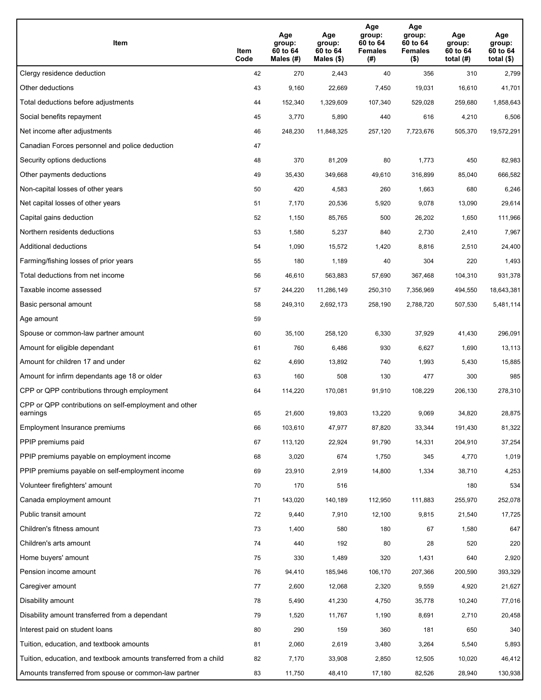| Item                                                              | Item<br>Code | Age<br>group:<br>60 to 64<br>Males (#) | Age<br>group:<br>60 to 64<br>Males (\$) | Age<br>group:<br>60 to 64<br><b>Females</b><br>(# ) | Age<br>group:<br>60 to 64<br>Females<br>$($ \$) | Age<br>group:<br>60 to 64<br>total $(H)$ | Age<br>group:<br>60 to 64<br>total $($)$ |
|-------------------------------------------------------------------|--------------|----------------------------------------|-----------------------------------------|-----------------------------------------------------|-------------------------------------------------|------------------------------------------|------------------------------------------|
| Clergy residence deduction                                        | 42           | 270                                    | 2,443                                   | 40                                                  | 356                                             | 310                                      | 2,799                                    |
| Other deductions                                                  | 43           | 9,160                                  | 22,669                                  | 7,450                                               | 19,031                                          | 16,610                                   | 41,701                                   |
| Total deductions before adjustments                               | 44           | 152,340                                | 1,329,609                               | 107,340                                             | 529,028                                         | 259,680                                  | 1,858,643                                |
| Social benefits repayment                                         | 45           | 3,770                                  | 5,890                                   | 440                                                 | 616                                             | 4,210                                    | 6,506                                    |
| Net income after adjustments                                      | 46           | 248,230                                | 11,848,325                              | 257,120                                             | 7,723,676                                       | 505,370                                  | 19,572,291                               |
| Canadian Forces personnel and police deduction                    | 47           |                                        |                                         |                                                     |                                                 |                                          |                                          |
| Security options deductions                                       | 48           | 370                                    | 81,209                                  | 80                                                  | 1,773                                           | 450                                      | 82,983                                   |
| Other payments deductions                                         | 49           | 35,430                                 | 349,668                                 | 49,610                                              | 316,899                                         | 85,040                                   | 666,582                                  |
| Non-capital losses of other years                                 | 50           | 420                                    | 4,583                                   | 260                                                 | 1,663                                           | 680                                      | 6,246                                    |
| Net capital losses of other years                                 | 51           | 7,170                                  | 20,536                                  | 5,920                                               | 9,078                                           | 13,090                                   | 29,614                                   |
| Capital gains deduction                                           | 52           | 1,150                                  | 85,765                                  | 500                                                 | 26,202                                          | 1,650                                    | 111,966                                  |
| Northern residents deductions                                     | 53           | 1,580                                  | 5,237                                   | 840                                                 | 2,730                                           | 2,410                                    | 7,967                                    |
| Additional deductions                                             | 54           | 1,090                                  | 15,572                                  | 1,420                                               | 8,816                                           | 2,510                                    | 24,400                                   |
| Farming/fishing losses of prior years                             | 55           | 180                                    | 1,189                                   | 40                                                  | 304                                             | 220                                      | 1,493                                    |
| Total deductions from net income                                  | 56           | 46,610                                 | 563,883                                 | 57,690                                              | 367,468                                         | 104,310                                  | 931,378                                  |
| Taxable income assessed                                           | 57           | 244,220                                | 11,286,149                              | 250,310                                             | 7,356,969                                       | 494,550                                  | 18,643,381                               |
| Basic personal amount                                             | 58           | 249,310                                | 2,692,173                               | 258,190                                             | 2,788,720                                       | 507,530                                  | 5,481,114                                |
| Age amount                                                        | 59           |                                        |                                         |                                                     |                                                 |                                          |                                          |
| Spouse or common-law partner amount                               | 60           | 35,100                                 | 258,120                                 | 6,330                                               | 37,929                                          | 41,430                                   | 296,091                                  |
| Amount for eligible dependant                                     | 61           | 760                                    | 6,486                                   | 930                                                 | 6,627                                           | 1,690                                    | 13,113                                   |
| Amount for children 17 and under                                  | 62           | 4,690                                  | 13,892                                  | 740                                                 | 1,993                                           | 5,430                                    | 15,885                                   |
| Amount for infirm dependants age 18 or older                      | 63           | 160                                    | 508                                     | 130                                                 | 477                                             | 300                                      | 985                                      |
| CPP or QPP contributions through employment                       | 64           | 114,220                                | 170,081                                 | 91,910                                              | 108,229                                         | 206,130                                  | 278,310                                  |
| CPP or QPP contributions on self-employment and other<br>earnings | 65           | 21,600                                 | 19,803                                  | 13,220                                              | 9,069                                           | 34,820                                   | 28,875                                   |
| Employment Insurance premiums                                     | 66           | 103,610                                | 47,977                                  | 87,820                                              | 33,344                                          | 191,430                                  | 81,322                                   |
| PPIP premiums paid                                                | 67           | 113,120                                | 22,924                                  | 91,790                                              | 14,331                                          | 204,910                                  | 37,254                                   |
| PPIP premiums payable on employment income                        | 68           | 3,020                                  | 674                                     | 1,750                                               | 345                                             | 4,770                                    | 1,019                                    |
| PPIP premiums payable on self-employment income                   | 69           | 23,910                                 | 2,919                                   | 14,800                                              | 1,334                                           | 38,710                                   | 4,253                                    |
| Volunteer firefighters' amount                                    | 70           | 170                                    | 516                                     |                                                     |                                                 | 180                                      | 534                                      |
| Canada employment amount                                          | 71           | 143,020                                | 140,189                                 | 112,950                                             | 111,883                                         | 255,970                                  | 252,078                                  |
| Public transit amount                                             | 72           | 9,440                                  | 7,910                                   | 12,100                                              | 9,815                                           | 21,540                                   | 17,725                                   |
| Children's fitness amount                                         | 73           | 1,400                                  | 580                                     | 180                                                 | 67                                              | 1,580                                    | 647                                      |
| Children's arts amount                                            | 74           | 440                                    | 192                                     | 80                                                  | 28                                              | 520                                      | 220                                      |
| Home buyers' amount                                               | 75           | 330                                    | 1,489                                   | 320                                                 | 1,431                                           | 640                                      | 2,920                                    |
| Pension income amount                                             | 76           | 94,410                                 | 185,946                                 | 106,170                                             | 207,366                                         | 200,590                                  | 393,329                                  |
| Caregiver amount                                                  | 77           | 2,600                                  | 12,068                                  | 2,320                                               | 9,559                                           | 4,920                                    | 21,627                                   |
| Disability amount                                                 | 78           | 5,490                                  | 41,230                                  | 4,750                                               | 35,778                                          | 10,240                                   | 77,016                                   |
| Disability amount transferred from a dependant                    | 79           | 1,520                                  | 11,767                                  | 1,190                                               | 8,691                                           | 2,710                                    | 20,458                                   |
| Interest paid on student loans                                    | 80           | 290                                    | 159                                     | 360                                                 | 181                                             | 650                                      | 340                                      |
| Tuition, education, and textbook amounts                          | 81           | 2,060                                  | 2,619                                   | 3,480                                               | 3,264                                           | 5,540                                    | 5,893                                    |
| Tuition, education, and textbook amounts transferred from a child | 82           | 7,170                                  | 33,908                                  | 2,850                                               | 12,505                                          | 10,020                                   | 46,412                                   |
| Amounts transferred from spouse or common-law partner             | 83           | 11,750                                 | 48,410                                  | 17,180                                              | 82,526                                          | 28,940                                   | 130,938                                  |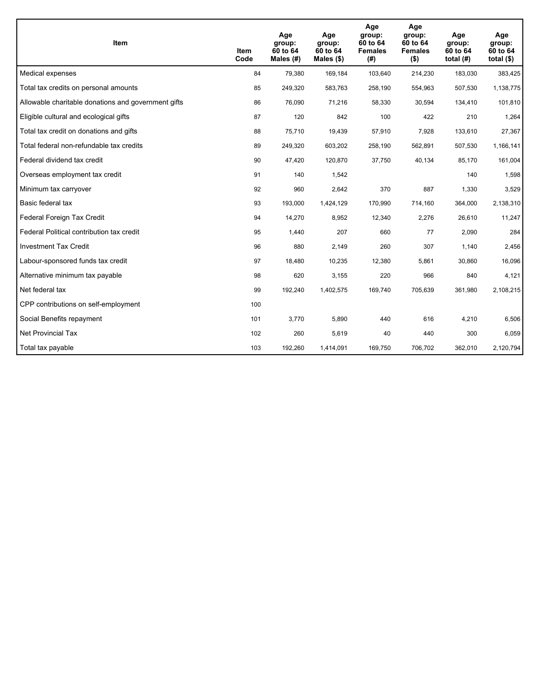| <b>Item</b>                                         | <b>Item</b><br>Code | Age<br>group:<br>60 to 64<br>Males (#) | Age<br>group:<br>60 to 64<br>Males $(\$)$ | Age<br>group:<br>60 to 64<br><b>Females</b><br>(#) | Age<br>group:<br>60 to 64<br><b>Females</b><br>$($ \$) | Age<br>group:<br>60 to 64<br>total $(H)$ | Age<br>group:<br>60 to 64<br>total $($)$ |
|-----------------------------------------------------|---------------------|----------------------------------------|-------------------------------------------|----------------------------------------------------|--------------------------------------------------------|------------------------------------------|------------------------------------------|
| Medical expenses                                    | 84                  | 79,380                                 | 169,184                                   | 103,640                                            | 214,230                                                | 183,030                                  | 383,425                                  |
| Total tax credits on personal amounts               | 85                  | 249,320                                | 583,763                                   | 258,190                                            | 554,963                                                | 507,530                                  | 1,138,775                                |
| Allowable charitable donations and government gifts | 86                  | 76,090                                 | 71,216                                    | 58,330                                             | 30,594                                                 | 134,410                                  | 101,810                                  |
| Eligible cultural and ecological gifts              | 87                  | 120                                    | 842                                       | 100                                                | 422                                                    | 210                                      | 1,264                                    |
| Total tax credit on donations and gifts             | 88                  | 75,710                                 | 19,439                                    | 57,910                                             | 7,928                                                  | 133,610                                  | 27,367                                   |
| Total federal non-refundable tax credits            | 89                  | 249,320                                | 603,202                                   | 258,190                                            | 562,891                                                | 507,530                                  | 1,166,141                                |
| Federal dividend tax credit                         | 90                  | 47,420                                 | 120,870                                   | 37,750                                             | 40,134                                                 | 85,170                                   | 161,004                                  |
| Overseas employment tax credit                      | 91                  | 140                                    | 1,542                                     |                                                    |                                                        | 140                                      | 1,598                                    |
| Minimum tax carryover                               | 92                  | 960                                    | 2,642                                     | 370                                                | 887                                                    | 1,330                                    | 3,529                                    |
| Basic federal tax                                   | 93                  | 193,000                                | 1,424,129                                 | 170,990                                            | 714,160                                                | 364,000                                  | 2,138,310                                |
| Federal Foreign Tax Credit                          | 94                  | 14,270                                 | 8,952                                     | 12,340                                             | 2,276                                                  | 26,610                                   | 11,247                                   |
| Federal Political contribution tax credit           | 95                  | 1,440                                  | 207                                       | 660                                                | 77                                                     | 2,090                                    | 284                                      |
| <b>Investment Tax Credit</b>                        | 96                  | 880                                    | 2,149                                     | 260                                                | 307                                                    | 1,140                                    | 2,456                                    |
| Labour-sponsored funds tax credit                   | 97                  | 18,480                                 | 10,235                                    | 12,380                                             | 5.861                                                  | 30,860                                   | 16,096                                   |
| Alternative minimum tax payable                     | 98                  | 620                                    | 3,155                                     | 220                                                | 966                                                    | 840                                      | 4,121                                    |
| Net federal tax                                     | 99                  | 192,240                                | 1,402,575                                 | 169,740                                            | 705,639                                                | 361,980                                  | 2,108,215                                |
| CPP contributions on self-employment                | 100                 |                                        |                                           |                                                    |                                                        |                                          |                                          |
| Social Benefits repayment                           | 101                 | 3,770                                  | 5,890                                     | 440                                                | 616                                                    | 4,210                                    | 6,506                                    |
| Net Provincial Tax                                  | 102                 | 260                                    | 5,619                                     | 40                                                 | 440                                                    | 300                                      | 6,059                                    |
| Total tax payable                                   | 103                 | 192,260                                | 1,414,091                                 | 169,750                                            | 706,702                                                | 362,010                                  | 2,120,794                                |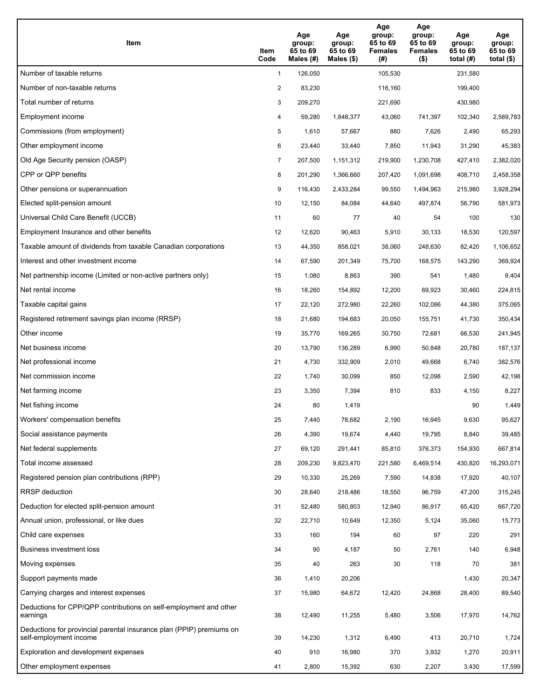| Item                                                                                           | Item<br>Code   | Age<br>group:<br>65 to 69<br>Males $(H)$ | Age<br>group:<br>65 to 69<br>Males $(\$)$ | Age<br>group:<br>65 to 69<br><b>Females</b><br>(#) | Age<br>group:<br>65 to 69<br><b>Females</b><br>$($ \$) | Age<br>group:<br>65 to 69<br>total $(H)$ | Age<br>group:<br>65 to 69<br>total $(\$)$ |
|------------------------------------------------------------------------------------------------|----------------|------------------------------------------|-------------------------------------------|----------------------------------------------------|--------------------------------------------------------|------------------------------------------|-------------------------------------------|
| Number of taxable returns                                                                      | $\mathbf{1}$   | 126,050                                  |                                           | 105,530                                            |                                                        | 231,580                                  |                                           |
| Number of non-taxable returns                                                                  | $\overline{2}$ | 83,230                                   |                                           | 116,160                                            |                                                        | 199,400                                  |                                           |
| Total number of returns                                                                        | 3              | 209,270                                  |                                           | 221,690                                            |                                                        | 430,980                                  |                                           |
| Employment income                                                                              | 4              | 59,280                                   | 1,848,377                                 | 43,060                                             | 741,397                                                | 102,340                                  | 2,589,783                                 |
| Commissions (from employment)                                                                  | 5              | 1,610                                    | 57,667                                    | 880                                                | 7,626                                                  | 2,490                                    | 65,293                                    |
| Other employment income                                                                        | 6              | 23,440                                   | 33,440                                    | 7,850                                              | 11,943                                                 | 31,290                                   | 45,383                                    |
| Old Age Security pension (OASP)                                                                | $\overline{7}$ | 207,500                                  | 1,151,312                                 | 219,900                                            | 1,230,708                                              | 427,410                                  | 2,382,020                                 |
| CPP or QPP benefits                                                                            | 8              | 201,290                                  | 1,366,660                                 | 207,420                                            | 1,091,698                                              | 408,710                                  | 2,458,358                                 |
| Other pensions or superannuation                                                               | 9              | 116,430                                  | 2,433,284                                 | 99,550                                             | 1,494,963                                              | 215,980                                  | 3,928,294                                 |
| Elected split-pension amount                                                                   | 10             | 12,150                                   | 84,084                                    | 44,640                                             | 497,874                                                | 56,790                                   | 581,973                                   |
| Universal Child Care Benefit (UCCB)                                                            | 11             | 60                                       | 77                                        | 40                                                 | 54                                                     | 100                                      | 130                                       |
| Employment Insurance and other benefits                                                        | 12             | 12,620                                   | 90,463                                    | 5,910                                              | 30,133                                                 | 18,530                                   | 120,597                                   |
| Taxable amount of dividends from taxable Canadian corporations                                 | 13             | 44,350                                   | 858,021                                   | 38,060                                             | 248,630                                                | 82,420                                   | 1,106,652                                 |
| Interest and other investment income                                                           | 14             | 67,590                                   | 201,349                                   | 75,700                                             | 168,575                                                | 143,290                                  | 369,924                                   |
| Net partnership income (Limited or non-active partners only)                                   | 15             | 1,080                                    | 8,863                                     | 390                                                | 541                                                    | 1,480                                    | 9,404                                     |
| Net rental income                                                                              | 16             | 18,260                                   | 154,892                                   | 12,200                                             | 69,923                                                 | 30,460                                   | 224,815                                   |
| Taxable capital gains                                                                          | 17             | 22,120                                   | 272,980                                   | 22,260                                             | 102,086                                                | 44,380                                   | 375,065                                   |
| Registered retirement savings plan income (RRSP)                                               | 18             | 21,680                                   | 194,683                                   | 20,050                                             | 155,751                                                | 41,730                                   | 350,434                                   |
| Other income                                                                                   | 19             | 35,770                                   | 169,265                                   | 30,750                                             | 72,681                                                 | 66,530                                   | 241,945                                   |
| Net business income                                                                            | 20             | 13,790                                   | 136,289                                   | 6,990                                              | 50,848                                                 | 20,780                                   | 187,137                                   |
| Net professional income                                                                        | 21             | 4,730                                    | 332,909                                   | 2,010                                              | 49,668                                                 | 6,740                                    | 382,576                                   |
| Net commission income                                                                          | 22             | 1,740                                    | 30,099                                    | 850                                                | 12,098                                                 | 2,590                                    | 42,198                                    |
| Net farming income                                                                             | 23             | 3,350                                    | 7,394                                     | 810                                                | 833                                                    | 4,150                                    | 8,227                                     |
| Net fishing income                                                                             | 24             | 80                                       | 1,419                                     |                                                    |                                                        | 90                                       | 1,449                                     |
| Workers' compensation benefits                                                                 | 25             | 7,440                                    | 78,682                                    | 2,190                                              | 16,945                                                 | 9,630                                    | 95,627                                    |
| Social assistance payments                                                                     | 26             | 4,390                                    | 19,674                                    | 4,440                                              | 19,795                                                 | 8,840                                    | 39,485                                    |
| Net federal supplements                                                                        | 27             | 69,120                                   | 291,441                                   | 85,810                                             | 376,373                                                | 154,930                                  | 667,814                                   |
| Total income assessed                                                                          | 28             | 209,230                                  | 9,823,470                                 | 221,580                                            | 6,469,514                                              | 430,820                                  | 16,293,071                                |
| Registered pension plan contributions (RPP)                                                    | 29             | 10,330                                   | 25,269                                    | 7,590                                              | 14,838                                                 | 17,920                                   | 40,107                                    |
| <b>RRSP</b> deduction                                                                          | 30             | 28,640                                   | 218,486                                   | 18,550                                             | 96,759                                                 | 47,200                                   | 315,245                                   |
| Deduction for elected split-pension amount                                                     | 31             | 52,480                                   | 580,803                                   | 12,940                                             | 86,917                                                 | 65,420                                   | 667,720                                   |
| Annual union, professional, or like dues                                                       | 32             | 22,710                                   | 10,649                                    | 12,350                                             | 5,124                                                  | 35,060                                   | 15,773                                    |
| Child care expenses                                                                            | 33             | 160                                      | 194                                       | 60                                                 | 97                                                     | 220                                      | 291                                       |
| Business investment loss                                                                       | 34             | 90                                       | 4,187                                     | 50                                                 | 2,761                                                  | 140                                      | 6,948                                     |
| Moving expenses                                                                                | 35             | 40                                       | 263                                       | 30                                                 | 118                                                    | 70                                       | 381                                       |
| Support payments made                                                                          | 36             | 1,410                                    | 20,206                                    |                                                    |                                                        | 1,430                                    | 20,347                                    |
| Carrying charges and interest expenses                                                         | 37             | 15,980                                   | 64,672                                    | 12,420                                             | 24,868                                                 | 28,400                                   | 89,540                                    |
| Deductions for CPP/QPP contributions on self-employment and other<br>earnings                  | 38             | 12,490                                   | 11,255                                    | 5,480                                              | 3,506                                                  | 17,970                                   | 14,762                                    |
| Deductions for provincial parental insurance plan (PPIP) premiums on<br>self-employment income | 39             | 14,230                                   | 1,312                                     | 6,490                                              | 413                                                    | 20,710                                   | 1,724                                     |
| Exploration and development expenses                                                           | 40             | 910                                      | 16,980                                    | 370                                                | 3,932                                                  | 1,270                                    | 20,911                                    |
| Other employment expenses                                                                      | 41             | 2,800                                    | 15,392                                    | 630                                                | 2,207                                                  | 3,430                                    | 17,599                                    |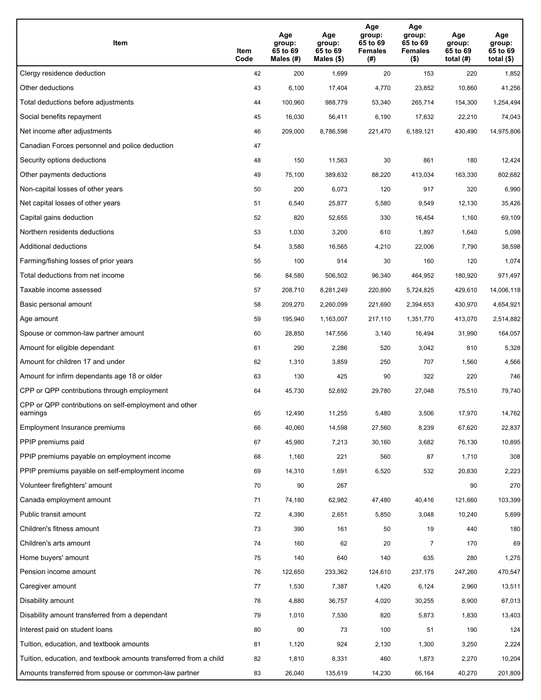| Item                                                              | Item<br>Code | Age<br>group:<br>65 to 69<br>Males (#) | Age<br>group:<br>65 to 69<br>Males (\$) | Age<br>group:<br>65 to 69<br><b>Females</b><br>(# ) | Age<br>group:<br>65 to 69<br>Females<br>$($ \$) | Age<br>group:<br>65 to 69<br>total $(H)$ | Age<br>group:<br>65 to 69<br>total $($)$ |
|-------------------------------------------------------------------|--------------|----------------------------------------|-----------------------------------------|-----------------------------------------------------|-------------------------------------------------|------------------------------------------|------------------------------------------|
| Clergy residence deduction                                        | 42           | 200                                    | 1,699                                   | 20                                                  | 153                                             | 220                                      | 1,852                                    |
| Other deductions                                                  | 43           | 6,100                                  | 17,404                                  | 4,770                                               | 23,852                                          | 10,860                                   | 41,256                                   |
| Total deductions before adjustments                               | 44           | 100,960                                | 988,779                                 | 53,340                                              | 265,714                                         | 154,300                                  | 1,254,494                                |
| Social benefits repayment                                         | 45           | 16,030                                 | 56,411                                  | 6,190                                               | 17,632                                          | 22,210                                   | 74,043                                   |
| Net income after adjustments                                      | 46           | 209,000                                | 8,786,598                               | 221,470                                             | 6,189,121                                       | 430,490                                  | 14,975,806                               |
| Canadian Forces personnel and police deduction                    | 47           |                                        |                                         |                                                     |                                                 |                                          |                                          |
| Security options deductions                                       | 48           | 150                                    | 11,563                                  | 30                                                  | 861                                             | 180                                      | 12,424                                   |
| Other payments deductions                                         | 49           | 75,100                                 | 389,632                                 | 88,220                                              | 413,034                                         | 163,330                                  | 802,682                                  |
| Non-capital losses of other years                                 | 50           | 200                                    | 6,073                                   | 120                                                 | 917                                             | 320                                      | 6,990                                    |
| Net capital losses of other years                                 | 51           | 6,540                                  | 25,877                                  | 5,580                                               | 9,549                                           | 12,130                                   | 35,426                                   |
| Capital gains deduction                                           | 52           | 820                                    | 52,655                                  | 330                                                 | 16,454                                          | 1,160                                    | 69,109                                   |
| Northern residents deductions                                     | 53           | 1,030                                  | 3,200                                   | 610                                                 | 1,897                                           | 1,640                                    | 5,098                                    |
| Additional deductions                                             | 54           | 3,580                                  | 16,565                                  | 4,210                                               | 22,006                                          | 7,790                                    | 38,598                                   |
| Farming/fishing losses of prior years                             | 55           | 100                                    | 914                                     | 30                                                  | 160                                             | 120                                      | 1,074                                    |
| Total deductions from net income                                  | 56           | 84,580                                 | 506,502                                 | 96,340                                              | 464,952                                         | 180,920                                  | 971,497                                  |
| Taxable income assessed                                           | 57           | 208,710                                | 8,281,249                               | 220,890                                             | 5,724,825                                       | 429,610                                  | 14,006,118                               |
| Basic personal amount                                             | 58           | 209,270                                | 2,260,099                               | 221,690                                             | 2,394,653                                       | 430,970                                  | 4,654,921                                |
| Age amount                                                        | 59           | 195,940                                | 1,163,007                               | 217,110                                             | 1,351,770                                       | 413,070                                  | 2,514,882                                |
| Spouse or common-law partner amount                               | 60           | 28,850                                 | 147,556                                 | 3,140                                               | 16,494                                          | 31,990                                   | 164,057                                  |
| Amount for eligible dependant                                     | 61           | 290                                    | 2,286                                   | 520                                                 | 3,042                                           | 810                                      | 5,328                                    |
| Amount for children 17 and under                                  | 62           | 1,310                                  | 3,859                                   | 250                                                 | 707                                             | 1,560                                    | 4,566                                    |
| Amount for infirm dependants age 18 or older                      | 63           | 130                                    | 425                                     | 90                                                  | 322                                             | 220                                      | 746                                      |
| CPP or QPP contributions through employment                       | 64           | 45,730                                 | 52,692                                  | 29,780                                              | 27,048                                          | 75,510                                   | 79,740                                   |
| CPP or QPP contributions on self-employment and other<br>earnings | 65           | 12,490                                 | 11,255                                  | 5,480                                               | 3,506                                           | 17,970                                   | 14,762                                   |
| Employment Insurance premiums                                     | 66           | 40,060                                 | 14,598                                  | 27,560                                              | 8,239                                           | 67,620                                   | 22,837                                   |
| PPIP premiums paid                                                | 67           | 45,980                                 | 7,213                                   | 30,160                                              | 3,682                                           | 76,130                                   | 10,895                                   |
| PPIP premiums payable on employment income                        | 68           | 1,160                                  | 221                                     | 560                                                 | 87                                              | 1,710                                    | 308                                      |
| PPIP premiums payable on self-employment income                   | 69           | 14,310                                 | 1,691                                   | 6,520                                               | 532                                             | 20,830                                   | 2,223                                    |
| Volunteer firefighters' amount                                    | 70           | 90                                     | 267                                     |                                                     |                                                 | 90                                       | 270                                      |
| Canada employment amount                                          | 71           | 74,180                                 | 62,982                                  | 47,480                                              | 40,416                                          | 121,660                                  | 103,399                                  |
| Public transit amount                                             | 72           | 4,390                                  | 2,651                                   | 5,850                                               | 3,048                                           | 10,240                                   | 5,699                                    |
| Children's fitness amount                                         | 73           | 390                                    | 161                                     | 50                                                  | 19                                              | 440                                      | 180                                      |
| Children's arts amount                                            | 74           | 160                                    | 62                                      | 20                                                  | 7                                               | 170                                      | 69                                       |
| Home buyers' amount                                               | 75           | 140                                    | 640                                     | 140                                                 | 635                                             | 280                                      | 1,275                                    |
| Pension income amount                                             | 76           | 122,650                                | 233,362                                 | 124,610                                             | 237,175                                         | 247,260                                  | 470,547                                  |
| Caregiver amount                                                  | 77           | 1,530                                  | 7,387                                   | 1,420                                               | 6,124                                           | 2,960                                    | 13,511                                   |
| Disability amount                                                 | 78           | 4,880                                  | 36,757                                  | 4,020                                               | 30,255                                          | 8,900                                    | 67,013                                   |
| Disability amount transferred from a dependant                    | 79           | 1,010                                  | 7,530                                   | 820                                                 | 5,873                                           | 1,830                                    | 13,403                                   |
| Interest paid on student loans                                    | 80           | 90                                     | 73                                      | 100                                                 | 51                                              | 190                                      | 124                                      |
| Tuition, education, and textbook amounts                          | 81           | 1,120                                  | 924                                     | 2,130                                               | 1,300                                           | 3,250                                    | 2,224                                    |
| Tuition, education, and textbook amounts transferred from a child | 82           | 1,810                                  | 8,331                                   | 460                                                 | 1,873                                           | 2,270                                    | 10,204                                   |
| Amounts transferred from spouse or common-law partner             | 83           | 26,040                                 | 135,619                                 | 14,230                                              | 66,164                                          | 40,270                                   | 201,809                                  |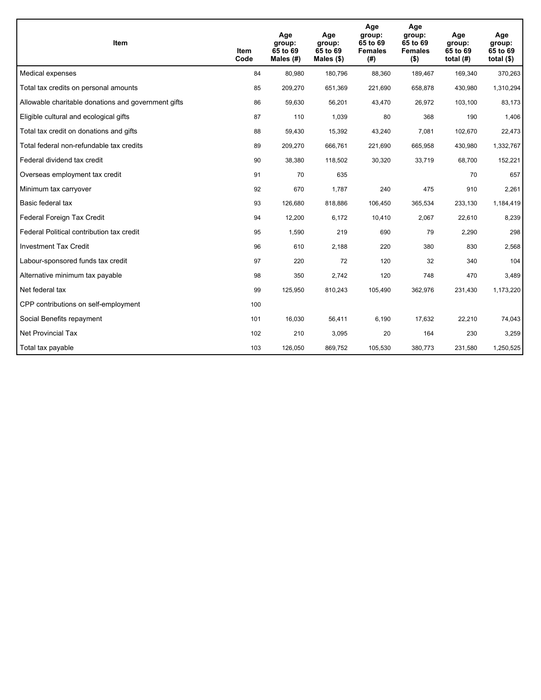| <b>Item</b>                                         | Item<br>Code | Age<br>group:<br>65 to 69<br>Males (#) | Age<br>group:<br>65 to 69<br>Males $(\$)$ | Age<br>group:<br>65 to 69<br><b>Females</b><br>(#) | Age<br>group:<br>65 to 69<br><b>Females</b><br>$($ \$) | Age<br>group:<br>65 to 69<br>total $(H)$ | Age<br>group:<br>65 to 69<br>total $($)$ |
|-----------------------------------------------------|--------------|----------------------------------------|-------------------------------------------|----------------------------------------------------|--------------------------------------------------------|------------------------------------------|------------------------------------------|
| Medical expenses                                    | 84           | 80,980                                 | 180,796                                   | 88,360                                             | 189,467                                                | 169,340                                  | 370,263                                  |
| Total tax credits on personal amounts               | 85           | 209,270                                | 651,369                                   | 221,690                                            | 658,878                                                | 430,980                                  | 1,310,294                                |
| Allowable charitable donations and government gifts | 86           | 59,630                                 | 56,201                                    | 43,470                                             | 26,972                                                 | 103,100                                  | 83,173                                   |
| Eligible cultural and ecological gifts              | 87           | 110                                    | 1,039                                     | 80                                                 | 368                                                    | 190                                      | 1,406                                    |
| Total tax credit on donations and gifts             | 88           | 59,430                                 | 15,392                                    | 43,240                                             | 7,081                                                  | 102,670                                  | 22,473                                   |
| Total federal non-refundable tax credits            | 89           | 209,270                                | 666,761                                   | 221,690                                            | 665,958                                                | 430,980                                  | 1,332,767                                |
| Federal dividend tax credit                         | 90           | 38,380                                 | 118,502                                   | 30,320                                             | 33,719                                                 | 68,700                                   | 152,221                                  |
| Overseas employment tax credit                      | 91           | 70                                     | 635                                       |                                                    |                                                        | 70                                       | 657                                      |
| Minimum tax carryover                               | 92           | 670                                    | 1,787                                     | 240                                                | 475                                                    | 910                                      | 2,261                                    |
| Basic federal tax                                   | 93           | 126,680                                | 818,886                                   | 106,450                                            | 365,534                                                | 233,130                                  | 1,184,419                                |
| Federal Foreign Tax Credit                          | 94           | 12,200                                 | 6,172                                     | 10,410                                             | 2,067                                                  | 22,610                                   | 8,239                                    |
| Federal Political contribution tax credit           | 95           | 1,590                                  | 219                                       | 690                                                | 79                                                     | 2,290                                    | 298                                      |
| <b>Investment Tax Credit</b>                        | 96           | 610                                    | 2,188                                     | 220                                                | 380                                                    | 830                                      | 2,568                                    |
| Labour-sponsored funds tax credit                   | 97           | 220                                    | 72                                        | 120                                                | 32                                                     | 340                                      | 104                                      |
| Alternative minimum tax payable                     | 98           | 350                                    | 2,742                                     | 120                                                | 748                                                    | 470                                      | 3,489                                    |
| Net federal tax                                     | 99           | 125,950                                | 810,243                                   | 105,490                                            | 362,976                                                | 231,430                                  | 1,173,220                                |
| CPP contributions on self-employment                | 100          |                                        |                                           |                                                    |                                                        |                                          |                                          |
| Social Benefits repayment                           | 101          | 16,030                                 | 56,411                                    | 6,190                                              | 17.632                                                 | 22,210                                   | 74,043                                   |
| Net Provincial Tax                                  | 102          | 210                                    | 3,095                                     | 20                                                 | 164                                                    | 230                                      | 3,259                                    |
| Total tax payable                                   | 103          | 126,050                                | 869,752                                   | 105,530                                            | 380,773                                                | 231,580                                  | 1,250,525                                |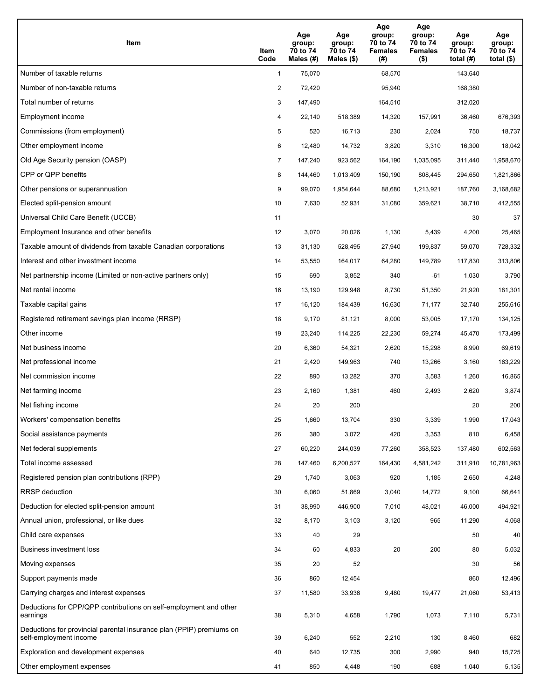| Item                                                                                           | Item<br>Code   | Age<br>group:<br>70 to 74<br>Males $(H)$ | Age<br>group:<br>70 to 74<br>Males $(\$)$ | Age<br>group:<br>70 to 74<br><b>Females</b><br>(#) | Age<br>group:<br>70 to 74<br><b>Females</b><br>$($ \$) | Age<br>group:<br>70 to 74<br>total $(H)$ | Age<br>group:<br>70 to 74<br>total $($)$ |
|------------------------------------------------------------------------------------------------|----------------|------------------------------------------|-------------------------------------------|----------------------------------------------------|--------------------------------------------------------|------------------------------------------|------------------------------------------|
| Number of taxable returns                                                                      | $\mathbf{1}$   | 75,070                                   |                                           | 68,570                                             |                                                        | 143,640                                  |                                          |
| Number of non-taxable returns                                                                  | $\overline{2}$ | 72,420                                   |                                           | 95,940                                             |                                                        | 168,380                                  |                                          |
| Total number of returns                                                                        | 3              | 147,490                                  |                                           | 164,510                                            |                                                        | 312,020                                  |                                          |
| Employment income                                                                              | 4              | 22,140                                   | 518,389                                   | 14,320                                             | 157,991                                                | 36,460                                   | 676,393                                  |
| Commissions (from employment)                                                                  | 5              | 520                                      | 16,713                                    | 230                                                | 2,024                                                  | 750                                      | 18,737                                   |
| Other employment income                                                                        | 6              | 12,480                                   | 14,732                                    | 3,820                                              | 3,310                                                  | 16,300                                   | 18,042                                   |
| Old Age Security pension (OASP)                                                                | $\overline{7}$ | 147,240                                  | 923,562                                   | 164,190                                            | 1,035,095                                              | 311,440                                  | 1,958,670                                |
| CPP or QPP benefits                                                                            | 8              | 144,460                                  | 1,013,409                                 | 150,190                                            | 808,445                                                | 294,650                                  | 1,821,866                                |
| Other pensions or superannuation                                                               | 9              | 99,070                                   | 1,954,644                                 | 88,680                                             | 1,213,921                                              | 187,760                                  | 3,168,682                                |
| Elected split-pension amount                                                                   | 10             | 7,630                                    | 52,931                                    | 31,080                                             | 359,621                                                | 38,710                                   | 412,555                                  |
| Universal Child Care Benefit (UCCB)                                                            | 11             |                                          |                                           |                                                    |                                                        | 30                                       | 37                                       |
| Employment Insurance and other benefits                                                        | 12             | 3,070                                    | 20,026                                    | 1,130                                              | 5,439                                                  | 4,200                                    | 25,465                                   |
| Taxable amount of dividends from taxable Canadian corporations                                 | 13             | 31,130                                   | 528,495                                   | 27,940                                             | 199,837                                                | 59,070                                   | 728,332                                  |
| Interest and other investment income                                                           | 14             | 53,550                                   | 164,017                                   | 64,280                                             | 149,789                                                | 117,830                                  | 313,806                                  |
| Net partnership income (Limited or non-active partners only)                                   | 15             | 690                                      | 3,852                                     | 340                                                | -61                                                    | 1,030                                    | 3,790                                    |
| Net rental income                                                                              | 16             | 13,190                                   | 129,948                                   | 8,730                                              | 51,350                                                 | 21,920                                   | 181,301                                  |
| Taxable capital gains                                                                          | 17             | 16,120                                   | 184,439                                   | 16,630                                             | 71,177                                                 | 32,740                                   | 255,616                                  |
| Registered retirement savings plan income (RRSP)                                               | 18             | 9,170                                    | 81,121                                    | 8,000                                              | 53,005                                                 | 17,170                                   | 134,125                                  |
| Other income                                                                                   | 19             | 23,240                                   | 114,225                                   | 22,230                                             | 59,274                                                 | 45,470                                   | 173,499                                  |
| Net business income                                                                            | 20             | 6,360                                    | 54,321                                    | 2,620                                              | 15,298                                                 | 8,990                                    | 69,619                                   |
| Net professional income                                                                        | 21             | 2,420                                    | 149,963                                   | 740                                                | 13,266                                                 | 3,160                                    | 163,229                                  |
| Net commission income                                                                          | 22             | 890                                      | 13,282                                    | 370                                                | 3,583                                                  | 1,260                                    | 16,865                                   |
| Net farming income                                                                             | 23             | 2,160                                    | 1,381                                     | 460                                                | 2,493                                                  | 2,620                                    | 3,874                                    |
| Net fishing income                                                                             | 24             | 20                                       | 200                                       |                                                    |                                                        | 20                                       | 200                                      |
| Workers' compensation benefits                                                                 | 25             | 1,660                                    | 13,704                                    | 330                                                | 3,339                                                  | 1,990                                    | 17,043                                   |
| Social assistance payments                                                                     | 26             | 380                                      | 3,072                                     | 420                                                | 3,353                                                  | 810                                      | 6,458                                    |
| Net federal supplements                                                                        | 27             | 60,220                                   | 244,039                                   | 77,260                                             | 358,523                                                | 137,480                                  | 602,563                                  |
| Total income assessed                                                                          | 28             | 147,460                                  | 6,200,527                                 | 164,430                                            | 4,581,242                                              | 311,910                                  | 10,781,963                               |
| Registered pension plan contributions (RPP)                                                    | 29             | 1,740                                    | 3,063                                     | 920                                                | 1,185                                                  | 2,650                                    | 4,248                                    |
| <b>RRSP</b> deduction                                                                          | 30             | 6,060                                    | 51,869                                    | 3,040                                              | 14,772                                                 | 9,100                                    | 66,641                                   |
| Deduction for elected split-pension amount                                                     | 31             | 38,990                                   | 446,900                                   | 7,010                                              | 48,021                                                 | 46,000                                   | 494,921                                  |
| Annual union, professional, or like dues                                                       | 32             | 8,170                                    | 3,103                                     | 3,120                                              | 965                                                    | 11,290                                   | 4,068                                    |
| Child care expenses                                                                            | 33             | 40                                       | 29                                        |                                                    |                                                        | 50                                       | 40                                       |
| Business investment loss                                                                       | 34             | 60                                       | 4,833                                     | 20                                                 | 200                                                    | 80                                       | 5,032                                    |
| Moving expenses                                                                                | 35             | 20                                       | 52                                        |                                                    |                                                        | 30                                       | 56                                       |
| Support payments made                                                                          | 36             | 860                                      | 12,454                                    |                                                    |                                                        | 860                                      | 12,496                                   |
| Carrying charges and interest expenses                                                         | 37             | 11,580                                   | 33,936                                    | 9,480                                              | 19,477                                                 | 21,060                                   | 53,413                                   |
| Deductions for CPP/QPP contributions on self-employment and other<br>earnings                  | 38             | 5,310                                    | 4,658                                     | 1,790                                              | 1,073                                                  | 7,110                                    | 5,731                                    |
| Deductions for provincial parental insurance plan (PPIP) premiums on<br>self-employment income | 39             | 6,240                                    | 552                                       | 2,210                                              | 130                                                    | 8,460                                    | 682                                      |
| Exploration and development expenses                                                           | 40             | 640                                      | 12,735                                    | 300                                                | 2,990                                                  | 940                                      | 15,725                                   |
| Other employment expenses                                                                      | 41             | 850                                      | 4,448                                     | 190                                                | 688                                                    | 1,040                                    | 5,135                                    |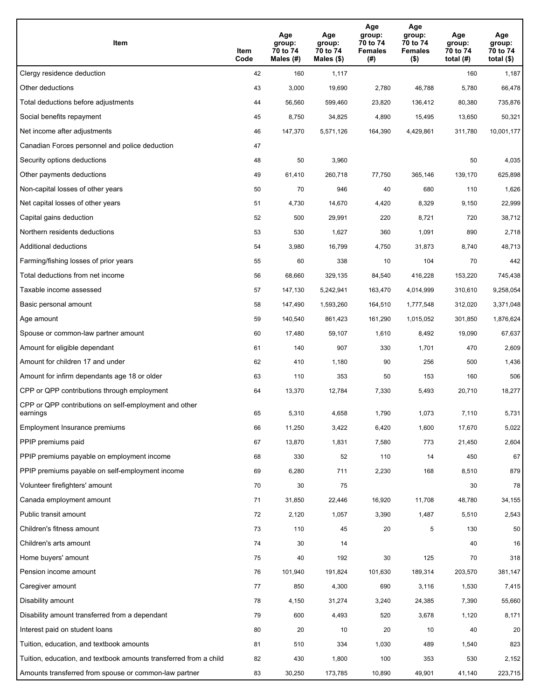| Item                                                              | Item<br>Code | Age<br>group:<br>70 to 74<br>Males (#) | Age<br>group:<br>70 to 74<br>Males (\$) | Age<br>group:<br>70 to 74<br><b>Females</b><br>(# ) | Age<br>group:<br>70 to 74<br><b>Females</b><br>$($ \$) | Age<br>group:<br>70 to 74<br>total $(H)$ | Age<br>group:<br>70 to 74<br>total $($)$ |
|-------------------------------------------------------------------|--------------|----------------------------------------|-----------------------------------------|-----------------------------------------------------|--------------------------------------------------------|------------------------------------------|------------------------------------------|
| Clergy residence deduction                                        | 42           | 160                                    | 1,117                                   |                                                     |                                                        | 160                                      | 1,187                                    |
| Other deductions                                                  | 43           | 3,000                                  | 19,690                                  | 2,780                                               | 46,788                                                 | 5,780                                    | 66,478                                   |
| Total deductions before adjustments                               | 44           | 56,560                                 | 599,460                                 | 23,820                                              | 136,412                                                | 80,380                                   | 735,876                                  |
| Social benefits repayment                                         | 45           | 8,750                                  | 34,825                                  | 4,890                                               | 15,495                                                 | 13,650                                   | 50,321                                   |
| Net income after adjustments                                      | 46           | 147,370                                | 5,571,126                               | 164,390                                             | 4,429,861                                              | 311,780                                  | 10,001,177                               |
| Canadian Forces personnel and police deduction                    | 47           |                                        |                                         |                                                     |                                                        |                                          |                                          |
| Security options deductions                                       | 48           | 50                                     | 3,960                                   |                                                     |                                                        | 50                                       | 4,035                                    |
| Other payments deductions                                         | 49           | 61,410                                 | 260,718                                 | 77,750                                              | 365,146                                                | 139,170                                  | 625,898                                  |
| Non-capital losses of other years                                 | 50           | 70                                     | 946                                     | 40                                                  | 680                                                    | 110                                      | 1,626                                    |
| Net capital losses of other years                                 | 51           | 4,730                                  | 14,670                                  | 4,420                                               | 8,329                                                  | 9,150                                    | 22,999                                   |
| Capital gains deduction                                           | 52           | 500                                    | 29,991                                  | 220                                                 | 8,721                                                  | 720                                      | 38,712                                   |
| Northern residents deductions                                     | 53           | 530                                    | 1,627                                   | 360                                                 | 1,091                                                  | 890                                      | 2,718                                    |
| Additional deductions                                             | 54           | 3,980                                  | 16,799                                  | 4,750                                               | 31,873                                                 | 8,740                                    | 48,713                                   |
| Farming/fishing losses of prior years                             | 55           | 60                                     | 338                                     | 10                                                  | 104                                                    | 70                                       | 442                                      |
| Total deductions from net income                                  | 56           | 68,660                                 | 329,135                                 | 84,540                                              | 416,228                                                | 153,220                                  | 745,438                                  |
| Taxable income assessed                                           | 57           | 147,130                                | 5,242,941                               | 163,470                                             | 4,014,999                                              | 310,610                                  | 9,258,054                                |
| Basic personal amount                                             | 58           | 147,490                                | 1,593,260                               | 164,510                                             | 1,777,548                                              | 312,020                                  | 3,371,048                                |
| Age amount                                                        | 59           | 140,540                                | 861,423                                 | 161,290                                             | 1,015,052                                              | 301,850                                  | 1,876,624                                |
| Spouse or common-law partner amount                               | 60           | 17,480                                 | 59,107                                  | 1,610                                               | 8,492                                                  | 19,090                                   | 67,637                                   |
| Amount for eligible dependant                                     | 61           | 140                                    | 907                                     | 330                                                 | 1,701                                                  | 470                                      | 2,609                                    |
| Amount for children 17 and under                                  | 62           | 410                                    | 1,180                                   | 90                                                  | 256                                                    | 500                                      | 1,436                                    |
| Amount for infirm dependants age 18 or older                      | 63           | 110                                    | 353                                     | 50                                                  | 153                                                    | 160                                      | 506                                      |
| CPP or QPP contributions through employment                       | 64           | 13,370                                 | 12,784                                  | 7,330                                               | 5,493                                                  | 20,710                                   | 18,277                                   |
| CPP or QPP contributions on self-employment and other<br>earnings | 65           | 5,310                                  | 4,658                                   | 1,790                                               | 1,073                                                  | 7,110                                    | 5,731                                    |
| Employment Insurance premiums                                     | 66           | 11,250                                 | 3,422                                   | 6,420                                               | 1,600                                                  | 17,670                                   | 5,022                                    |
| PPIP premiums paid                                                | 67           | 13,870                                 | 1,831                                   | 7,580                                               | 773                                                    | 21,450                                   | 2,604                                    |
| PPIP premiums payable on employment income                        | 68           | 330                                    | 52                                      | 110                                                 | 14                                                     | 450                                      | 67                                       |
| PPIP premiums payable on self-employment income                   | 69           | 6,280                                  | 711                                     | 2,230                                               | 168                                                    | 8,510                                    | 879                                      |
| Volunteer firefighters' amount                                    | 70           | 30                                     | 75                                      |                                                     |                                                        | 30                                       | 78                                       |
| Canada employment amount                                          | 71           | 31,850                                 | 22,446                                  | 16,920                                              | 11,708                                                 | 48,780                                   | 34,155                                   |
| Public transit amount                                             | 72           | 2,120                                  | 1,057                                   | 3,390                                               | 1,487                                                  | 5,510                                    | 2,543                                    |
| Children's fitness amount                                         | 73           | 110                                    | 45                                      | 20                                                  | 5                                                      | 130                                      | 50                                       |
| Children's arts amount                                            | 74           | 30                                     | 14                                      |                                                     |                                                        | 40                                       | 16                                       |
| Home buyers' amount                                               | 75           | 40                                     | 192                                     | 30                                                  | 125                                                    | 70                                       | 318                                      |
| Pension income amount                                             | 76           | 101,940                                | 191,824                                 | 101,630                                             | 189,314                                                | 203,570                                  | 381,147                                  |
| Caregiver amount                                                  | 77           | 850                                    | 4,300                                   | 690                                                 | 3,116                                                  | 1,530                                    | 7,415                                    |
| Disability amount                                                 | 78           | 4,150                                  | 31,274                                  | 3,240                                               | 24,385                                                 | 7,390                                    | 55,660                                   |
| Disability amount transferred from a dependant                    | 79           | 600                                    | 4,493                                   | 520                                                 | 3,678                                                  | 1,120                                    | 8,171                                    |
| Interest paid on student loans                                    | 80           | 20                                     | 10                                      | 20                                                  | 10                                                     | 40                                       | 20                                       |
| Tuition, education, and textbook amounts                          | 81           | 510                                    | 334                                     | 1,030                                               | 489                                                    | 1,540                                    | 823                                      |
| Tuition, education, and textbook amounts transferred from a child | 82           | 430                                    | 1,800                                   | 100                                                 | 353                                                    | 530                                      | 2,152                                    |
| Amounts transferred from spouse or common-law partner             | 83           | 30,250                                 | 173,785                                 | 10,890                                              | 49,901                                                 | 41,140                                   | 223,715                                  |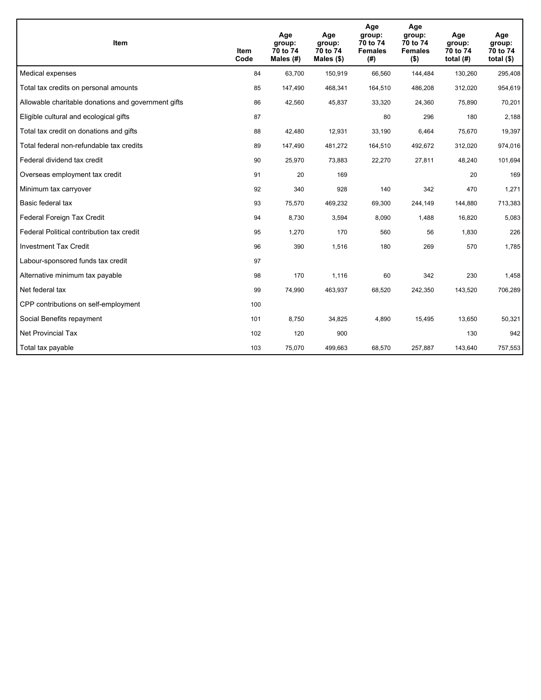| <b>Item</b>                                         | Item<br>Code | Age<br>group:<br>70 to 74<br>Males (#) | Age<br>group:<br>70 to 74<br>Males $(\$)$ | Age<br>group:<br>70 to 74<br><b>Females</b><br>(#) | Age<br>group:<br>70 to 74<br><b>Females</b><br>$($ \$) | Age<br>group:<br>70 to 74<br>total $(H)$ | Age<br>group:<br>70 to 74<br>total $($)$ |
|-----------------------------------------------------|--------------|----------------------------------------|-------------------------------------------|----------------------------------------------------|--------------------------------------------------------|------------------------------------------|------------------------------------------|
| Medical expenses                                    | 84           | 63,700                                 | 150,919                                   | 66,560                                             | 144,484                                                | 130,260                                  | 295,408                                  |
| Total tax credits on personal amounts               | 85           | 147,490                                | 468,341                                   | 164,510                                            | 486,208                                                | 312,020                                  | 954,619                                  |
| Allowable charitable donations and government gifts | 86           | 42,560                                 | 45,837                                    | 33,320                                             | 24,360                                                 | 75,890                                   | 70,201                                   |
| Eligible cultural and ecological gifts              | 87           |                                        |                                           | 80                                                 | 296                                                    | 180                                      | 2,188                                    |
| Total tax credit on donations and gifts             | 88           | 42,480                                 | 12,931                                    | 33,190                                             | 6,464                                                  | 75,670                                   | 19,397                                   |
| Total federal non-refundable tax credits            | 89           | 147,490                                | 481,272                                   | 164,510                                            | 492,672                                                | 312,020                                  | 974,016                                  |
| Federal dividend tax credit                         | 90           | 25,970                                 | 73,883                                    | 22,270                                             | 27,811                                                 | 48,240                                   | 101,694                                  |
| Overseas employment tax credit                      | 91           | 20                                     | 169                                       |                                                    |                                                        | 20                                       | 169                                      |
| Minimum tax carryover                               | 92           | 340                                    | 928                                       | 140                                                | 342                                                    | 470                                      | 1,271                                    |
| Basic federal tax                                   | 93           | 75,570                                 | 469,232                                   | 69,300                                             | 244.149                                                | 144,880                                  | 713,383                                  |
| Federal Foreign Tax Credit                          | 94           | 8,730                                  | 3,594                                     | 8,090                                              | 1,488                                                  | 16,820                                   | 5,083                                    |
| Federal Political contribution tax credit           | 95           | 1,270                                  | 170                                       | 560                                                | 56                                                     | 1,830                                    | 226                                      |
| <b>Investment Tax Credit</b>                        | 96           | 390                                    | 1,516                                     | 180                                                | 269                                                    | 570                                      | 1,785                                    |
| Labour-sponsored funds tax credit                   | 97           |                                        |                                           |                                                    |                                                        |                                          |                                          |
| Alternative minimum tax payable                     | 98           | 170                                    | 1,116                                     | 60                                                 | 342                                                    | 230                                      | 1,458                                    |
| Net federal tax                                     | 99           | 74,990                                 | 463,937                                   | 68,520                                             | 242,350                                                | 143,520                                  | 706,289                                  |
| CPP contributions on self-employment                | 100          |                                        |                                           |                                                    |                                                        |                                          |                                          |
| Social Benefits repayment                           | 101          | 8,750                                  | 34,825                                    | 4,890                                              | 15,495                                                 | 13,650                                   | 50,321                                   |
| <b>Net Provincial Tax</b>                           | 102          | 120                                    | 900                                       |                                                    |                                                        | 130                                      | 942                                      |
| Total tax payable                                   | 103          | 75,070                                 | 499,663                                   | 68,570                                             | 257,887                                                | 143,640                                  | 757,553                                  |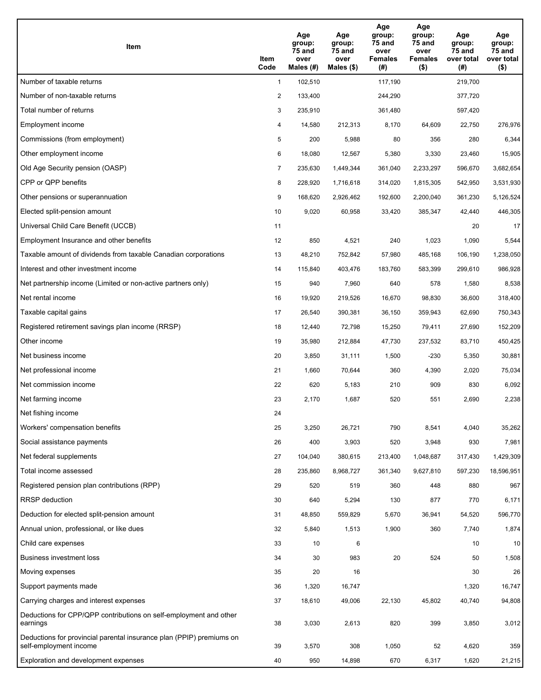| Item                                                                                           | Item<br>Code   | Age<br>group:<br>75 and<br>over<br>Males (#) | Age<br>group:<br>75 and<br>over<br>Males (\$) | Age<br>group:<br><b>75 and</b><br>over<br><b>Females</b><br>(#) | Age<br>group:<br>75 and<br>over<br><b>Females</b><br>$($ \$) | Age<br>group:<br>75 and<br>over total<br>(#) | Age<br>group:<br>75 and<br>over total<br>$($ \$) |
|------------------------------------------------------------------------------------------------|----------------|----------------------------------------------|-----------------------------------------------|-----------------------------------------------------------------|--------------------------------------------------------------|----------------------------------------------|--------------------------------------------------|
| Number of taxable returns                                                                      | $\mathbf{1}$   | 102,510                                      |                                               | 117,190                                                         |                                                              | 219,700                                      |                                                  |
| Number of non-taxable returns                                                                  | $\overline{2}$ | 133,400                                      |                                               | 244,290                                                         |                                                              | 377,720                                      |                                                  |
| Total number of returns                                                                        | 3              | 235,910                                      |                                               | 361,480                                                         |                                                              | 597,420                                      |                                                  |
| Employment income                                                                              | 4              | 14,580                                       | 212,313                                       | 8,170                                                           | 64,609                                                       | 22,750                                       | 276,976                                          |
| Commissions (from employment)                                                                  | 5              | 200                                          | 5,988                                         | 80                                                              | 356                                                          | 280                                          | 6,344                                            |
| Other employment income                                                                        | 6              | 18,080                                       | 12,567                                        | 5,380                                                           | 3,330                                                        | 23,460                                       | 15,905                                           |
| Old Age Security pension (OASP)                                                                | $\overline{7}$ | 235,630                                      | 1,449,344                                     | 361,040                                                         | 2,233,297                                                    | 596,670                                      | 3,682,654                                        |
| CPP or QPP benefits                                                                            | 8              | 228,920                                      | 1,716,618                                     | 314,020                                                         | 1,815,305                                                    | 542,950                                      | 3,531,930                                        |
| Other pensions or superannuation                                                               | 9              | 168,620                                      | 2,926,462                                     | 192,600                                                         | 2,200,040                                                    | 361,230                                      | 5,126,524                                        |
| Elected split-pension amount                                                                   | 10             | 9,020                                        | 60,958                                        | 33,420                                                          | 385,347                                                      | 42,440                                       | 446,305                                          |
| Universal Child Care Benefit (UCCB)                                                            | 11             |                                              |                                               |                                                                 |                                                              | 20                                           | 17                                               |
| Employment Insurance and other benefits                                                        | 12             | 850                                          | 4,521                                         | 240                                                             | 1,023                                                        | 1,090                                        | 5,544                                            |
| Taxable amount of dividends from taxable Canadian corporations                                 | 13             | 48,210                                       | 752,842                                       | 57,980                                                          | 485,168                                                      | 106,190                                      | 1,238,050                                        |
| Interest and other investment income                                                           | 14             | 115,840                                      | 403,476                                       | 183,760                                                         | 583,399                                                      | 299,610                                      | 986,928                                          |
| Net partnership income (Limited or non-active partners only)                                   | 15             | 940                                          | 7,960                                         | 640                                                             | 578                                                          | 1,580                                        | 8,538                                            |
| Net rental income                                                                              | 16             | 19,920                                       | 219,526                                       | 16,670                                                          | 98,830                                                       | 36,600                                       | 318,400                                          |
| Taxable capital gains                                                                          | 17             | 26,540                                       | 390,381                                       | 36,150                                                          | 359,943                                                      | 62,690                                       | 750,343                                          |
| Registered retirement savings plan income (RRSP)                                               | 18             | 12,440                                       | 72,798                                        | 15,250                                                          | 79,411                                                       | 27,690                                       | 152,209                                          |
| Other income                                                                                   | 19             | 35,980                                       | 212,884                                       | 47,730                                                          | 237,532                                                      | 83,710                                       | 450,425                                          |
| Net business income                                                                            | 20             | 3,850                                        | 31,111                                        | 1,500                                                           | $-230$                                                       | 5,350                                        | 30,881                                           |
| Net professional income                                                                        | 21             | 1,660                                        | 70,644                                        | 360                                                             | 4,390                                                        | 2,020                                        | 75,034                                           |
| Net commission income                                                                          | 22             | 620                                          | 5,183                                         | 210                                                             | 909                                                          | 830                                          | 6,092                                            |
| Net farming income                                                                             | 23             | 2,170                                        | 1,687                                         | 520                                                             | 551                                                          | 2,690                                        | 2,238                                            |
| Net fishing income                                                                             | 24             |                                              |                                               |                                                                 |                                                              |                                              |                                                  |
| Workers' compensation benefits                                                                 | 25             | 3,250                                        | 26,721                                        | 790                                                             | 8,541                                                        | 4,040                                        | 35,262                                           |
| Social assistance payments                                                                     | 26             | 400                                          | 3,903                                         | 520                                                             | 3,948                                                        | 930                                          | 7,981                                            |
| Net federal supplements                                                                        | 27             | 104,040                                      | 380,615                                       | 213,400                                                         | 1,048,687                                                    | 317,430                                      | 1,429,309                                        |
| Total income assessed                                                                          | 28             | 235,860                                      | 8,968,727                                     | 361,340                                                         | 9,627,810                                                    | 597,230                                      | 18,596,951                                       |
| Registered pension plan contributions (RPP)                                                    | 29             | 520                                          | 519                                           | 360                                                             | 448                                                          | 880                                          | 967                                              |
| <b>RRSP</b> deduction                                                                          | 30             | 640                                          | 5,294                                         | 130                                                             | 877                                                          | 770                                          | 6,171                                            |
| Deduction for elected split-pension amount                                                     | 31             | 48,850                                       | 559,829                                       | 5,670                                                           | 36,941                                                       | 54,520                                       | 596,770                                          |
| Annual union, professional, or like dues                                                       | 32             | 5,840                                        | 1,513                                         | 1,900                                                           | 360                                                          | 7,740                                        | 1,874                                            |
| Child care expenses                                                                            | 33             | 10                                           | 6                                             |                                                                 |                                                              | 10                                           | 10                                               |
| <b>Business investment loss</b>                                                                | 34             | 30                                           | 983                                           | 20                                                              | 524                                                          | 50                                           | 1,508                                            |
| Moving expenses                                                                                | 35             | 20                                           | 16                                            |                                                                 |                                                              | 30                                           | 26                                               |
| Support payments made                                                                          | 36             | 1,320                                        | 16,747                                        |                                                                 |                                                              | 1,320                                        | 16,747                                           |
| Carrying charges and interest expenses                                                         | 37             | 18,610                                       | 49,006                                        | 22,130                                                          | 45,802                                                       | 40,740                                       | 94,808                                           |
| Deductions for CPP/QPP contributions on self-employment and other<br>earnings                  | 38             | 3,030                                        | 2,613                                         | 820                                                             | 399                                                          | 3,850                                        | 3,012                                            |
| Deductions for provincial parental insurance plan (PPIP) premiums on<br>self-employment income | 39             | 3,570                                        | 308                                           | 1,050                                                           | 52                                                           | 4,620                                        | 359                                              |
| Exploration and development expenses                                                           | 40             | 950                                          | 14,898                                        | 670                                                             | 6,317                                                        | 1,620                                        | 21,215                                           |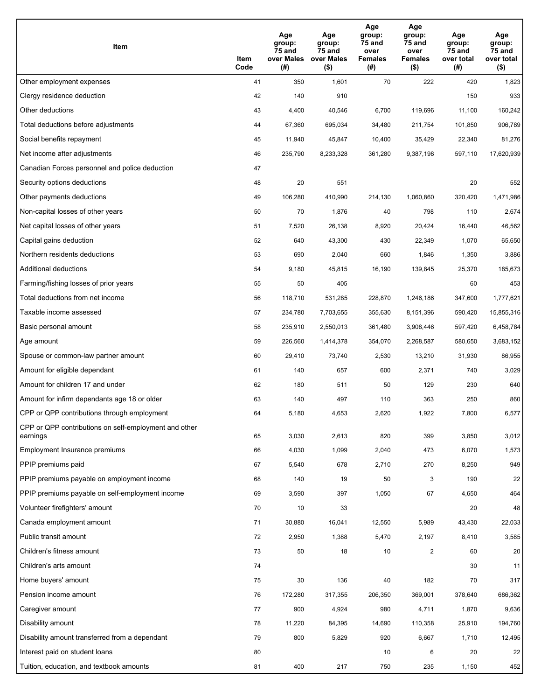| Item                                                              | Item<br>Code | Age<br>group:<br>75 and<br>over Males<br>(# ) | Age<br>group:<br>75 and<br>over Males<br>$($ \$) | Age<br>group:<br>75 and<br>over<br><b>Females</b><br>(#) | Age<br>group:<br>75 and<br>over<br><b>Females</b><br>$($ \$) | Age<br>group:<br>75 and<br>over total<br>(#) | Age<br>group:<br>75 and<br>over total<br>$($ \$) |
|-------------------------------------------------------------------|--------------|-----------------------------------------------|--------------------------------------------------|----------------------------------------------------------|--------------------------------------------------------------|----------------------------------------------|--------------------------------------------------|
| Other employment expenses                                         | 41           | 350                                           | 1,601                                            | 70                                                       | 222                                                          | 420                                          | 1,823                                            |
| Clergy residence deduction                                        | 42           | 140                                           | 910                                              |                                                          |                                                              | 150                                          | 933                                              |
| Other deductions                                                  | 43           | 4,400                                         | 40,546                                           | 6,700                                                    | 119,696                                                      | 11,100                                       | 160,242                                          |
| Total deductions before adjustments                               | 44           | 67,360                                        | 695,034                                          | 34,480                                                   | 211,754                                                      | 101,850                                      | 906,789                                          |
| Social benefits repayment                                         | 45           | 11,940                                        | 45,847                                           | 10,400                                                   | 35,429                                                       | 22,340                                       | 81,276                                           |
| Net income after adjustments                                      | 46           | 235,790                                       | 8,233,328                                        | 361,280                                                  | 9,387,198                                                    | 597,110                                      | 17,620,939                                       |
| Canadian Forces personnel and police deduction                    | 47           |                                               |                                                  |                                                          |                                                              |                                              |                                                  |
| Security options deductions                                       | 48           | 20                                            | 551                                              |                                                          |                                                              | 20                                           | 552                                              |
| Other payments deductions                                         | 49           | 106,280                                       | 410,990                                          | 214,130                                                  | 1,060,860                                                    | 320,420                                      | 1,471,986                                        |
| Non-capital losses of other years                                 | 50           | 70                                            | 1,876                                            | 40                                                       | 798                                                          | 110                                          | 2,674                                            |
| Net capital losses of other years                                 | 51           | 7,520                                         | 26,138                                           | 8,920                                                    | 20,424                                                       | 16,440                                       | 46,562                                           |
| Capital gains deduction                                           | 52           | 640                                           | 43,300                                           | 430                                                      | 22,349                                                       | 1,070                                        | 65,650                                           |
| Northern residents deductions                                     | 53           | 690                                           | 2,040                                            | 660                                                      | 1,846                                                        | 1,350                                        | 3,886                                            |
| Additional deductions                                             | 54           | 9,180                                         | 45,815                                           | 16,190                                                   | 139,845                                                      | 25,370                                       | 185,673                                          |
| Farming/fishing losses of prior years                             | 55           | 50                                            | 405                                              |                                                          |                                                              | 60                                           | 453                                              |
| Total deductions from net income                                  | 56           | 118,710                                       | 531,285                                          | 228,870                                                  | 1,246,186                                                    | 347,600                                      | 1,777,621                                        |
| Taxable income assessed                                           | 57           | 234,780                                       | 7,703,655                                        | 355,630                                                  | 8,151,396                                                    | 590,420                                      | 15,855,316                                       |
| Basic personal amount                                             | 58           | 235,910                                       | 2,550,013                                        | 361,480                                                  | 3,908,446                                                    | 597,420                                      | 6,458,784                                        |
| Age amount                                                        | 59           | 226,560                                       | 1,414,378                                        | 354,070                                                  | 2,268,587                                                    | 580,650                                      | 3,683,152                                        |
| Spouse or common-law partner amount                               | 60           | 29,410                                        | 73,740                                           | 2,530                                                    | 13,210                                                       | 31,930                                       | 86,955                                           |
| Amount for eligible dependant                                     | 61           | 140                                           | 657                                              | 600                                                      | 2,371                                                        | 740                                          | 3,029                                            |
| Amount for children 17 and under                                  | 62           | 180                                           | 511                                              | 50                                                       | 129                                                          | 230                                          | 640                                              |
| Amount for infirm dependants age 18 or older                      | 63           | 140                                           | 497                                              | 110                                                      | 363                                                          | 250                                          | 860                                              |
| CPP or QPP contributions through employment                       | 64           | 5,180                                         | 4,653                                            | 2,620                                                    | 1,922                                                        | 7,800                                        | 6,577                                            |
| CPP or QPP contributions on self-employment and other<br>earnings | 65           | 3,030                                         | 2,613                                            | 820                                                      | 399                                                          | 3,850                                        | 3,012                                            |
| Employment Insurance premiums                                     | 66           | 4,030                                         | 1,099                                            | 2,040                                                    | 473                                                          | 6,070                                        | 1,573                                            |
| PPIP premiums paid                                                | 67           | 5,540                                         | 678                                              | 2,710                                                    | 270                                                          | 8,250                                        | 949                                              |
| PPIP premiums payable on employment income                        | 68           | 140                                           | 19                                               | 50                                                       | 3                                                            | 190                                          | 22                                               |
| PPIP premiums payable on self-employment income                   | 69           | 3,590                                         | 397                                              | 1,050                                                    | 67                                                           | 4,650                                        | 464                                              |
| Volunteer firefighters' amount                                    | 70           | 10                                            | 33                                               |                                                          |                                                              | 20                                           | 48                                               |
| Canada employment amount                                          | 71           | 30,880                                        | 16,041                                           | 12,550                                                   | 5,989                                                        | 43,430                                       | 22,033                                           |
| Public transit amount                                             | 72           | 2,950                                         | 1,388                                            | 5,470                                                    | 2,197                                                        | 8,410                                        | 3,585                                            |
| Children's fitness amount                                         | 73           | 50                                            | 18                                               | 10                                                       | 2                                                            | 60                                           | 20                                               |
| Children's arts amount                                            | 74           |                                               |                                                  |                                                          |                                                              | 30                                           | 11                                               |
| Home buyers' amount                                               | 75           | 30                                            | 136                                              | 40                                                       | 182                                                          | 70                                           | 317                                              |
| Pension income amount                                             | 76           | 172,280                                       | 317,355                                          | 206,350                                                  | 369,001                                                      | 378,640                                      | 686,362                                          |
| Caregiver amount                                                  | 77           | 900                                           | 4,924                                            | 980                                                      | 4,711                                                        | 1,870                                        | 9,636                                            |
| Disability amount                                                 | 78           | 11,220                                        | 84,395                                           | 14,690                                                   | 110,358                                                      | 25,910                                       | 194,760                                          |
| Disability amount transferred from a dependant                    | 79           | 800                                           | 5,829                                            | 920                                                      | 6,667                                                        | 1,710                                        | 12,495                                           |
| Interest paid on student loans                                    | 80           |                                               |                                                  | 10                                                       | 6                                                            | 20                                           | 22                                               |
| Tuition, education, and textbook amounts                          | 81           | 400                                           | 217                                              | 750                                                      | 235                                                          | 1,150                                        | 452                                              |